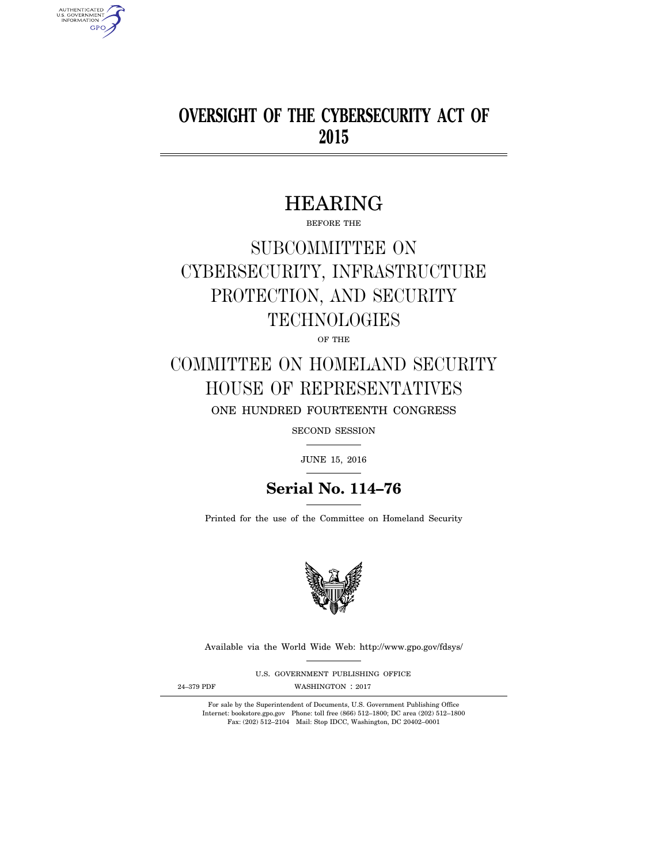# **OVERSIGHT OF THE CYBERSECURITY ACT OF 2015**

# HEARING

BEFORE THE

# SUBCOMMITTEE ON CYBERSECURITY, INFRASTRUCTURE PROTECTION, AND SECURITY TECHNOLOGIES

OF THE

# COMMITTEE ON HOMELAND SECURITY HOUSE OF REPRESENTATIVES

ONE HUNDRED FOURTEENTH CONGRESS

SECOND SESSION

JUNE 15, 2016

# **Serial No. 114–76**

Printed for the use of the Committee on Homeland Security



Available via the World Wide Web: http://www.gpo.gov/fdsys/

U.S. GOVERNMENT PUBLISHING OFFICE

AUTHENTICATED<br>U.S. GOVERNMENT<br>INFORMATION **GPO** 

24-379 PDF WASHINGTON : 2017

For sale by the Superintendent of Documents, U.S. Government Publishing Office Internet: bookstore.gpo.gov Phone: toll free (866) 512–1800; DC area (202) 512–1800 Fax: (202) 512–2104 Mail: Stop IDCC, Washington, DC 20402–0001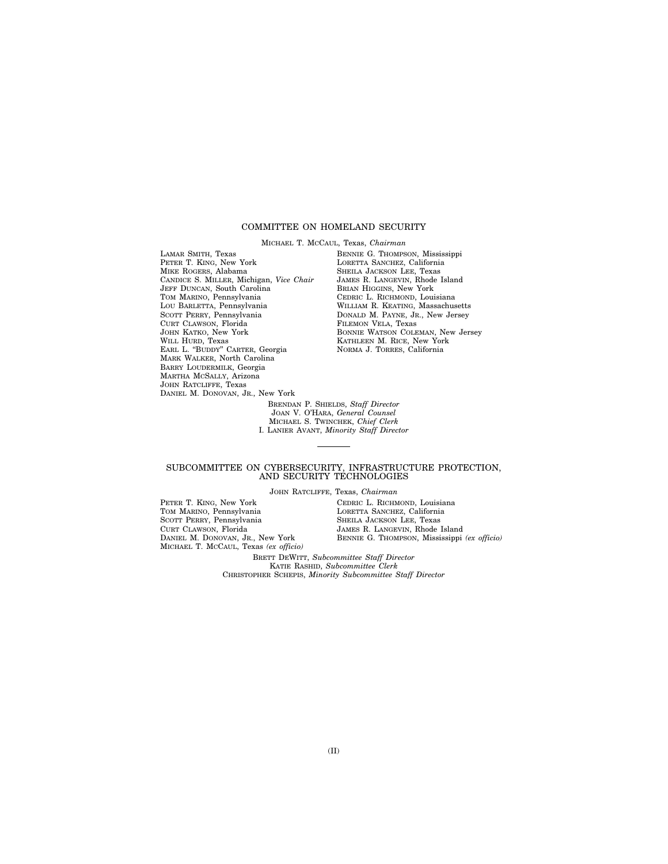# COMMITTEE ON HOMELAND SECURITY

MICHAEL T. MCCAUL, Texas, *Chairman* 

LAMAR SMITH, Texas PETER T. KING, New York MIKE ROGERS, Alabama CANDICE S. MILLER, Michigan, *Vice Chair*  JEFF DUNCAN, South Carolina TOM MARINO, Pennsylvania LOU BARLETTA, Pennsylvania SCOTT PERRY, Pennsylvania CURT CLAWSON, Florida JOHN KATKO, New York WILL HURD, Texas EARL L. ''BUDDY'' CARTER, Georgia MARK WALKER, North Carolina BARRY LOUDERMILK, Georgia MARTHA MCSALLY, Arizona JOHN RATCLIFFE, Texas DANIEL M. DONOVAN, JR., New York

BENNIE G. THOMPSON, Mississippi LORETTA SANCHEZ, California SHEILA JACKSON LEE, Texas JAMES R. LANGEVIN, Rhode Island BRIAN HIGGINS, New York CEDRIC L. RICHMOND, Louisiana WILLIAM R. KEATING, Massachusetts DONALD M. PAYNE, JR., New Jersey FILEMON VELA, Texas BONNIE WATSON COLEMAN, New Jersey KATHLEEN M. RICE, New York NORMA J. TORRES, California

BRENDAN P. SHIELDS, *Staff Director*  JOAN V. O'HARA, *General Counsel*  MICHAEL S. TWINCHEK, *Chief Clerk*  I. LANIER AVANT, *Minority Staff Director* 

# SUBCOMMITTEE ON CYBERSECURITY, INFRASTRUCTURE PROTECTION, AND SECURITY TECHNOLOGIES

JOHN RATCLIFFE, Texas, *Chairman* 

PETER T. KING, New York TOM MARINO, Pennsylvania SCOTT PERRY, Pennsylvania CURT CLAWSON, Florida DANIEL M. DONOVAN, JR., New York MICHAEL T. MCCAUL, Texas *(ex officio)*  CEDRIC L. RICHMOND, Louisiana LORETTA SANCHEZ, California SHEILA JACKSON LEE, Texas JAMES R. LANGEVIN, Rhode Island BENNIE G. THOMPSON, Mississippi *(ex officio)* 

BRETT DEWITT, *Subcommittee Staff Director*  KATIE RASHID, *Subcommittee Clerk*  CHRISTOPHER SCHEPIS, *Minority Subcommittee Staff Director*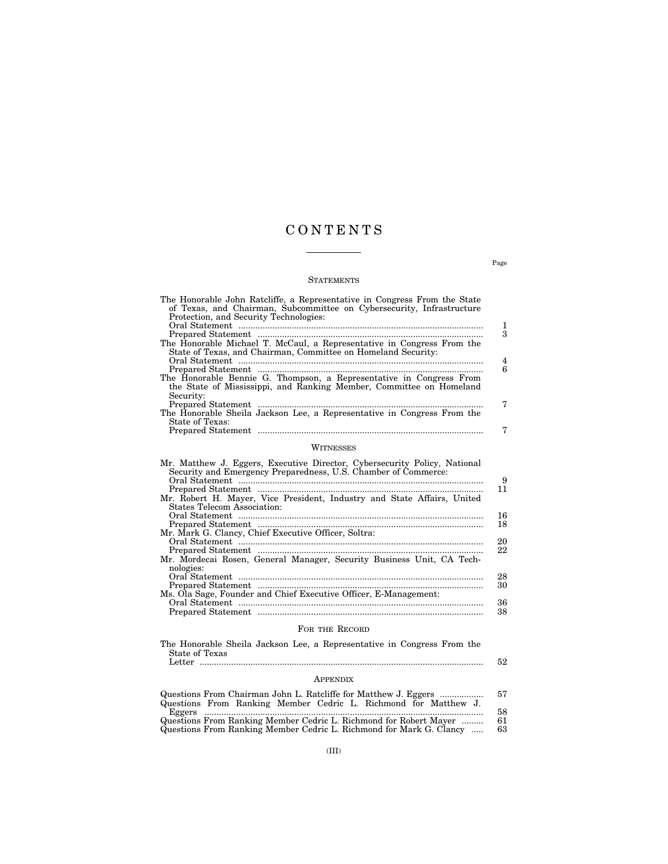# C O N T E N T S

# **STATEMENTS**

| The Honorable John Ratcliffe, a Representative in Congress From the State<br>of Texas, and Chairman, Subcommittee on Cybersecurity, Infrastructure<br>Protection, and Security Technologies:                           | 1<br>3   |  |
|------------------------------------------------------------------------------------------------------------------------------------------------------------------------------------------------------------------------|----------|--|
| The Honorable Michael T. McCaul, a Representative in Congress From the<br>State of Texas, and Chairman, Committee on Homeland Security:                                                                                | 4<br>6   |  |
| The Honorable Bennie G. Thompson, a Representative in Congress From<br>the State of Mississippi, and Ranking Member, Committee on Homeland<br>Security:                                                                |          |  |
| The Honorable Sheila Jackson Lee, a Representative in Congress From the<br>State of Texas:                                                                                                                             | 7<br>7   |  |
|                                                                                                                                                                                                                        |          |  |
| <b>WITNESSES</b>                                                                                                                                                                                                       |          |  |
| Mr. Matthew J. Eggers, Executive Director, Cybersecurity Policy, National<br>Security and Emergency Preparedness, U.S. Chamber of Commerce:<br>Mr. Robert H. Mayer, Vice President, Industry and State Affairs, United | 9<br>11  |  |
| <b>States Telecom Association:</b>                                                                                                                                                                                     | 16<br>18 |  |
| Mr. Mark G. Clancy, Chief Executive Officer, Soltra:<br>Mr. Mordecai Rosen, General Manager, Security Business Unit, CA Tech-<br>nologies:                                                                             | 20<br>22 |  |
| Ms. Ola Sage, Founder and Chief Executive Officer, E-Management:                                                                                                                                                       | 28<br>30 |  |
|                                                                                                                                                                                                                        | 36<br>38 |  |
| FOR THE RECORD                                                                                                                                                                                                         |          |  |
| The Honorable Sheila Jackson Lee, a Representative in Congress From the<br>State of Texas                                                                                                                              | 52       |  |
|                                                                                                                                                                                                                        |          |  |

# APPENDIX

| Questions From Chairman John L. Ratcliffe for Matthew J. Eggers     | -57 |
|---------------------------------------------------------------------|-----|
| Questions From Ranking Member Cedric L. Richmond for Matthew J.     |     |
|                                                                     | 58. |
| Questions From Ranking Member Cedric L. Richmond for Robert Mayer   | 61  |
| Questions From Ranking Member Cedric L. Richmond for Mark G. Clancy | 63. |

Page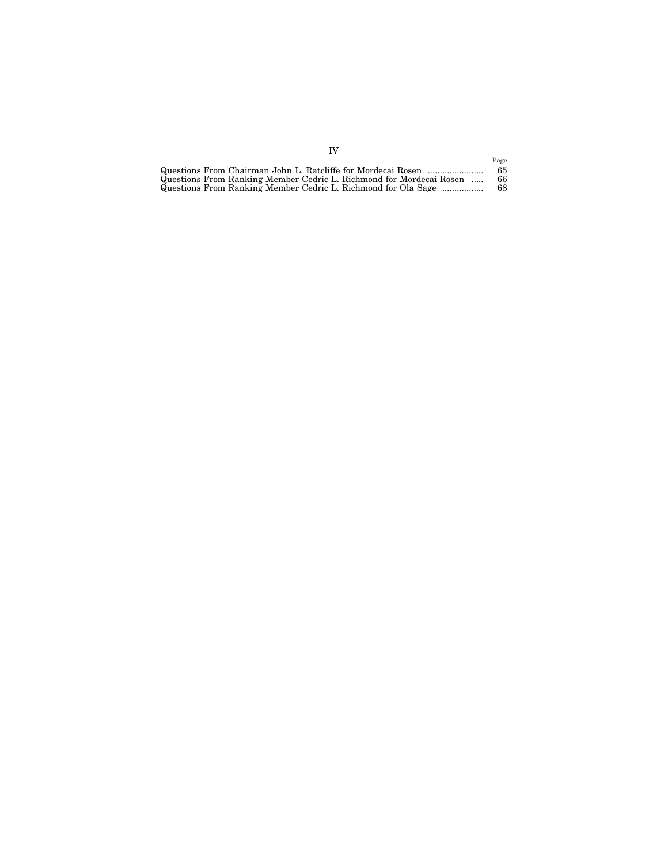|                                                                     | Page |
|---------------------------------------------------------------------|------|
|                                                                     | 65.  |
| Questions From Ranking Member Cedric L. Richmond for Mordecai Rosen | 66.  |
| Questions From Ranking Member Cedric L. Richmond for Ola Sage       | 68.  |

IV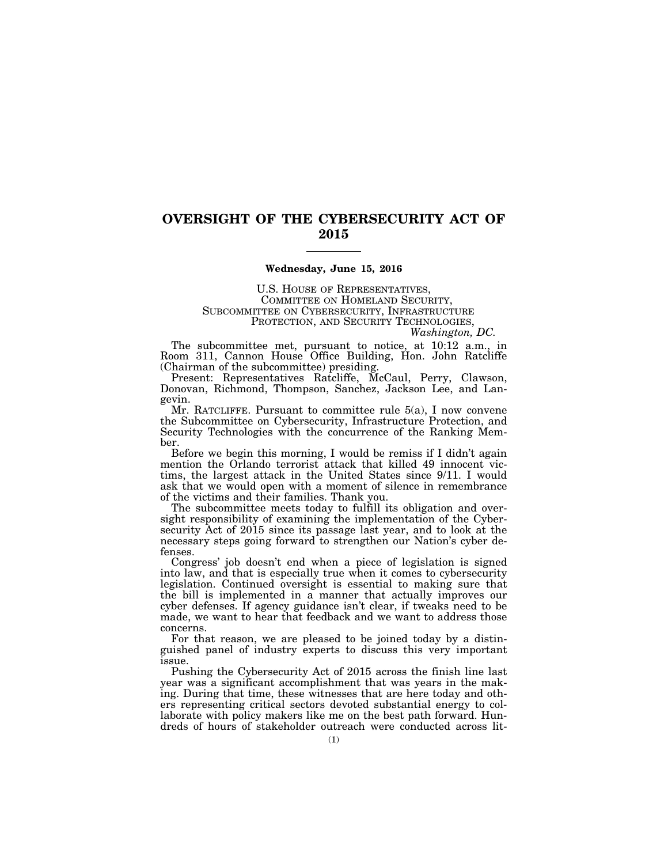# **OVERSIGHT OF THE CYBERSECURITY ACT OF 2015**

# **Wednesday, June 15, 2016**

U.S. HOUSE OF REPRESENTATIVES, COMMITTEE ON HOMELAND SECURITY, SUBCOMMITTEE ON CYBERSECURITY, INFRASTRUCTURE PROTECTION, AND SECURITY TECHNOLOGIES, *Washington, DC.* 

The subcommittee met, pursuant to notice, at 10:12 a.m., in Room 311, Cannon House Office Building, Hon. John Ratcliffe (Chairman of the subcommittee) presiding.

Present: Representatives Ratcliffe, McCaul, Perry, Clawson, Donovan, Richmond, Thompson, Sanchez, Jackson Lee, and Langevin.

Mr. RATCLIFFE. Pursuant to committee rule 5(a), I now convene the Subcommittee on Cybersecurity, Infrastructure Protection, and Security Technologies with the concurrence of the Ranking Member.

Before we begin this morning, I would be remiss if I didn't again mention the Orlando terrorist attack that killed 49 innocent victims, the largest attack in the United States since 9/11. I would ask that we would open with a moment of silence in remembrance of the victims and their families. Thank you.

The subcommittee meets today to fulfill its obligation and oversight responsibility of examining the implementation of the Cybersecurity Act of 2015 since its passage last year, and to look at the necessary steps going forward to strengthen our Nation's cyber defenses.

Congress' job doesn't end when a piece of legislation is signed into law, and that is especially true when it comes to cybersecurity legislation. Continued oversight is essential to making sure that the bill is implemented in a manner that actually improves our cyber defenses. If agency guidance isn't clear, if tweaks need to be made, we want to hear that feedback and we want to address those concerns.

For that reason, we are pleased to be joined today by a distinguished panel of industry experts to discuss this very important issue.

Pushing the Cybersecurity Act of 2015 across the finish line last year was a significant accomplishment that was years in the making. During that time, these witnesses that are here today and others representing critical sectors devoted substantial energy to collaborate with policy makers like me on the best path forward. Hundreds of hours of stakeholder outreach were conducted across lit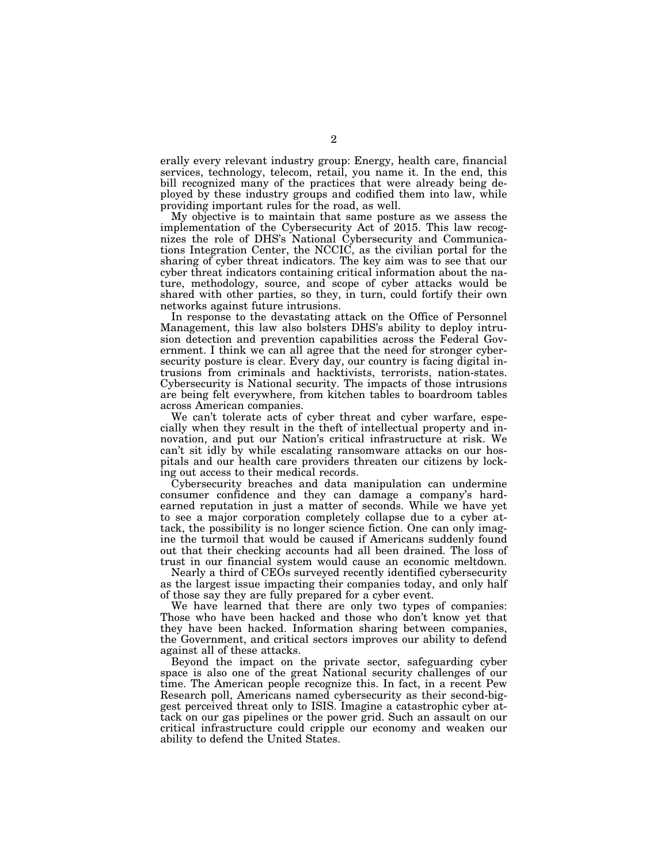erally every relevant industry group: Energy, health care, financial services, technology, telecom, retail, you name it. In the end, this bill recognized many of the practices that were already being deployed by these industry groups and codified them into law, while providing important rules for the road, as well.

My objective is to maintain that same posture as we assess the implementation of the Cybersecurity Act of 2015. This law recognizes the role of DHS's National Cybersecurity and Communications Integration Center, the NCCIC, as the civilian portal for the sharing of cyber threat indicators. The key aim was to see that our cyber threat indicators containing critical information about the nature, methodology, source, and scope of cyber attacks would be shared with other parties, so they, in turn, could fortify their own networks against future intrusions.

In response to the devastating attack on the Office of Personnel Management, this law also bolsters DHS's ability to deploy intrusion detection and prevention capabilities across the Federal Government. I think we can all agree that the need for stronger cybersecurity posture is clear. Every day, our country is facing digital intrusions from criminals and hacktivists, terrorists, nation-states. Cybersecurity is National security. The impacts of those intrusions are being felt everywhere, from kitchen tables to boardroom tables across American companies.

We can't tolerate acts of cyber threat and cyber warfare, especially when they result in the theft of intellectual property and innovation, and put our Nation's critical infrastructure at risk. We can't sit idly by while escalating ransomware attacks on our hospitals and our health care providers threaten our citizens by locking out access to their medical records.

Cybersecurity breaches and data manipulation can undermine consumer confidence and they can damage a company's hardearned reputation in just a matter of seconds. While we have yet to see a major corporation completely collapse due to a cyber attack, the possibility is no longer science fiction. One can only imagine the turmoil that would be caused if Americans suddenly found out that their checking accounts had all been drained. The loss of trust in our financial system would cause an economic meltdown.

Nearly a third of CEOs surveyed recently identified cybersecurity as the largest issue impacting their companies today, and only half of those say they are fully prepared for a cyber event.

We have learned that there are only two types of companies: Those who have been hacked and those who don't know yet that they have been hacked. Information sharing between companies, the Government, and critical sectors improves our ability to defend against all of these attacks.

Beyond the impact on the private sector, safeguarding cyber space is also one of the great National security challenges of our time. The American people recognize this. In fact, in a recent Pew Research poll, Americans named cybersecurity as their second-biggest perceived threat only to ISIS. Imagine a catastrophic cyber attack on our gas pipelines or the power grid. Such an assault on our critical infrastructure could cripple our economy and weaken our ability to defend the United States.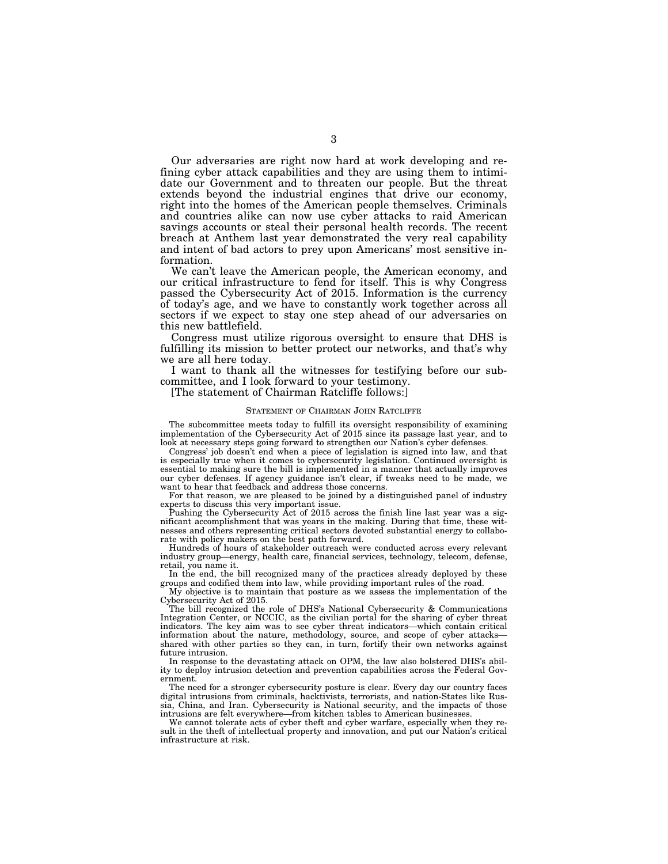Our adversaries are right now hard at work developing and refining cyber attack capabilities and they are using them to intimidate our Government and to threaten our people. But the threat extends beyond the industrial engines that drive our economy, right into the homes of the American people themselves. Criminals and countries alike can now use cyber attacks to raid American savings accounts or steal their personal health records. The recent breach at Anthem last year demonstrated the very real capability and intent of bad actors to prey upon Americans' most sensitive information.

We can't leave the American people, the American economy, and our critical infrastructure to fend for itself. This is why Congress passed the Cybersecurity Act of 2015. Information is the currency of today's age, and we have to constantly work together across all sectors if we expect to stay one step ahead of our adversaries on this new battlefield.

Congress must utilize rigorous oversight to ensure that DHS is fulfilling its mission to better protect our networks, and that's why we are all here today.

I want to thank all the witnesses for testifying before our subcommittee, and I look forward to your testimony.

[The statement of Chairman Ratcliffe follows:]

### STATEMENT OF CHAIRMAN JOHN RATCLIFFE

The subcommittee meets today to fulfill its oversight responsibility of examining implementation of the Cybersecurity Act of 2015 since its passage last year, and to look at necessary steps going forward to strengthen our Nation's cyber defenses.

Congress' job doesn't end when a piece of legislation is signed into law, and that is especially true when it comes to cybersecurity legislation. Continued oversight is essential to making sure the bill is implemented in a manner that actually improves our cyber defenses. If agency guidance isn't clear, if tweaks need to be made, we want to hear that feedback and address those concerns.

For that reason, we are pleased to be joined by a distinguished panel of industry experts to discuss this very important issue.

Pushing the Cybersecurity Act of 2015 across the finish line last year was a significant accomplishment that was years in the making. During that time, these witnesses and others representing critical sectors devoted substantial energy to collaborate with policy makers on the best path forward.

Hundreds of hours of stakeholder outreach were conducted across every relevant industry group—energy, health care, financial services, technology, telecom, defense, retail, you name it.

In the end, the bill recognized many of the practices already deployed by these groups and codified them into law, while providing important rules of the road.

My objective is to maintain that posture as we assess the implementation of the Cybersecurity Act of 2015.

The bill recognized the role of DHS's National Cybersecurity & Communications Integration Center, or NCCIC, as the civilian portal for the sharing of cyber threat indicators. The key aim was to see cyber threat indicators—which contain critical information about the nature, methodology, source, and scope of cyber attacks shared with other parties so they can, in turn, fortify their own networks against future intrusion.

In response to the devastating attack on OPM, the law also bolstered DHS's ability to deploy intrusion detection and prevention capabilities across the Federal Government.

The need for a stronger cybersecurity posture is clear. Every day our country faces digital intrusions from criminals, hacktivists, terrorists, and nation-States like Russia, China, and Iran. Cybersecurity is National security, and the impacts of those intrusions are felt everywhere—from kitchen tables to American businesses.

We cannot tolerate acts of cyber theft and cyber warfare, especially when they result in the theft of intellectual property and innovation, and put our Nation's critical infrastructure at risk.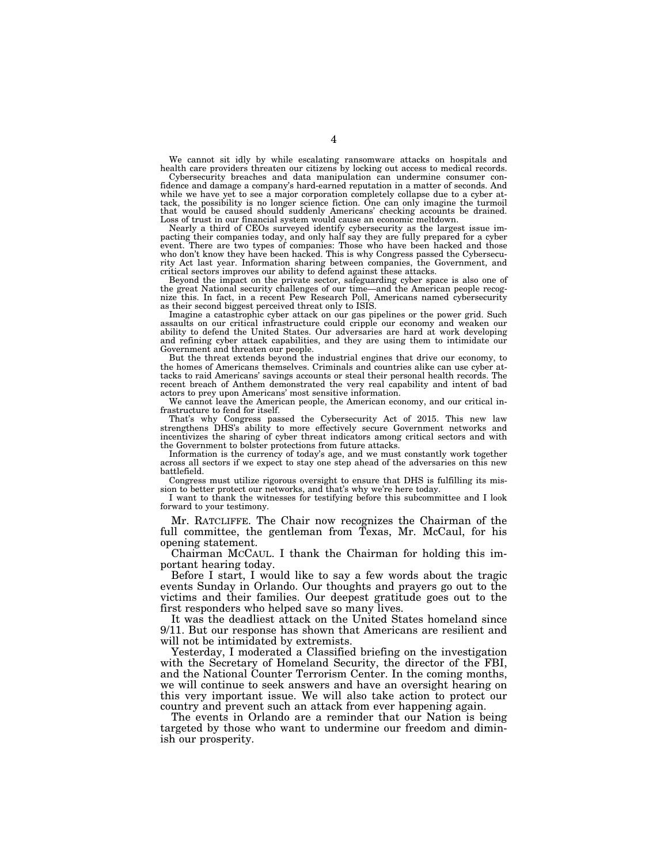We cannot sit idly by while escalating ransomware attacks on hospitals and health care providers threaten our citizens by locking out access to medical records.

Cybersecurity breaches and data manipulation can undermine consumer confidence and damage a company's hard-earned reputation in a matter of seconds. And while we have yet to see a major corporation completely collapse due to a cyber attack, the possibility is no longer science fiction. One can only imagine the turmoil that would be caused should suddenly Americans' checking accounts be drained. Loss of trust in our financial system would cause an economic meltdown.

Nearly a third of CEOs surveyed identify cybersecurity as the largest issue im-<br>pacting their companies today, and only half say they are fully prepared for a cyber<br>event. There are two types of companies: Those who have b who don't know they have been hacked. This is why Congress passed the Cybersecurity Act last year. Information sharing between companies, the Government, and

critical sectors improves our ability to defend against these attacks. Beyond the impact on the private sector, safeguarding cyber space is also one of the great National security challenges of our time—and the American people recog-nize this. In fact, in a recent Pew Research Poll, Americans named cybersecurity as their second biggest perceived threat only to ISIS.

Imagine a catastrophic cyber attack on our gas pipelines or the power grid. Such assaults on our critical infrastructure could cripple our economy and weaken our ability to defend the United States. Our adversaries are hard at work developing and refining cyber attack capabilities, and they are using them to intimidate our Government and threaten our people.

But the threat extends beyond the industrial engines that drive our economy, to the homes of Americans themselves. Criminals and countries alike can use cyber attacks to raid Americans' savings accounts or steal their personal health records. The recent breach of Anthem demonstrated the very real capability and intent of bad actors to prey upon Americans' most sensitive information.

We cannot leave the American people, the American economy, and our critical infrastructure to fend for itself.

That's why Congress passed the Cybersecurity Act of 2015. This new law strengthens DHS's ability to more effectively secure Government networks and incentivizes the sharing of cyber threat indicators among critical sectors and with the Government to bolster protections from future attacks.

Information is the currency of today's age, and we must constantly work together across all sectors if we expect to stay one step ahead of the adversaries on this new battlefield.

Congress must utilize rigorous oversight to ensure that DHS is fulfilling its mission to better protect our networks, and that's why we're here today.

I want to thank the witnesses for testifying before this subcommittee and I look forward to your testimony.

Mr. RATCLIFFE. The Chair now recognizes the Chairman of the full committee, the gentleman from Texas, Mr. McCaul, for his opening statement.

Chairman MCCAUL. I thank the Chairman for holding this important hearing today.

Before I start, I would like to say a few words about the tragic events Sunday in Orlando. Our thoughts and prayers go out to the victims and their families. Our deepest gratitude goes out to the first responders who helped save so many lives.

It was the deadliest attack on the United States homeland since 9/11. But our response has shown that Americans are resilient and will not be intimidated by extremists.

Yesterday, I moderated a Classified briefing on the investigation with the Secretary of Homeland Security, the director of the FBI, and the National Counter Terrorism Center. In the coming months, we will continue to seek answers and have an oversight hearing on this very important issue. We will also take action to protect our country and prevent such an attack from ever happening again.

The events in Orlando are a reminder that our Nation is being targeted by those who want to undermine our freedom and diminish our prosperity.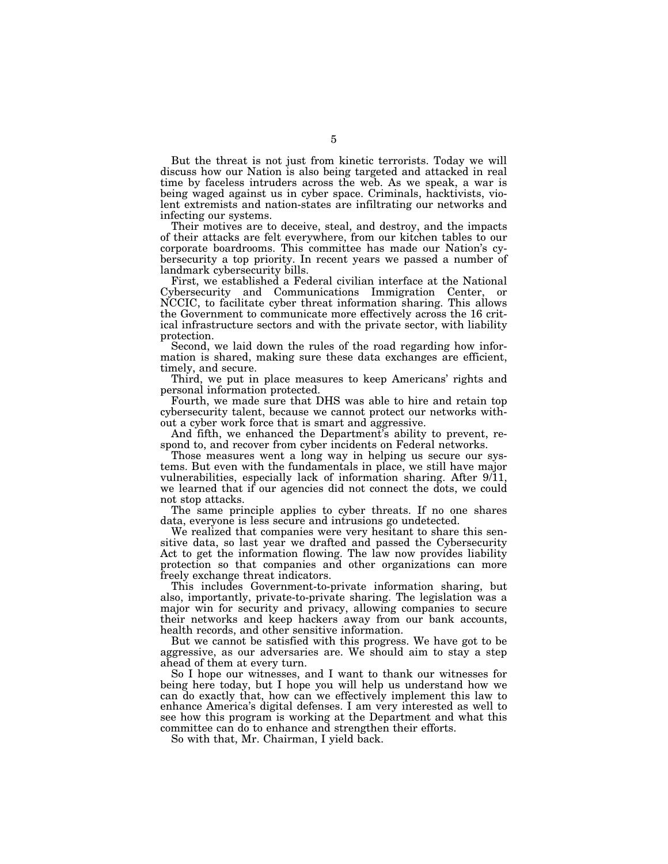But the threat is not just from kinetic terrorists. Today we will discuss how our Nation is also being targeted and attacked in real time by faceless intruders across the web. As we speak, a war is being waged against us in cyber space. Criminals, hacktivists, violent extremists and nation-states are infiltrating our networks and infecting our systems.

Their motives are to deceive, steal, and destroy, and the impacts of their attacks are felt everywhere, from our kitchen tables to our corporate boardrooms. This committee has made our Nation's cybersecurity a top priority. In recent years we passed a number of landmark cybersecurity bills.

First, we established a Federal civilian interface at the National Cybersecurity and Communications Immigration Center, or NCCIC, to facilitate cyber threat information sharing. This allows the Government to communicate more effectively across the 16 critical infrastructure sectors and with the private sector, with liability protection.

Second, we laid down the rules of the road regarding how information is shared, making sure these data exchanges are efficient, timely, and secure.

Third, we put in place measures to keep Americans' rights and personal information protected.

Fourth, we made sure that DHS was able to hire and retain top cybersecurity talent, because we cannot protect our networks without a cyber work force that is smart and aggressive.

And fifth, we enhanced the Department's ability to prevent, respond to, and recover from cyber incidents on Federal networks.

Those measures went a long way in helping us secure our systems. But even with the fundamentals in place, we still have major vulnerabilities, especially lack of information sharing. After 9/11, we learned that if our agencies did not connect the dots, we could not stop attacks.

The same principle applies to cyber threats. If no one shares data, everyone is less secure and intrusions go undetected.

We realized that companies were very hesitant to share this sensitive data, so last year we drafted and passed the Cybersecurity Act to get the information flowing. The law now provides liability protection so that companies and other organizations can more freely exchange threat indicators.

This includes Government-to-private information sharing, but also, importantly, private-to-private sharing. The legislation was a major win for security and privacy, allowing companies to secure their networks and keep hackers away from our bank accounts, health records, and other sensitive information.

But we cannot be satisfied with this progress. We have got to be aggressive, as our adversaries are. We should aim to stay a step ahead of them at every turn.

So I hope our witnesses, and I want to thank our witnesses for being here today, but I hope you will help us understand how we can do exactly that, how can we effectively implement this law to enhance America's digital defenses. I am very interested as well to see how this program is working at the Department and what this committee can do to enhance and strengthen their efforts.

So with that, Mr. Chairman, I yield back.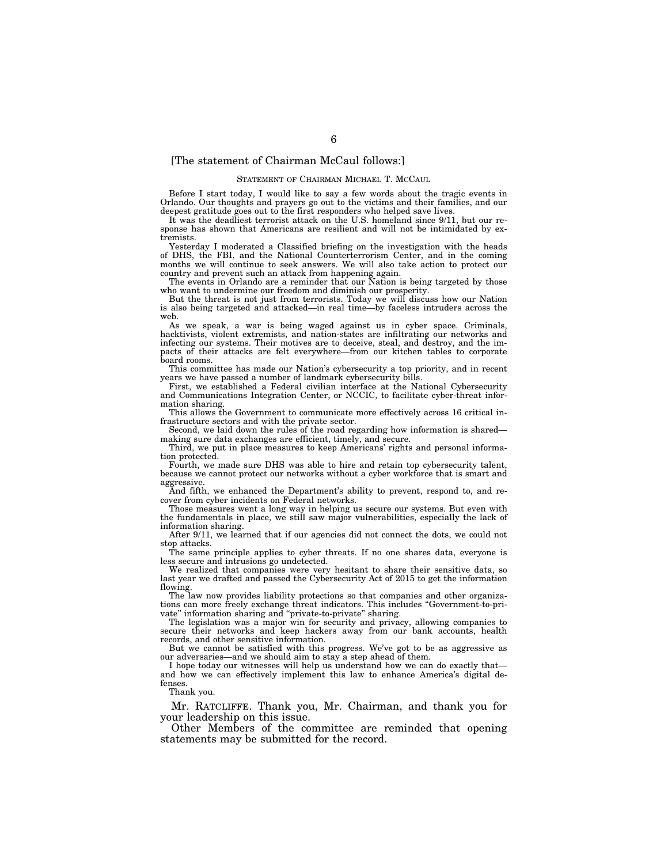# [The statement of Chairman McCaul follows:]

# STATEMENT OF CHAIRMAN MICHAEL T. MCCAUL

Before I start today, I would like to say a few words about the tragic events in Orlando. Our thoughts and prayers go out to the victims and their families, and our deepest gratitude goes out to the first responders who helped save lives.

It was the deadliest terrorist attack on the U.S. homeland since 9/11, but our response has shown that Americans are resilient and will not be intimidated by extremists.

Yesterday I moderated a Classified briefing on the investigation with the heads of DHS, the FBI, and the National Counterterrorism Center, and in the coming months we will continue to seek answers. We will also take action to protect our country and prevent such an attack from happening again.

The events in Orlando are a reminder that our Nation is being targeted by those who want to undermine our freedom and diminish our prosperity.

But the threat is not just from terrorists. Today we will discuss how our Nation is also being targeted and attacked—in real time—by faceless intruders across the web.

As we speak, a war is being waged against us in cyber space. Criminals, hacktivists, violent extremists, and nation-states are infiltrating our networks and infecting our systems. Their motives are to deceive, steal, and destroy, and the impacts of their attacks are felt everywhere—from our kitchen tables to corporate board rooms.

This committee has made our Nation's cybersecurity a top priority, and in recent years we have passed a number of landmark cybersecurity bills.

First, we established a Federal civilian interface at the National Cybersecurity and Communications Integration Center, or NCCIC, to facilitate cyber-threat information sharing.

This allows the Government to communicate more effectively across 16 critical infrastructure sectors and with the private sector.

Second, we laid down the rules of the road regarding how information is shared making sure data exchanges are efficient, timely, and secure.

Third, we put in place measures to keep Americans' rights and personal information protected.

Fourth, we made sure DHS was able to hire and retain top cybersecurity talent, because we cannot protect our networks without a cyber workforce that is smart and aggressive.

And fifth, we enhanced the Department's ability to prevent, respond to, and recover from cyber incidents on Federal networks.

Those measures went a long way in helping us secure our systems. But even with the fundamentals in place, we still saw major vulnerabilities, especially the lack of information sharing.

After 9/11, we learned that if our agencies did not connect the dots, we could not stop attacks.

The same principle applies to cyber threats. If no one shares data, everyone is less secure and intrusions go undetected.

We realized that companies were very hesitant to share their sensitive data, so last year we drafted and passed the Cybersecurity Act of 2015 to get the information flowing.

The law now provides liability protections so that companies and other organizations can more freely exchange threat indicators. This includes ''Government-to-private'' information sharing and ''private-to-private'' sharing.

The legislation was a major win for security and privacy, allowing companies to secure their networks and keep hackers away from our bank accounts, health records, and other sensitive information.

But we cannot be satisfied with this progress. We've got to be as aggressive as our adversaries—and we should aim to stay a step ahead of them.

I hope today our witnesses will help us understand how we can do exactly that and how we can effectively implement this law to enhance America's digital defenses.

Thank you.

Mr. RATCLIFFE. Thank you, Mr. Chairman, and thank you for your leadership on this issue.

Other Members of the committee are reminded that opening statements may be submitted for the record.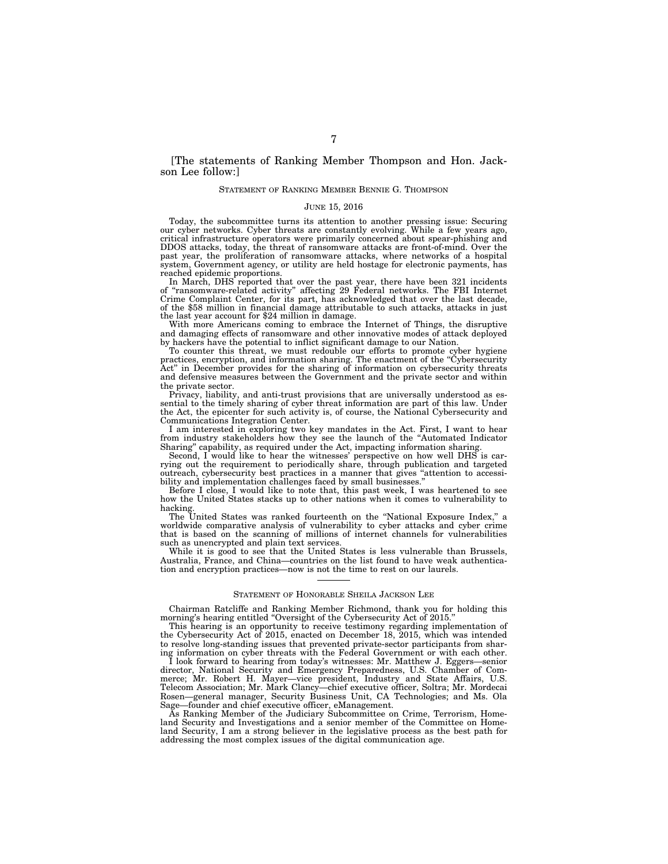[The statements of Ranking Member Thompson and Hon. Jackson Lee follow:]

# STATEMENT OF RANKING MEMBER BENNIE G. THOMPSON

## JUNE 15, 2016

Today, the subcommittee turns its attention to another pressing issue: Securing our cyber networks. Cyber threats are constantly evolving. While a few years ago, critical infrastructure operators were primarily concerned about spear-phishing and DDOS attacks, today, the threat of ransomware attacks are front-of-mind. Over the past year, the proliferation of ransomware attacks, where networks of a hospital system, Government agency, or utility are held hostage for electronic payments, has reached epidemic proportions.

In March, DHS reported that over the past year, there have been 321 incidents of ''ransomware-related activity'' affecting 29 Federal networks. The FBI Internet Crime Complaint Center, for its part, has acknowledged that over the last decade, of the \$58 million in financial damage attributable to such attacks, attacks in just the last year account for \$24 million in damage.

With more Americans coming to embrace the Internet of Things, the disruptive and damaging effects of ransomware and other innovative modes of attack deployed by hackers have the potential to inflict significant damage to our Nation.

To counter this threat, we must redouble our efforts to promote cyber hygiene practices, encryption, and information sharing. The enactment of the ''Cybersecurity Act'' in December provides for the sharing of information on cybersecurity threats and defensive measures between the Government and the private sector and within the private sector.

Privacy, liability, and anti-trust provisions that are universally understood as essential to the timely sharing of cyber threat information are part of this law. Under the Act, the epicenter for such activity is, of course, the National Cybersecurity and Communications Integration Center.

I am interested in exploring two key mandates in the Act. First, I want to hear from industry stakeholders how they see the launch of the ''Automated Indicator Sharing'' capability, as required under the Act, impacting information sharing.

Second, I would like to hear the witnesses' perspective on how well DHS is carrying out the requirement to periodically share, through publication and targeted outreach, cybersecurity best practices in a manner that gives ''attention to accessibility and implementation challenges faced by small businesses.''

Before I close, I would like to note that, this past week, I was heartened to see how the United States stacks up to other nations when it comes to vulnerability to hacking.

The United States was ranked fourteenth on the ''National Exposure Index,'' a worldwide comparative analysis of vulnerability to cyber attacks and cyber crime that is based on the scanning of millions of internet channels for vulnerabilities such as unencrypted and plain text services.

While it is good to see that the United States is less vulnerable than Brussels, Australia, France, and China—countries on the list found to have weak authentication and encryption practices—now is not the time to rest on our laurels.

# STATEMENT OF HONORABLE SHEILA JACKSON LEE

Chairman Ratcliffe and Ranking Member Richmond, thank you for holding this morning's hearing entitled "Oversight of the Cybersecurity Act of 2015.'

This hearing is an opportunity to receive testimony regarding implementation of the Cybersecurity Act of 2015, enacted on December 18, 2015, which was intended to resolve long-standing issues that prevented private-sector participants from sharing information on cyber threats with the Federal Government or with each other.

I look forward to hearing from today's witnesses: Mr. Matthew J. Eggers—senior director, National Security and Emergency Preparedness, U.S. Chamber of Commerce; Mr. Robert H. Mayer—vice president, Industry and State Affairs, U.S. Telecom Association; Mr. Mark Clancy—chief executive officer, Soltra; Mr. Mordecai Rosen—general manager, Security Business Unit, CA Technologies; and Ms. Ola Sage—founder and chief executive officer, eManagement.

As Ranking Member of the Judiciary Subcommittee on Crime, Terrorism, Homeland Security and Investigations and a senior member of the Committee on Homeland Security, I am a strong believer in the legislative process as the best path for addressing the most complex issues of the digital communication age.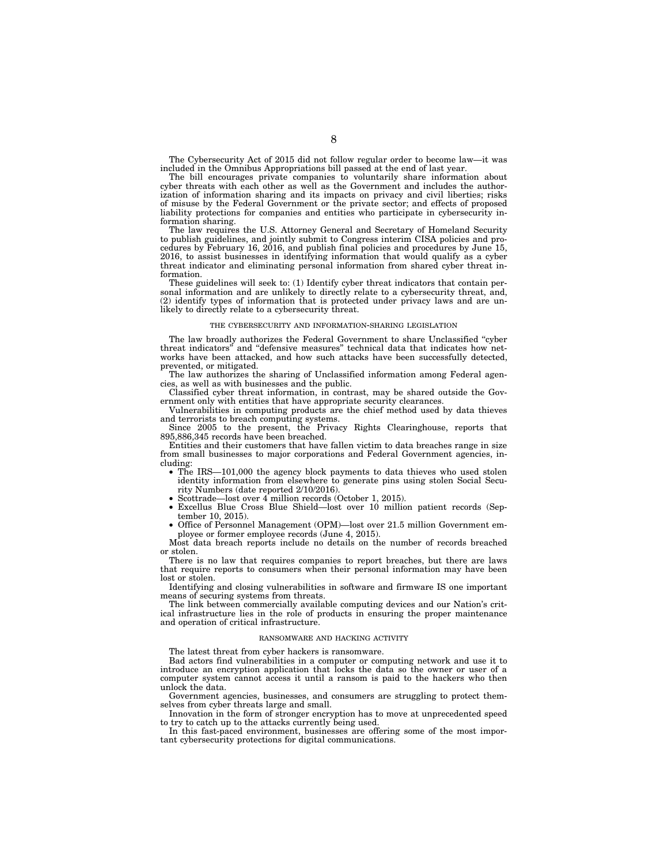The Cybersecurity Act of 2015 did not follow regular order to become law—it was included in the Omnibus Appropriations bill passed at the end of last year.

The bill encourages private companies to voluntarily share information about cyber threats with each other as well as the Government and includes the authorization of information sharing and its impacts on privacy and civil liberties; risks of misuse by the Federal Government or the private sector; and effects of proposed liability protections for companies and entities who participate in cybersecurity information sharing.

The law requires the U.S. Attorney General and Secretary of Homeland Security to publish guidelines, and jointly submit to Congress interim CISA policies and procedures by February 16, 2016, and publish final policies and procedures by June 15, 2016, to assist businesses in identifying information that would qualify as a cyber threat indicator and eliminating personal information from shared cyber threat information.

These guidelines will seek to: (1) Identify cyber threat indicators that contain personal information and are unlikely to directly relate to a cybersecurity threat, and, (2) identify types of information that is protected under privacy laws and are unlikely to directly relate to a cybersecurity threat.

#### THE CYBERSECURITY AND INFORMATION-SHARING LEGISLATION

The law broadly authorizes the Federal Government to share Unclassified ''cyber threat indicators'' and ''defensive measures'' technical data that indicates how networks have been attacked, and how such attacks have been successfully detected, prevented, or mitigated.

The law authorizes the sharing of Unclassified information among Federal agencies, as well as with businesses and the public.

Classified cyber threat information, in contrast, may be shared outside the Government only with entities that have appropriate security clearances.

Vulnerabilities in computing products are the chief method used by data thieves and terrorists to breach computing systems.

Since 2005 to the present, the Privacy Rights Clearinghouse, reports that 895,886,345 records have been breached.

Entities and their customers that have fallen victim to data breaches range in size from small businesses to major corporations and Federal Government agencies, including:<br>• The IRS-

- $-101,000$  the agency block payments to data thieves who used stolen identity information from elsewhere to generate pins using stolen Social Security Numbers (date reported 2/10/2016).
- Scottrade—lost over 4 million records (October 1, 2015).
- Excellus Blue Cross Blue Shield—lost over 10 million patient records (September 10, 2015).
- Office of Personnel Management (OPM)—lost over 21.5 million Government employee or former employee records (June 4, 2015).

Most data breach reports include no details on the number of records breached or stolen.

There is no law that requires companies to report breaches, but there are laws that require reports to consumers when their personal information may have been lost or stolen.

Identifying and closing vulnerabilities in software and firmware IS one important means of securing systems from threats.

The link between commercially available computing devices and our Nation's critical infrastructure lies in the role of products in ensuring the proper maintenance and operation of critical infrastructure.

#### RANSOMWARE AND HACKING ACTIVITY

The latest threat from cyber hackers is ransomware.

Bad actors find vulnerabilities in a computer or computing network and use it to introduce an encryption application that locks the data so the owner or user of a computer system cannot access it until a ransom is paid to the hackers who then unlock the data.

Government agencies, businesses, and consumers are struggling to protect themselves from cyber threats large and small.

Innovation in the form of stronger encryption has to move at unprecedented speed to try to catch up to the attacks currently being used.

In this fast-paced environment, businesses are offering some of the most important cybersecurity protections for digital communications.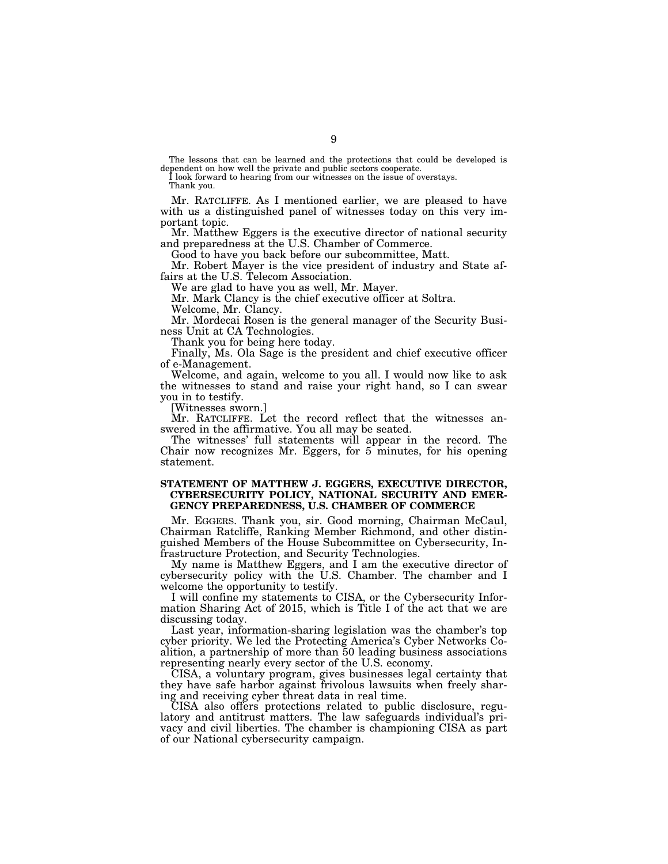The lessons that can be learned and the protections that could be developed is dependent on how well the private and public sectors cooperate.

I look forward to hearing from our witnesses on the issue of overstays.

Thank you.

Mr. RATCLIFFE. As I mentioned earlier, we are pleased to have with us a distinguished panel of witnesses today on this very important topic.

Mr. Matthew Eggers is the executive director of national security and preparedness at the U.S. Chamber of Commerce.

Good to have you back before our subcommittee, Matt.

Mr. Robert Mayer is the vice president of industry and State affairs at the U.S. Telecom Association.

We are glad to have you as well, Mr. Mayer.

Mr. Mark Clancy is the chief executive officer at Soltra.

Welcome, Mr. Clancy.

Mr. Mordecai Rosen is the general manager of the Security Business Unit at CA Technologies.

Thank you for being here today.

Finally, Ms. Ola Sage is the president and chief executive officer of e-Management.

Welcome, and again, welcome to you all. I would now like to ask the witnesses to stand and raise your right hand, so I can swear you in to testify.

[Witnesses sworn.]

Mr. RATCLIFFE. Let the record reflect that the witnesses answered in the affirmative. You all may be seated.

The witnesses' full statements will appear in the record. The Chair now recognizes Mr. Eggers, for 5 minutes, for his opening statement.

# **STATEMENT OF MATTHEW J. EGGERS, EXECUTIVE DIRECTOR, CYBERSECURITY POLICY, NATIONAL SECURITY AND EMER-GENCY PREPAREDNESS, U.S. CHAMBER OF COMMERCE**

Mr. EGGERS. Thank you, sir. Good morning, Chairman McCaul, Chairman Ratcliffe, Ranking Member Richmond, and other distinguished Members of the House Subcommittee on Cybersecurity, Infrastructure Protection, and Security Technologies.

My name is Matthew Eggers, and I am the executive director of cybersecurity policy with the U.S. Chamber. The chamber and I welcome the opportunity to testify.

I will confine my statements to CISA, or the Cybersecurity Information Sharing Act of 2015, which is Title I of the act that we are discussing today.

Last year, information-sharing legislation was the chamber's top cyber priority. We led the Protecting America's Cyber Networks Coalition, a partnership of more than 50 leading business associations representing nearly every sector of the U.S. economy.

CISA, a voluntary program, gives businesses legal certainty that they have safe harbor against frivolous lawsuits when freely sharing and receiving cyber threat data in real time.

CISA also offers protections related to public disclosure, regulatory and antitrust matters. The law safeguards individual's privacy and civil liberties. The chamber is championing CISA as part of our National cybersecurity campaign.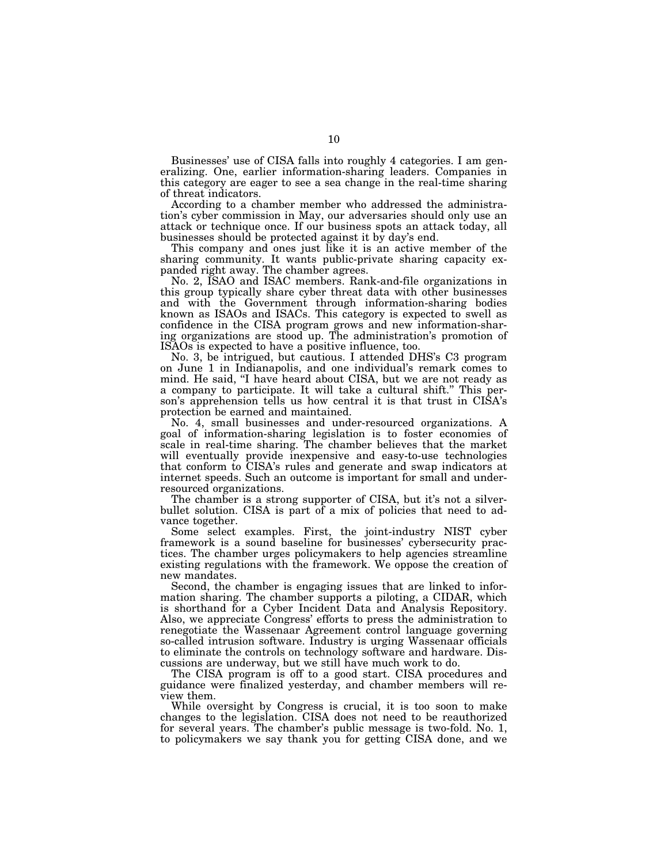Businesses' use of CISA falls into roughly 4 categories. I am generalizing. One, earlier information-sharing leaders. Companies in this category are eager to see a sea change in the real-time sharing of threat indicators.

According to a chamber member who addressed the administration's cyber commission in May, our adversaries should only use an attack or technique once. If our business spots an attack today, all businesses should be protected against it by day's end.

This company and ones just like it is an active member of the sharing community. It wants public-private sharing capacity expanded right away. The chamber agrees.

No. 2, ISAO and ISAC members. Rank-and-file organizations in this group typically share cyber threat data with other businesses and with the Government through information-sharing bodies known as ISAOs and ISACs. This category is expected to swell as confidence in the CISA program grows and new information-sharing organizations are stood up. The administration's promotion of ISAOs is expected to have a positive influence, too.

No. 3, be intrigued, but cautious. I attended DHS's C3 program on June 1 in Indianapolis, and one individual's remark comes to mind. He said, ''I have heard about CISA, but we are not ready as a company to participate. It will take a cultural shift.'' This person's apprehension tells us how central it is that trust in CISA's protection be earned and maintained.

No. 4, small businesses and under-resourced organizations. A goal of information-sharing legislation is to foster economies of scale in real-time sharing. The chamber believes that the market will eventually provide inexpensive and easy-to-use technologies that conform to CISA's rules and generate and swap indicators at internet speeds. Such an outcome is important for small and underresourced organizations.

The chamber is a strong supporter of CISA, but it's not a silverbullet solution. CISA is part of a mix of policies that need to advance together.

Some select examples. First, the joint-industry NIST cyber framework is a sound baseline for businesses' cybersecurity practices. The chamber urges policymakers to help agencies streamline existing regulations with the framework. We oppose the creation of new mandates.

Second, the chamber is engaging issues that are linked to information sharing. The chamber supports a piloting, a CIDAR, which is shorthand for a Cyber Incident Data and Analysis Repository. Also, we appreciate Congress' efforts to press the administration to renegotiate the Wassenaar Agreement control language governing so-called intrusion software. Industry is urging Wassenaar officials to eliminate the controls on technology software and hardware. Discussions are underway, but we still have much work to do.

The CISA program is off to a good start. CISA procedures and guidance were finalized yesterday, and chamber members will review them.

While oversight by Congress is crucial, it is too soon to make changes to the legislation. CISA does not need to be reauthorized for several years. The chamber's public message is two-fold. No. 1, to policymakers we say thank you for getting CISA done, and we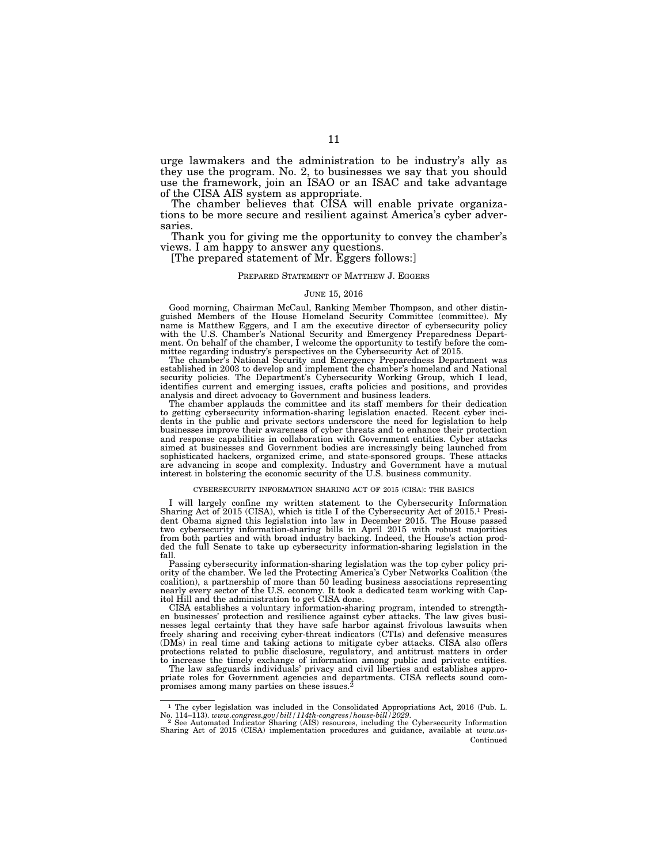urge lawmakers and the administration to be industry's ally as they use the program. No. 2, to businesses we say that you should use the framework, join an ISAO or an ISAC and take advantage of the CISA AIS system as appropriate.

The chamber believes that CISA will enable private organizations to be more secure and resilient against America's cyber adversaries.

Thank you for giving me the opportunity to convey the chamber's views. I am happy to answer any questions.

[The prepared statement of Mr. Eggers follows:]

# PREPARED STATEMENT OF MATTHEW J. EGGERS

# JUNE 15, 2016

Good morning, Chairman McCaul, Ranking Member Thompson, and other distinguished Members of the House Homeland Security Committee (committee). My name is Matthew Eggers, and I am the executive director of cybersecurity policy with the U.S. Chamber's National Security and Emergency Preparedness Department. On behalf of the chamber, I welcome the opportunity to testify before the committee regarding industry's perspectives on the Cybersecurity Act of 2015.

The chamber's National Security and Emergency Preparedness Department was established in 2003 to develop and implement the chamber's homeland and National security policies. The Department's Cybersecurity Working Group, which I lead, identifies current and emerging issues, crafts policies and positions, and provides analysis and direct advocacy to Government and business leaders.

The chamber applauds the committee and its staff members for their dedication to getting cybersecurity information-sharing legislation enacted. Recent cyber incidents in the public and private sectors underscore the need for legislation to help businesses improve their awareness of cyber threats and to enhance their protection and response capabilities in collaboration with Government entities. Cyber attacks aimed at businesses and Government bodies are increasingly being launched from sophisticated hackers, organized crime, and state-sponsored groups. These attacks are advancing in scope and complexity. Industry and Government have a mutual interest in bolstering the economic security of the U.S. business community.

## CYBERSECURITY INFORMATION SHARING ACT OF 2015 (CISA): THE BASICS

I will largely confine my written statement to the Cybersecurity Information Sharing Act of 2015 (CISA), which is title I of the Cybersecurity Act of 2015.1 President Obama signed this legislation into law in December 2015. The House passed two cybersecurity information-sharing bills in April 2015 with robust majorities from both parties and with broad industry backing. Indeed, the House's action prodded the full Senate to take up cybersecurity information-sharing legislation in the fall.

Passing cybersecurity information-sharing legislation was the top cyber policy priority of the chamber. We led the Protecting America's Cyber Networks Coalition (the coalition), a partnership of more than 50 leading business associations representing nearly every sector of the U.S. economy. It took a dedicated team working with Capitol Hill and the administration to get CISA done.

CISA establishes a voluntary information-sharing program, intended to strengthen businesses' protection and resilience against cyber attacks. The law gives businesses legal certainty that they have safe harbor against frivolous lawsuits when freely sharing and receiving cyber-threat indicators (CTIs) and defensive measures (DMs) in real time and taking actions to mitigate cyber attacks. CISA also offers protections related to public disclosure, regulatory, and antitrust matters in order to increase the timely exchange of information among public and private entities.

The law safeguards individuals' privacy and civil liberties and establishes appropriate roles for Government agencies and departments. CISA reflects sound compromises among many parties on these issues.2

<sup>&</sup>lt;sup>1</sup> The cyber legislation was included in the Consolidated Appropriations Act, 2016 (Pub. L. No. 114–113). *www.congress.gov/bill/114th-congress/house-bill/2029*.<br><sup>2</sup> See Automated Indicator Sharing (AIS) resources, inclu

Sharing Act of 2015 (CISA) implementation procedures and guidance, available at *www.us-*Continued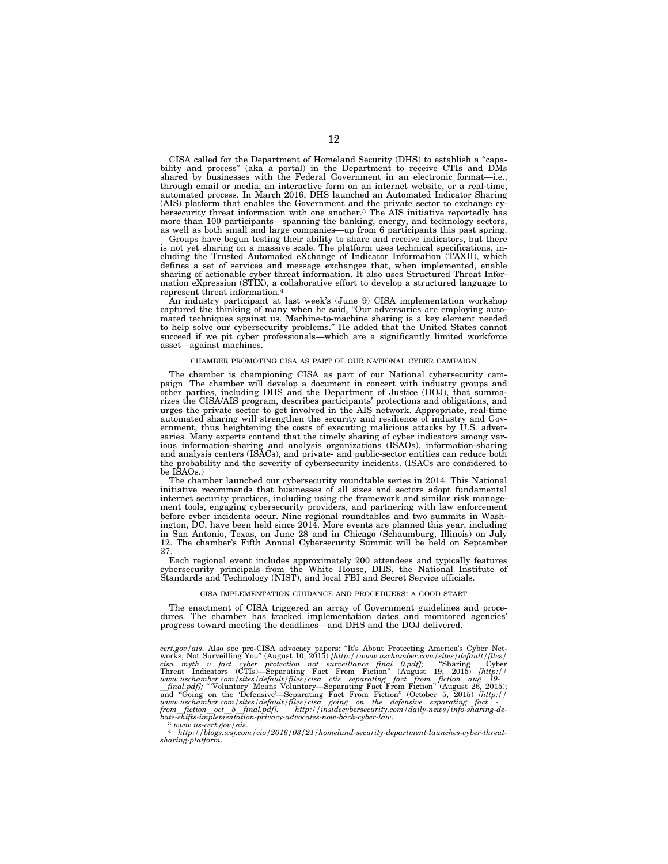CISA called for the Department of Homeland Security (DHS) to establish a ''capability and process'' (aka a portal) in the Department to receive CTIs and DMs shared by businesses with the Federal Government in an electronic format—i.e., through email or media, an interactive form on an internet website, or a real-time, automated process. In March 2016, DHS launched an Automated Indicator Sharing (AIS) platform that enables the Government and the private sector to exchange cybersecurity threat information with one another.3 The AIS initiative reportedly has more than 100 participants—spanning the banking, energy, and technology sectors, as well as both small and large companies—up from 6 participants this past spring.

Groups have begun testing their ability to share and receive indicators, but there is not yet sharing on a massive scale. The platform uses technical specifications, including the Trusted Automated eXchange of Indicator Information (TAXII), which defines a set of services and message exchanges that, when implemented, enable sharing of actionable cyber threat information. It also uses Structured Threat Information eXpression (STIX), a collaborative effort to develop a structured language to represent threat information.

An industry participant at last week's (June 9) CISA implementation workshop captured the thinking of many when he said, "Our adversaries are employing automated techniques against us. Machine-to-machine sharing is a key element needed to help solve our cybersecurity problems.'' He added that the United States cannot succeed if we pit cyber professionals—which are a significantly limited workforce asset—against machines.

# CHAMBER PROMOTING CISA AS PART OF OUR NATIONAL CYBER CAMPAIGN

The chamber is championing CISA as part of our National cybersecurity campaign. The chamber will develop a document in concert with industry groups and other parties, including DHS and the Department of Justice (DOJ), that summarizes the CISA/AIS program, describes participants' protections and obligations, and urges the private sector to get involved in the AIS network. Appropriate, real-time automated sharing will strengthen the security and resilience of industry and Government, thus heightening the costs of executing malicious attacks by U.S. adversaries. Many experts contend that the timely sharing of cyber indicators among various information-sharing and analysis organizations (ISAOs), information-sharing and analysis centers (ISACs), and private- and public-sector entities can reduce both the probability and the severity of cybersecurity incidents. (ISACs are considered to be ISAOs.)

The chamber launched our cybersecurity roundtable series in 2014. This National initiative recommends that businesses of all sizes and sectors adopt fundamental internet security practices, including using the framework and similar risk management tools, engaging cybersecurity providers, and partnering with law enforcement before cyber incidents occur. Nine regional roundtables and two summits in Washington, DC, have been held since 2014. More events are planned this year, including in San Antonio, Texas, on June 28 and in Chicago (Schaumburg, Illinois) on July 12. The chamber's Fifth Annual Cybersecurity Summit will be held on September 27.

Each regional event includes approximately 200 attendees and typically features cybersecurity principals from the White House, DHS, the National Institute of Standards and Technology (NIST), and local FBI and Secret Service officials.

#### CISA IMPLEMENTATION GUIDANCE AND PROCEDUERS: A GOOD START

The enactment of CISA triggered an array of Government guidelines and procedures. The chamber has tracked implementation dates and monitored agencies' progress toward meeting the deadlines—and DHS and the DOJ delivered.

cert.gov/ais. Also see pro-CISA advocacy papers: "It's About Protecting America's Cyber Net-<br>works, Not Surveilling You" (August 10, 2015) [http://www.uschanber.com/sites/default/files/<br>cisa myth v\_fact cyber protection n

*sharing-platform*.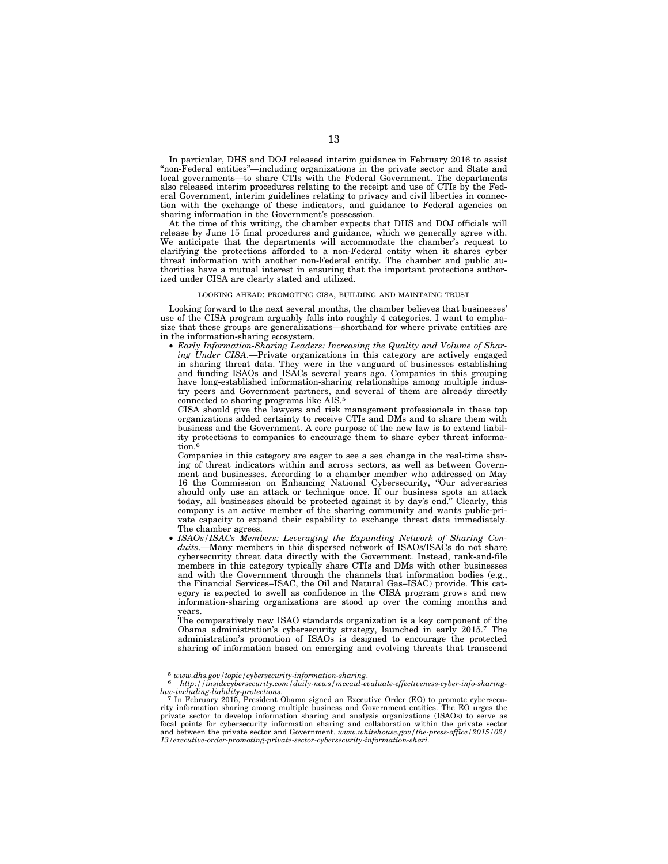In particular, DHS and DOJ released interim guidance in February 2016 to assist ''non-Federal entities''—including organizations in the private sector and State and local governments—to share CTIs with the Federal Government. The departments also released interim procedures relating to the receipt and use of CTIs by the Federal Government, interim guidelines relating to privacy and civil liberties in connection with the exchange of these indicators, and guidance to Federal agencies on sharing information in the Government's possession.

At the time of this writing, the chamber expects that DHS and DOJ officials will release by June 15 final procedures and guidance, which we generally agree with. We anticipate that the departments will accommodate the chamber's request to clarifying the protections afforded to a non-Federal entity when it shares cyber threat information with another non-Federal entity. The chamber and public authorities have a mutual interest in ensuring that the important protections authorized under CISA are clearly stated and utilized.

# LOOKING AHEAD: PROMOTING CISA, BUILDING AND MAINTAING TRUST

Looking forward to the next several months, the chamber believes that businesses' use of the CISA program arguably falls into roughly 4 categories. I want to emphasize that these groups are generalizations—shorthand for where private entities are in the information-sharing ecosystem.

• *Early Information-Sharing Leaders: Increasing the Quality and Volume of Sharing Under CISA*.—Private organizations in this category are actively engaged in sharing threat data. They were in the vanguard of businesses establishing and funding ISAOs and ISACs several years ago. Companies in this grouping have long-established information-sharing relationships among multiple industry peers and Government partners, and several of them are already directly connected to sharing programs like AIS.5

CISA should give the lawyers and risk management professionals in these top organizations added certainty to receive CTIs and DMs and to share them with business and the Government. A core purpose of the new law is to extend liability protections to companies to encourage them to share cyber threat information.<sup>6</sup>

Companies in this category are eager to see a sea change in the real-time sharing of threat indicators within and across sectors, as well as between Government and businesses. According to a chamber member who addressed on May 16 the Commission on Enhancing National Cybersecurity, ''Our adversaries should only use an attack or technique once. If our business spots an attack today, all businesses should be protected against it by day's end.'' Clearly, this company is an active member of the sharing community and wants public-private capacity to expand their capability to exchange threat data immediately. The chamber agrees.

• *ISAOs/ISACs Members: Leveraging the Expanding Network of Sharing Conduits*.—Many members in this dispersed network of ISAOs/ISACs do not share cybersecurity threat data directly with the Government. Instead, rank-and-file members in this category typically share CTIs and DMs with other businesses and with the Government through the channels that information bodies (e.g., the Financial Services–ISAC, the Oil and Natural Gas–ISAC) provide. This category is expected to swell as confidence in the CISA program grows and new information-sharing organizations are stood up over the coming months and years.

The comparatively new ISAO standards organization is a key component of the Obama administration's cybersecurity strategy, launched in early 2015.7 The administration's promotion of ISAOs is designed to encourage the protected sharing of information based on emerging and evolving threats that transcend

<sup>5</sup> *www.dhs.gov/topic/cybersecurity-information-sharing*. 6 *http://insidecybersecurity.com/daily-news/mccaul-evaluate-effectiveness-cyber-info-sharing-*

law-including-liability-protections.<br><sup>7</sup> In February 2015, President Obama signed an Executive Order (EO) to promote cybersecu-<br>rity information sharing among multiple business and Government entities. The EO urges the<br>pri focal points for cybersecurity information sharing and collaboration within the private sector and between the private sector and Government. *www.whitehouse.gov/the-press-office/2015/02/ 13/executive-order-promoting-private-sector-cybersecurity-information-shari.*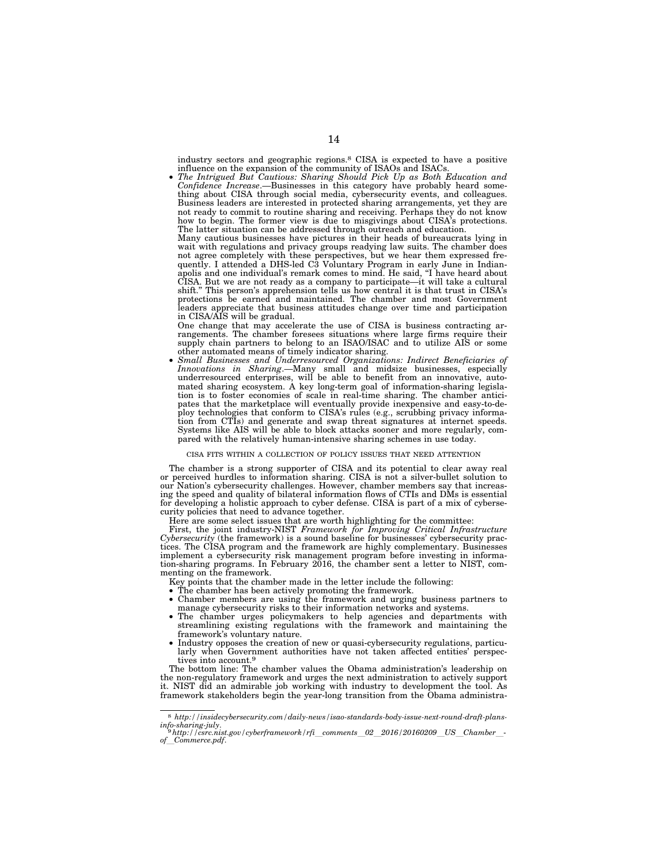industry sectors and geographic regions.8 CISA is expected to have a positive influence on the expansion of the community of ISAOs and ISACs.

• *The Intrigued But Cautious: Sharing Should Pick Up as Both Education and Confidence Increase*.—Businesses in this category have probably heard something about CISA through social media, cybersecurity events, and colleagues. Business leaders are interested in protected sharing arrangements, yet they are not ready to commit to routine sharing and receiving. Perhaps they do not know how to begin. The former view is due to misgivings about CISA's protections. The latter situation can be addressed through outreach and education.

Many cautious businesses have pictures in their heads of bureaucrats lying in wait with regulations and privacy groups readying law suits. The chamber does not agree completely with these perspectives, but we hear them expressed frequently. I attended a DHS-led C3 Voluntary Program in early June in Indianapolis and one individual's remark comes to mind. He said, ''I have heard about CISA. But we are not ready as a company to participate—it will take a cultural shift.'' This person's apprehension tells us how central it is that trust in CISA's protections be earned and maintained. The chamber and most Government leaders appreciate that business attitudes change over time and participation in CISA/AIS will be gradual.

One change that may accelerate the use of CISA is business contracting arrangements. The chamber foresees situations where large firms require their supply chain partners to belong to an ISAO/ISAC and to utilize AIS or some other automated means of timely indicator sharing.

• *Small Businesses and Underresourced Organizations: Indirect Beneficiaries of Innovations in Sharing*.—Many small and midsize businesses, especially underresourced enterprises, will be able to benefit from an innovative, automated sharing ecosystem. A key long-term goal of information-sharing legislation is to foster economies of scale in real-time sharing. The chamber anticipates that the marketplace will eventually provide inexpensive and easy-to-deploy technologies that conform to CISA's rules (e.g., scrubbing privacy information from CTIs) and generate and swap threat signatures at internet speeds. Systems like AIS will be able to block attacks sooner and more regularly, compared with the relatively human-intensive sharing schemes in use today.

# CISA FITS WITHIN A COLLECTION OF POLICY ISSUES THAT NEED ATTENTION

The chamber is a strong supporter of CISA and its potential to clear away real or perceived hurdles to information sharing. CISA is not a silver-bullet solution to our Nation's cybersecurity challenges. However, chamber members say that increasing the speed and quality of bilateral information flows of CTIs and DMs is essential for developing a holistic approach to cyber defense. CISA is part of a mix of cybersecurity policies that need to advance together.

Here are some select issues that are worth highlighting for the committee:

First, the joint industry-NIST *Framework for Improving Critical Infrastructure Cybersecurity* (the framework) is a sound baseline for businesses' cybersecurity practices. The CISA program and the framework are highly complementary. Businesses implement a cybersecurity risk management program before investing in information-sharing programs. In February 2016, the chamber sent a letter to NIST, commenting on the framework.

Key points that the chamber made in the letter include the following:

- The chamber has been actively promoting the framework.
- Chamber members are using the framework and urging business partners to manage cybersecurity risks to their information networks and systems.
- The chamber urges policymakers to help agencies and departments with streamlining existing regulations with the framework and maintaining the framework's voluntary nature.
- Industry opposes the creation of new or quasi-cybersecurity regulations, particularly when Government authorities have not taken affected entities' perspectives into account.9

The bottom line: The chamber values the Obama administration's leadership on the non-regulatory framework and urges the next administration to actively support it. NIST did an admirable job working with industry to development the tool. As framework stakeholders begin the year-long transition from the Obama administra-

<sup>8</sup> *http://insidecybersecurity.com/daily-news/isao-standards-body-issue-next-round-draft-plans-*

*info-sharing-july*. 9*http://csrc.nist.gov/cyberframework/rfi*l*comments*l*02*l*2016/20160209*l*US*l*Chamber*l-*of*l*Commerce.pdf*.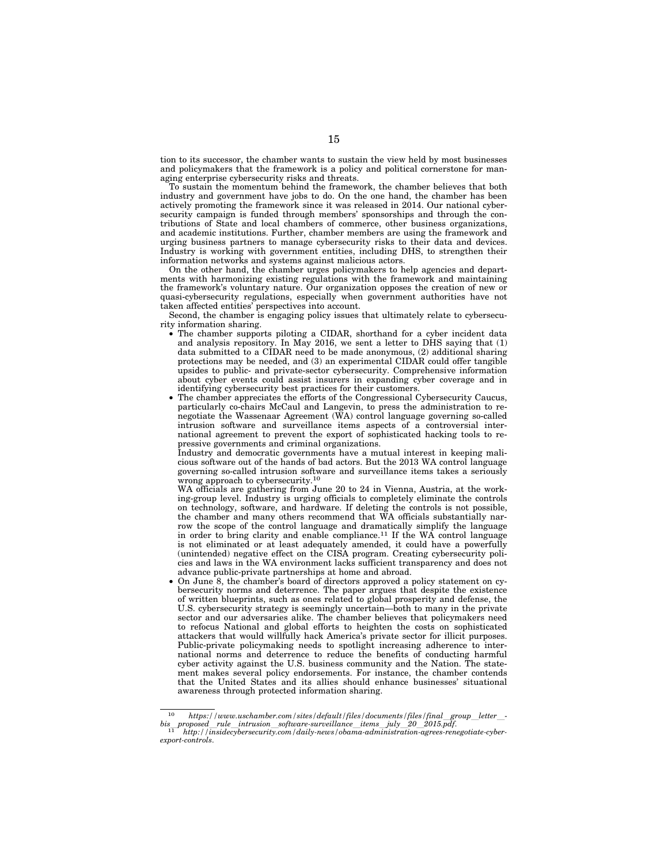tion to its successor, the chamber wants to sustain the view held by most businesses and policymakers that the framework is a policy and political cornerstone for managing enterprise cybersecurity risks and threats.

To sustain the momentum behind the framework, the chamber believes that both industry and government have jobs to do. On the one hand, the chamber has been actively promoting the framework since it was released in 2014. Our national cybersecurity campaign is funded through members' sponsorships and through the contributions of State and local chambers of commerce, other business organizations, and academic institutions. Further, chamber members are using the framework and urging business partners to manage cybersecurity risks to their data and devices. Industry is working with government entities, including DHS, to strengthen their information networks and systems against malicious actors.

On the other hand, the chamber urges policymakers to help agencies and departments with harmonizing existing regulations with the framework and maintaining the framework's voluntary nature. Our organization opposes the creation of new or quasi-cybersecurity regulations, especially when government authorities have not taken affected entities' perspectives into account.

Second, the chamber is engaging policy issues that ultimately relate to cybersecurity information sharing.

- The chamber supports piloting a CIDAR, shorthand for a cyber incident data and analysis repository. In May 2016, we sent a letter to DHS saying that (1) data submitted to a CIDAR need to be made anonymous,  $(2)$  additional sharing protections may be needed, and (3) an experimental CIDAR could offer tangible upsides to public- and private-sector cybersecurity. Comprehensive information about cyber events could assist insurers in expanding cyber coverage and in identifying cybersecurity best practices for their customers.
- The chamber appreciates the efforts of the Congressional Cybersecurity Caucus, particularly co-chairs McCaul and Langevin, to press the administration to renegotiate the Wassenaar Agreement (WA) control language governing so-called intrusion software and surveillance items aspects of a controversial international agreement to prevent the export of sophisticated hacking tools to repressive governments and criminal organizations.

Industry and democratic governments have a mutual interest in keeping malicious software out of the hands of bad actors. But the 2013 WA control language governing so-called intrusion software and surveillance items takes a seriously wrong approach to cybersecurity.10

WA officials are gathering from June 20 to 24 in Vienna, Austria, at the working-group level. Industry is urging officials to completely eliminate the controls on technology, software, and hardware. If deleting the controls is not possible, the chamber and many others recommend that WA officials substantially narrow the scope of the control language and dramatically simplify the language in order to bring clarity and enable compliance.11 If the WA control language is not eliminated or at least adequately amended, it could have a powerfully (unintended) negative effect on the CISA program. Creating cybersecurity policies and laws in the WA environment lacks sufficient transparency and does not advance public-private partnerships at home and abroad.

• On June 8, the chamber's board of directors approved a policy statement on cybersecurity norms and deterrence. The paper argues that despite the existence of written blueprints, such as ones related to global prosperity and defense, the U.S. cybersecurity strategy is seemingly uncertain—both to many in the private sector and our adversaries alike. The chamber believes that policymakers need to refocus National and global efforts to heighten the costs on sophisticated attackers that would willfully hack America's private sector for illicit purposes. Public-private policymaking needs to spotlight increasing adherence to international norms and deterrence to reduce the benefits of conducting harmful cyber activity against the U.S. business community and the Nation. The statement makes several policy endorsements. For instance, the chamber contends that the United States and its allies should enhance businesses' situational awareness through protected information sharing.

<sup>10</sup> *https://www.uschamber.com/sites/default/files/documents/files/final\_group\_letter\_*-

bis\_proposed\_rule\_intrusion\_software-surveillance\_items\_july\_20\_2015.pdf.  $11$  http://insidecybersecurity.com/daily-news/obama-administration-agrees-renegotiate-cyber*export-controls*.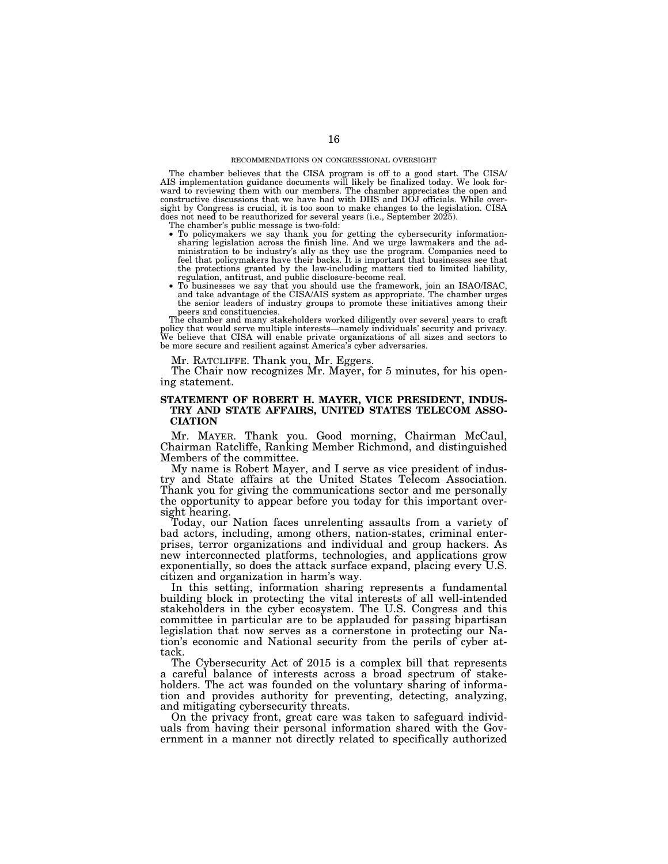# RECOMMENDATIONS ON CONGRESSIONAL OVERSIGHT

The chamber believes that the CISA program is off to a good start. The CISA/ AIS implementation guidance documents will likely be finalized today. We look forward to reviewing them with our members. The chamber appreciates the open and constructive discussions that we have had with DHS and DOJ officials. While oversight by Congress is crucial, it is too soon to make changes to the legislation. CISA does not need to be reauthorized for several years (i.e., September 2025).

The chamber's public message is two-fold:

- To policymakers we say thank you for getting the cybersecurity information-sharing legislation across the finish line. And we urge lawmakers and the administration to be industry's ally as they use the program. Companies need to feel that policymakers have their backs. It is important that businesses see that the protections granted by the law-including matters tied to limited liability, regulation, antitrust, and public disclosure-become real.
- regulation, antitrust, and public disclosure-become real. To businesses we say that you should use the framework, join an ISAO/ISAC, and take advantage of the CISA/AIS system as appropriate. The chamber urges the senior leaders of industry groups to promote these initiatives among their peers and constituencies.

The chamber and many stakeholders worked diligently over several years to craft policy that would serve multiple interests—namely individuals' security and privacy. We believe that CISA will enable private organizations of all sizes and sectors to be more secure and resilient against America's cyber adversaries.

Mr. RATCLIFFE. Thank you, Mr. Eggers.

The Chair now recognizes Mr. Mayer, for 5 minutes, for his opening statement.

# **STATEMENT OF ROBERT H. MAYER, VICE PRESIDENT, INDUS-TRY AND STATE AFFAIRS, UNITED STATES TELECOM ASSO-CIATION**

Mr. MAYER. Thank you. Good morning, Chairman McCaul, Chairman Ratcliffe, Ranking Member Richmond, and distinguished Members of the committee.

My name is Robert Mayer, and I serve as vice president of industry and State affairs at the United States Telecom Association. Thank you for giving the communications sector and me personally the opportunity to appear before you today for this important oversight hearing.

Today, our Nation faces unrelenting assaults from a variety of bad actors, including, among others, nation-states, criminal enterprises, terror organizations and individual and group hackers. As new interconnected platforms, technologies, and applications grow exponentially, so does the attack surface expand, placing every U.S. citizen and organization in harm's way.

In this setting, information sharing represents a fundamental building block in protecting the vital interests of all well-intended stakeholders in the cyber ecosystem. The U.S. Congress and this committee in particular are to be applauded for passing bipartisan legislation that now serves as a cornerstone in protecting our Nation's economic and National security from the perils of cyber attack.

The Cybersecurity Act of 2015 is a complex bill that represents a careful balance of interests across a broad spectrum of stakeholders. The act was founded on the voluntary sharing of information and provides authority for preventing, detecting, analyzing, and mitigating cybersecurity threats.

On the privacy front, great care was taken to safeguard individuals from having their personal information shared with the Government in a manner not directly related to specifically authorized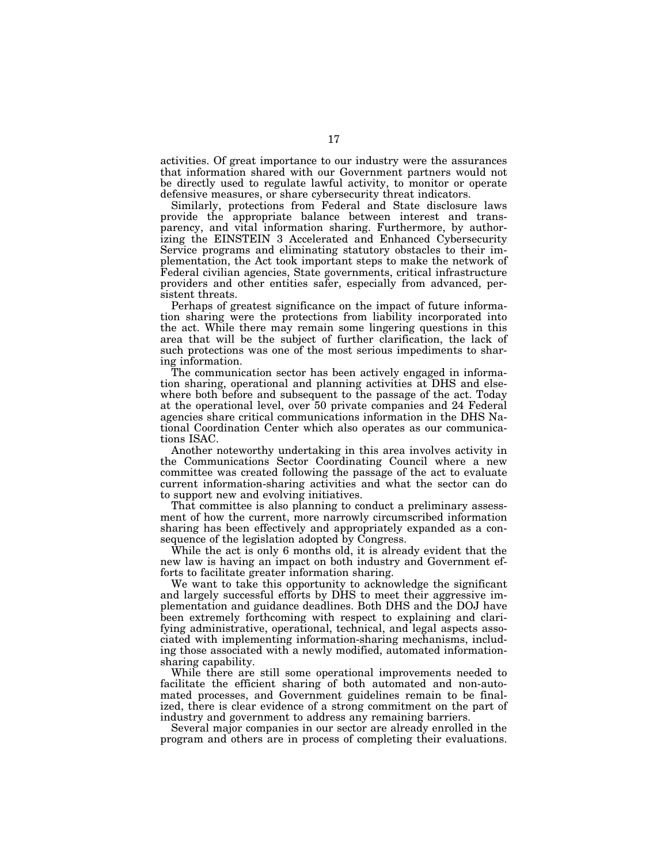activities. Of great importance to our industry were the assurances that information shared with our Government partners would not be directly used to regulate lawful activity, to monitor or operate defensive measures, or share cybersecurity threat indicators.

Similarly, protections from Federal and State disclosure laws provide the appropriate balance between interest and transparency, and vital information sharing. Furthermore, by authorizing the EINSTEIN 3 Accelerated and Enhanced Cybersecurity Service programs and eliminating statutory obstacles to their implementation, the Act took important steps to make the network of Federal civilian agencies, State governments, critical infrastructure providers and other entities safer, especially from advanced, persistent threats.

Perhaps of greatest significance on the impact of future information sharing were the protections from liability incorporated into the act. While there may remain some lingering questions in this area that will be the subject of further clarification, the lack of such protections was one of the most serious impediments to sharing information.

The communication sector has been actively engaged in information sharing, operational and planning activities at DHS and elsewhere both before and subsequent to the passage of the act. Today at the operational level, over 50 private companies and 24 Federal agencies share critical communications information in the DHS National Coordination Center which also operates as our communications ISAC.

Another noteworthy undertaking in this area involves activity in the Communications Sector Coordinating Council where a new committee was created following the passage of the act to evaluate current information-sharing activities and what the sector can do to support new and evolving initiatives.

That committee is also planning to conduct a preliminary assessment of how the current, more narrowly circumscribed information sharing has been effectively and appropriately expanded as a consequence of the legislation adopted by Congress.

While the act is only 6 months old, it is already evident that the new law is having an impact on both industry and Government efforts to facilitate greater information sharing.

We want to take this opportunity to acknowledge the significant and largely successful efforts by DHS to meet their aggressive implementation and guidance deadlines. Both DHS and the DOJ have been extremely forthcoming with respect to explaining and clarifying administrative, operational, technical, and legal aspects associated with implementing information-sharing mechanisms, including those associated with a newly modified, automated informationsharing capability.

While there are still some operational improvements needed to facilitate the efficient sharing of both automated and non-automated processes, and Government guidelines remain to be finalized, there is clear evidence of a strong commitment on the part of industry and government to address any remaining barriers.

Several major companies in our sector are already enrolled in the program and others are in process of completing their evaluations.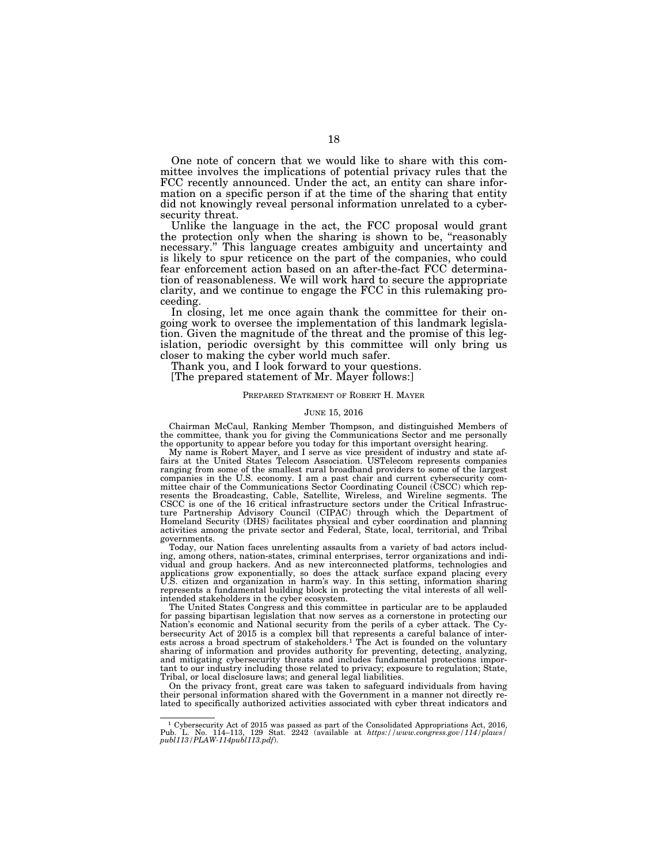One note of concern that we would like to share with this committee involves the implications of potential privacy rules that the FCC recently announced. Under the act, an entity can share information on a specific person if at the time of the sharing that entity did not knowingly reveal personal information unrelated to a cybersecurity threat.

Unlike the language in the act, the FCC proposal would grant the protection only when the sharing is shown to be, "reasonably necessary.'' This language creates ambiguity and uncertainty and is likely to spur reticence on the part of the companies, who could fear enforcement action based on an after-the-fact FCC determination of reasonableness. We will work hard to secure the appropriate clarity, and we continue to engage the FCC in this rulemaking proceeding.

In closing, let me once again thank the committee for their ongoing work to oversee the implementation of this landmark legislation. Given the magnitude of the threat and the promise of this legislation, periodic oversight by this committee will only bring us closer to making the cyber world much safer.

Thank you, and I look forward to your questions.

[The prepared statement of Mr. Mayer follows:]

# PREPARED STATEMENT OF ROBERT H. MAYER

# JUNE 15, 2016

Chairman McCaul, Ranking Member Thompson, and distinguished Members of the committee, thank you for giving the Communications Sector and me personally the opportunity to appear before you today for this important oversight hearing.

My name is Robert Mayer, and I serve as vice president of industry and state af-fairs at the United States Telecom Association. USTelecom represents companies ranging from some of the smallest rural broadband providers to some of the largest companies in the U.S. economy. I am a past chair and current cybersecurity committee chair of the Communications Sector Coordinating Council (CSCC) which represents the Broadcasting, Cable, Satellite, Wireless, and Wireline segments. The CSCC is one of the 16 critical infrastructure sectors under the Critical Infrastructure Partnership Advisory Council (CIPAC) through which th activities among the private sector and Federal, State, local, territorial, and Tribal governments.

Today, our Nation faces unrelenting assaults from a variety of bad actors including, among others, nation-states, criminal enterprises, terror organizations and individual and group hackers. And as new interconnected platforms, technologies and applications grow exponentially, so does the attack surface expand placing every U.S. citizen and organization in harm's way. In this setting, information sharing represents a fundamental building block in protecting the vital interests of all wellintended stakeholders in the cyber ecosystem.

The United States Congress and this committee in particular are to be applauded for passing bipartisan legislation that now serves as a cornerstone in protecting our Nation's economic and National security from the perils of a cyber attack. The Cybersecurity Act of 2015 is a complex bill that represents a careful balance of interests across a broad spectrum of stakeholders.1 The Act is founded on the voluntary sharing of information and provides authority for preventing, detecting, analyzing, and mitigating cybersecurity threats and includes fundamental protections important to our industry including those related to privacy; exposure to regulation; State, Tribal, or local disclosure laws; and general legal liabilities.

On the privacy front, great care was taken to safeguard individuals from having their personal information shared with the Government in a manner not directly related to specifically authorized activities associated with cyber threat indicators and

<sup>1</sup> Cybersecurity Act of 2015 was passed as part of the Consolidated Appropriations Act, 2016, Pub. L. No. 114–113, 129 Stat. 2242 (available at *https://www.congress.gov/114/plaws/ publ113/PLAW-114publ113.pdf*).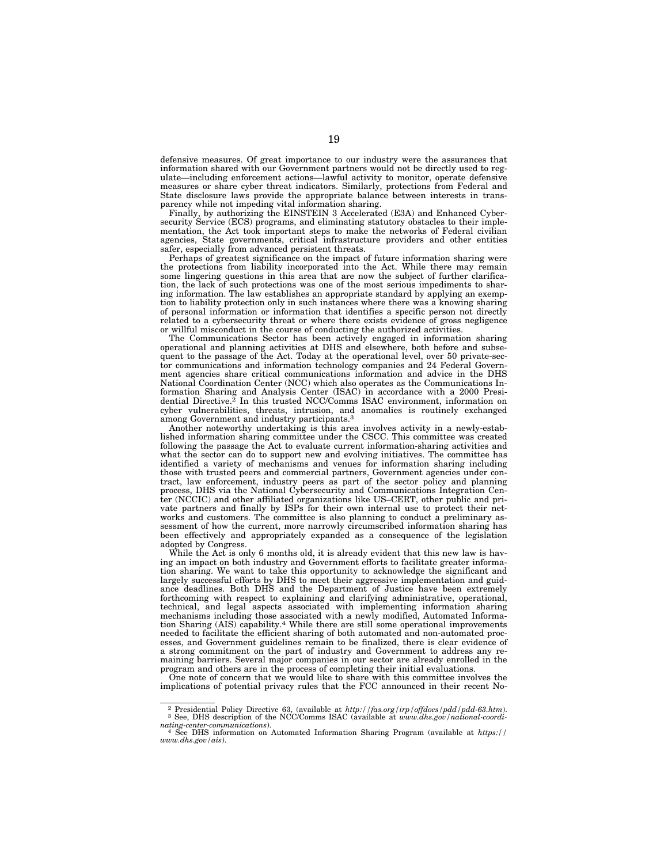defensive measures. Of great importance to our industry were the assurances that information shared with our Government partners would not be directly used to regulate—including enforcement actions—lawful activity to monitor, operate defensive measures or share cyber threat indicators. Similarly, protections from Federal and State disclosure laws provide the appropriate balance between interests in transparency while not impeding vital information sharing.

Finally, by authorizing the EINSTEIN 3 Accelerated (E3A) and Enhanced Cybersecurity Service (ECS) programs, and eliminating statutory obstacles to their implementation, the Act took important steps to make the networks of Federal civilian agencies, State governments, critical infrastructure providers and other entities safer, especially from advanced persistent threats.

Perhaps of greatest significance on the impact of future information sharing were the protections from liability incorporated into the Act. While there may remain some lingering questions in this area that are now the subject of further clarification, the lack of such protections was one of the most serious impediments to sharing information. The law establishes an appropriate standard by applying an exemption to liability protection only in such instances where there was a knowing sharing of personal information or information that identifies a specific person not directly related to a cybersecurity threat or where there exists evidence of gross negligence or willful misconduct in the course of conducting the authorized activities.

The Communications Sector has been actively engaged in information sharing operational and planning activities at DHS and elsewhere, both before and subsequent to the passage of the Act. Today at the operational level, over 50 private-sector communications and information technology companies and 24 Federal Government agencies share critical communications information and advice in the DHS National Coordination Center (NCC) which also operates as the Communications Information Sharing and Analysis Center (ISAC) in accordance with a 2000 Presi-dential Directive.2 In this trusted NCC/Comms ISAC environment, information on cyber vulnerabilities, threats, intrusion, and anomalies is routinely exchanged among Government and industry participants.3

Another noteworthy undertaking is this area involves activity in a newly-established information sharing committee under the CSCC. This committee was created following the passage the Act to evaluate current information-sharing activities and what the sector can do to support new and evolving initiatives. The committee has identified a variety of mechanisms and venues for information sharing including those with trusted peers and commercial partners, Government agencies under contract, law enforcement, industry peers as part of the sector policy and planning process, DHS via the National Cybersecurity and Communications Integration Center (NCCIC) and other affiliated organizations like US–CERT, other public and private partners and finally by ISPs for their own internal use to protect their networks and customers. The committee is also planning to conduct a preliminary assessment of how the current, more narrowly circumscribed information sharing has been effectively and appropriately expanded as a consequence of the legislation adopted by Congress.

While the Act is only 6 months old, it is already evident that this new law is having an impact on both industry and Government efforts to facilitate greater information sharing. We want to take this opportunity to acknowledge the significant and largely successful efforts by DHS to meet their aggressive implementation and guidance deadlines. Both DHS and the Department of Justice have been extremely forthcoming with respect to explaining and clarifying administrative, operational, technical, and legal aspects associated with implementing information sharing mechanisms including those associated with a newly modified, Automated Information Sharing (AIS) capability.<sup>4</sup> While there are still some operational improvements needed to facilitate the efficient sharing of both automated and non-automated processes, and Government guidelines remain to be finalized, there is clear evidence of a strong commitment on the part of industry and Government to address any remaining barriers. Several major companies in our sector are already enrolled in the program and others are in the process of completing their initial evaluations.

One note of concern that we would like to share with this committee involves the implications of potential privacy rules that the FCC announced in their recent No-

<sup>&</sup>lt;sup>2</sup> Presidential Policy Directive 63, (available at *http://fas.org/irp/offdocs/pdd/pdd-63.htm*). <sup>3</sup> See, DHS description of the NCC/Comms ISAC (available at *www.dhs.gov/national-coordinating-center-communications*).

<sup>&</sup>lt;sup>4</sup> See DHS information on Automated Information Sharing Program (available at *https:// www.dhs.gov/ais*).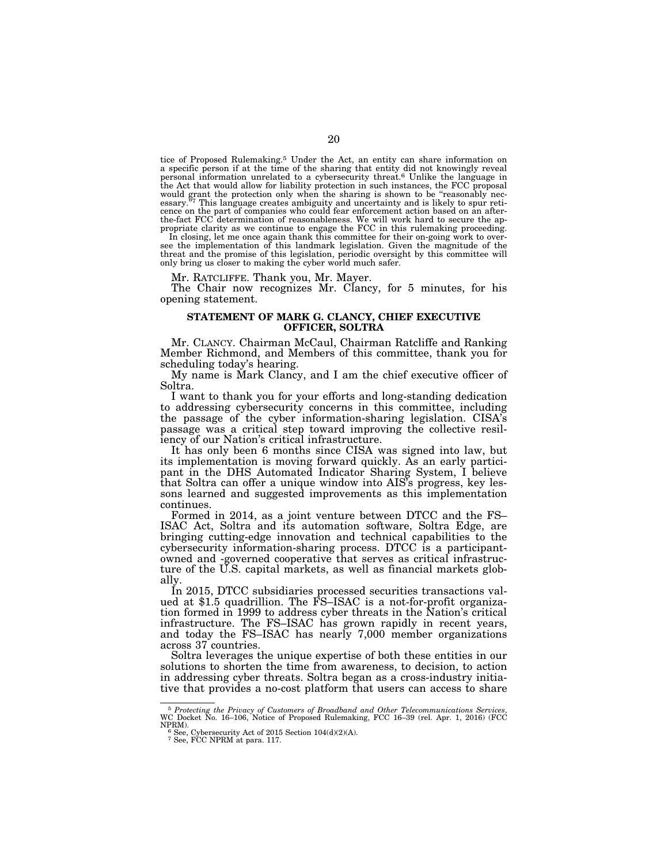tice of Proposed Rulemaking.5 Under the Act, an entity can share information on a specific person if at the time of the sharing that entity did not knowingly reveal personal information unrelated to a cybersecurity threat.6 Unlike the language in the Act that would allow for liability protection in such instances, the FCC proposal would grant the protection only when the sharing is shown to be "reasonably necessary.<sup>57</sup> This language creates ambiguity and uncertainty and is likely to spur reti-<br>cence on the part of companies who could fear enforcement action based on an afterthe-fact FCC determination of reasonableness. We will work hard to secure the appropriate clarity as we continue to engage the FCC in this rulemaking proceeding.<br>In closing, let me once again thank this committee for their

see the implementation of this landmark legislation. Given the magnitude of the threat and the promise of this legislation, periodic oversight by this committee will only bring us closer to making the cyber world much safer.

Mr. RATCLIFFE. Thank you, Mr. Mayer.

The Chair now recognizes Mr. Clancy, for 5 minutes, for his opening statement.

# **STATEMENT OF MARK G. CLANCY, CHIEF EXECUTIVE OFFICER, SOLTRA**

Mr. CLANCY. Chairman McCaul, Chairman Ratcliffe and Ranking Member Richmond, and Members of this committee, thank you for scheduling today's hearing.

My name is Mark Clancy, and I am the chief executive officer of Soltra.

I want to thank you for your efforts and long-standing dedication to addressing cybersecurity concerns in this committee, including the passage of the cyber information-sharing legislation. CISA's passage was a critical step toward improving the collective resiliency of our Nation's critical infrastructure.

It has only been 6 months since CISA was signed into law, but its implementation is moving forward quickly. As an early participant in the DHS Automated Indicator Sharing System, I believe that Soltra can offer a unique window into AIS's progress, key lessons learned and suggested improvements as this implementation continues.

Formed in 2014, as a joint venture between DTCC and the FS– ISAC Act, Soltra and its automation software, Soltra Edge, are bringing cutting-edge innovation and technical capabilities to the cybersecurity information-sharing process. DTCC is a participantowned and -governed cooperative that serves as critical infrastructure of the U.S. capital markets, as well as financial markets globally.

In 2015, DTCC subsidiaries processed securities transactions val- ued at \$1.5 quadrillion. The FS–ISAC is a not-for-profit organization formed in 1999 to address cyber threats in the Nation's critical infrastructure. The FS–ISAC has grown rapidly in recent years, and today the FS–ISAC has nearly 7,000 member organizations across 37 countries.

Soltra leverages the unique expertise of both these entities in our solutions to shorten the time from awareness, to decision, to action in addressing cyber threats. Soltra began as a cross-industry initiative that provides a no-cost platform that users can access to share

<sup>5</sup> *Protecting the Privacy of Customers of Broadband and Other Telecommunications Services*, WC Docket No. 16–106, Notice of Proposed Rulemaking, FCC 16–39 (rel. Apr. 1, 2016) (FCC

FRM).<br>  $\frac{6 \text{ See}}{7 \text{ See}}$ , Cybersecurity Act of 2015 Section 104(d)(2)(A).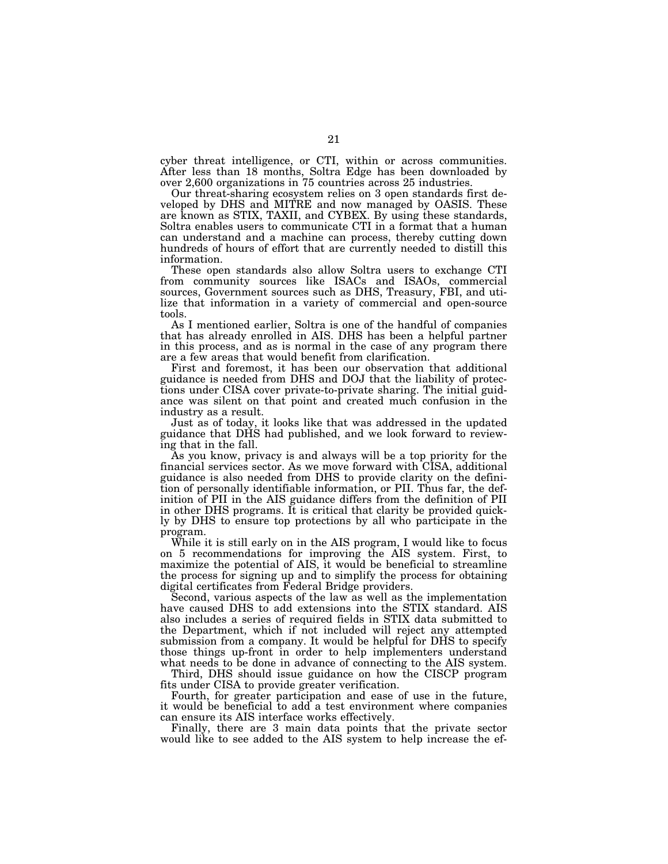cyber threat intelligence, or CTI, within or across communities. After less than 18 months, Soltra Edge has been downloaded by over 2,600 organizations in 75 countries across 25 industries.

Our threat-sharing ecosystem relies on 3 open standards first developed by DHS and MITRE and now managed by OASIS. These are known as STIX, TAXII, and CYBEX. By using these standards, Soltra enables users to communicate CTI in a format that a human can understand and a machine can process, thereby cutting down hundreds of hours of effort that are currently needed to distill this information.

These open standards also allow Soltra users to exchange CTI from community sources like ISACs and ISAOs, commercial sources, Government sources such as DHS, Treasury, FBI, and utilize that information in a variety of commercial and open-source tools.

As I mentioned earlier, Soltra is one of the handful of companies that has already enrolled in AIS. DHS has been a helpful partner in this process, and as is normal in the case of any program there are a few areas that would benefit from clarification.

First and foremost, it has been our observation that additional guidance is needed from DHS and DOJ that the liability of protections under CISA cover private-to-private sharing. The initial guidance was silent on that point and created much confusion in the industry as a result.

Just as of today, it looks like that was addressed in the updated guidance that DHS had published, and we look forward to reviewing that in the fall.

As you know, privacy is and always will be a top priority for the financial services sector. As we move forward with CISA, additional guidance is also needed from DHS to provide clarity on the definition of personally identifiable information, or PII. Thus far, the definition of PII in the AIS guidance differs from the definition of PII in other DHS programs. It is critical that clarity be provided quickly by DHS to ensure top protections by all who participate in the program.

While it is still early on in the AIS program, I would like to focus on 5 recommendations for improving the AIS system. First, to maximize the potential of AIS, it would be beneficial to streamline the process for signing up and to simplify the process for obtaining digital certificates from Federal Bridge providers.

Second, various aspects of the law as well as the implementation have caused DHS to add extensions into the STIX standard. AIS also includes a series of required fields in STIX data submitted to the Department, which if not included will reject any attempted submission from a company. It would be helpful for DHS to specify those things up-front in order to help implementers understand what needs to be done in advance of connecting to the AIS system.

Third, DHS should issue guidance on how the CISCP program fits under CISA to provide greater verification.

Fourth, for greater participation and ease of use in the future, it would be beneficial to add a test environment where companies can ensure its AIS interface works effectively.

Finally, there are 3 main data points that the private sector would like to see added to the AIS system to help increase the ef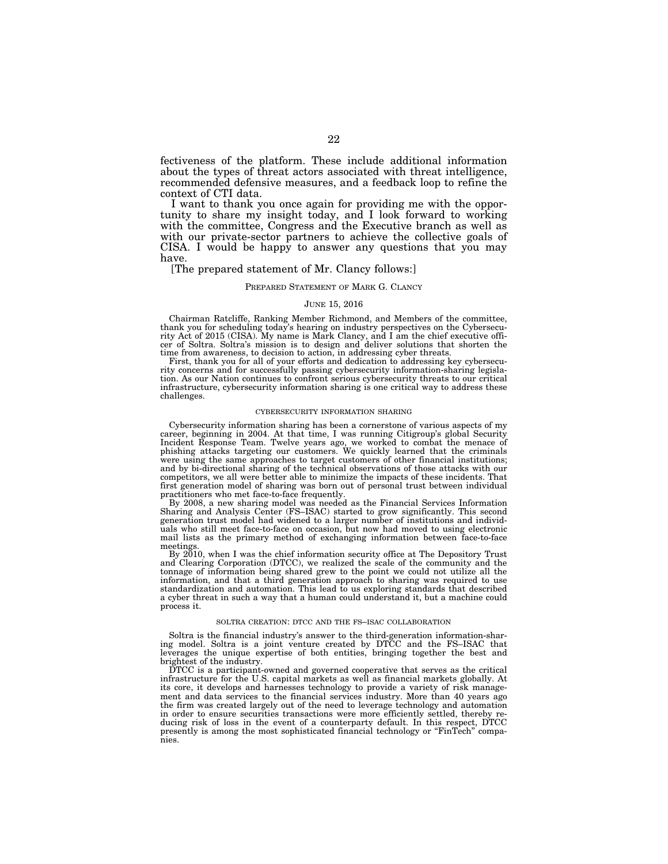fectiveness of the platform. These include additional information about the types of threat actors associated with threat intelligence, recommended defensive measures, and a feedback loop to refine the context of CTI data.

I want to thank you once again for providing me with the opportunity to share my insight today, and I look forward to working with the committee, Congress and the Executive branch as well as with our private-sector partners to achieve the collective goals of CISA. I would be happy to answer any questions that you may have.

# [The prepared statement of Mr. Clancy follows:]

# PREPARED STATEMENT OF MARK G. CLANCY

# JUNE 15, 2016

Chairman Ratcliffe, Ranking Member Richmond, and Members of the committee, thank you for scheduling today's hearing on industry perspectives on the Cybersecurity Act of 2015 (CISA). My name is Mark Clancy, and I am the chief executive officer of Soltra. Soltra's mission is to design and deliver solutions that shorten the time from awareness, to decision to action, in addressing cyber threats.

First, thank you for all of your efforts and dedication to addressing key cybersecurity concerns and for successfully passing cybersecurity information-sharing legislation. As our Nation continues to confront serious cybersecurity threats to our critical infrastructure, cybersecurity information sharing is one critical way to address these challenges.

# CYBERSECURITY INFORMATION SHARING

Cybersecurity information sharing has been a cornerstone of various aspects of my career, beginning in 2004. At that time, I was running Citigroup's global Security Incident Response Team. Twelve years ago, we worked to combat the menace of phishing attacks targeting our customers. We quickly learned that the criminals were using the same approaches to target customers of other financial institutions; and by bi-directional sharing of the technical observations of those attacks with our competitors, we all were better able to minimize the impacts of these incidents. That first generation model of sharing was born out of personal trust between individual practitioners who met face-to-face frequently.

By 2008, a new sharing model was needed as the Financial Services Information Sharing and Analysis Center (FS–ISAC) started to grow significantly. This second generation trust model had widened to a larger number of institutions and individuals who still meet face-to-face on occasion, but now had moved to using electronic mail lists as the primary method of exchanging information between face-to-face meetings

By 2010, when I was the chief information security office at The Depository Trust and Clearing Corporation (DTCC), we realized the scale of the community and the tonnage of information being shared grew to the point we could not utilize all the information, and that a third generation approach to sharing was required to use standardization and automation. This lead to us exploring standards that described a cyber threat in such a way that a human could understand it, but a machine could process it.

### SOLTRA CREATION: DTCC AND THE FS–ISAC COLLABORATION

Soltra is the financial industry's answer to the third-generation information-sharing model. Soltra is a joint venture created by DTCC and the FS–ISAC that leverages the unique expertise of both entities, bringing together the best and brightest of the industry.

DTCC is a participant-owned and governed cooperative that serves as the critical infrastructure for the U.S. capital markets as well as financial markets globally. At its core, it develops and harnesses technology to provide a variety of risk management and data services to the financial services industry. More than 40 years ago the firm was created largely out of the need to leverage technology and automation in order to ensure securities transactions were more efficiently settled, thereby reducing risk of loss in the event of a counterparty default. In this respect, DTCC presently is among the most sophisticated financial technology or "FinTech" companies.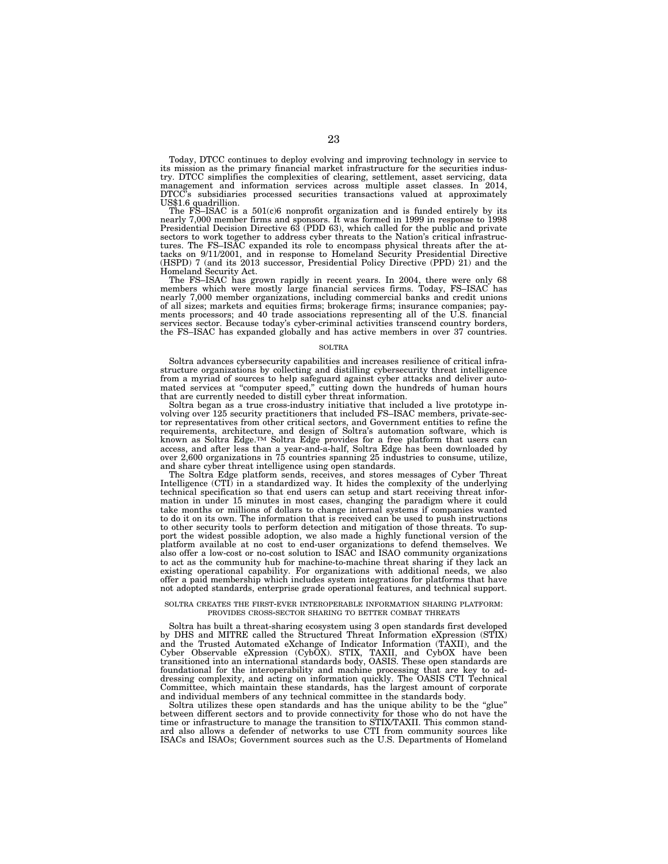Today, DTCC continues to deploy evolving and improving technology in service to its mission as the primary financial market infrastructure for the securities industry. DTCC simplifies the complexities of clearing, settlement, asset servicing, data management and information services across multiple asset classes. In 2014, DTCC's subsidiaries processed securities transactions valued at approximately US\$1.6 quadrillion.

The FS-ISAC is a 501(c)6 nonprofit organization and is funded entirely by its<br>nearly 7,000 member firms and sponsors. It was formed in 1999 in response to 1998<br>Presidential Decision Directive 63 (PDD 63), which called for sectors to work together to address cyber threats to the Nation's critical infrastructures. The FS–ISAC expanded its role to encompass physical threats after the attacks on 9/11/2001, and in response to Homeland Security Presidential Directive (HSPD) 7 (and its 2013 successor, Presidential Policy Directive (PPD) 21) and the Homeland Security Act.

The FS–ISAC has grown rapidly in recent years. In 2004, there were only 68 members which were mostly large financial services firms. Today, FS–ISAC has nearly 7,000 member organizations, including commercial banks and credit unions of all sizes; markets and equities firms; brokerage firms; insurance companies; pay-ments processors; and 40 trade associations representing all of the U.S. financial services sector. Because today's cyber-criminal activities transcend country borders, the FS–ISAC has expanded globally and has active members in over 37 countries.

#### **SOLTRA**

Soltra advances cybersecurity capabilities and increases resilience of critical infrastructure organizations by collecting and distilling cybersecurity threat intelligence from a myriad of sources to help safeguard against cyber attacks and deliver automated services at ''computer speed,'' cutting down the hundreds of human hours that are currently needed to distill cyber threat information.

Soltra began as a true cross-industry initiative that included a live prototype involving over 125 security practitioners that included FS–ISAC members, private-sector representatives from other critical sectors, and Government entities to refine the requirements, architecture, and design of Soltra's automation software, which is known as Soltra Edge.TM Soltra Edge provides for a free platform that users can access, and after less than a year-and-a-half, Soltra Edge has been downloaded by over 2,600 organizations in 75 countries spanning 25 industries to consume, utilize, and share cyber threat intelligence using open standards.

The Soltra Edge platform sends, receives, and stores messages of Cyber Threat Intelligence (CTI) in a standardized way. It hides the complexity of the underlying technical specification so that end users can setup and start receiving threat information in under 15 minutes in most cases, changing the paradigm where it could take months or millions of dollars to change internal systems if companies wanted to do it on its own. The information that is received can be used to push instructions to other security tools to perform detection and mitigation of those threats. To support the widest possible adoption, we also made a highly functional version of the platform available at no cost to end-user organizations to defend themselves. We also offer a low-cost or no-cost solution to ISAC and ISAO community organizations to act as the community hub for machine-to-machine threat sharing if they lack an existing operational capability. For organizations with additional needs, we also offer a paid membership which includes system integrations for platforms that have not adopted standards, enterprise grade operational features, and technical support.

# SOLTRA CREATES THE FIRST-EVER INTEROPERABLE INFORMATION SHARING PLATFORM: PROVIDES CROSS-SECTOR SHARING TO BETTER COMBAT THREATS

Soltra has built a threat-sharing ecosystem using 3 open standards first developed by DHS and MITRE called the Structured Threat Information eXpression (STIX) and the Trusted Automated eXchange of Indicator Information (TAXII), and the Cyber Observable eXpression (CybOX). STIX, TAXII, and CybOX have been transitioned into an international standards body, OASIS. These open standards are foundational for the interoperability and machine processing that are key to addressing complexity, and acting on information quickly. The OASIS CTI Technical Committee, which maintain these standards, has the largest amount of corporate and individual members of any technical committee in the standards body.

Soltra utilizes these open standards and has the unique ability to be the "glue" between different sectors and to provide connectivity for those who do not have the time or infrastructure to manage the transition to STIX/TAXII. This common standard also allows a defender of networks to use CTI from community sources like ISACs and ISAOs; Government sources such as the U.S. Departments of Homeland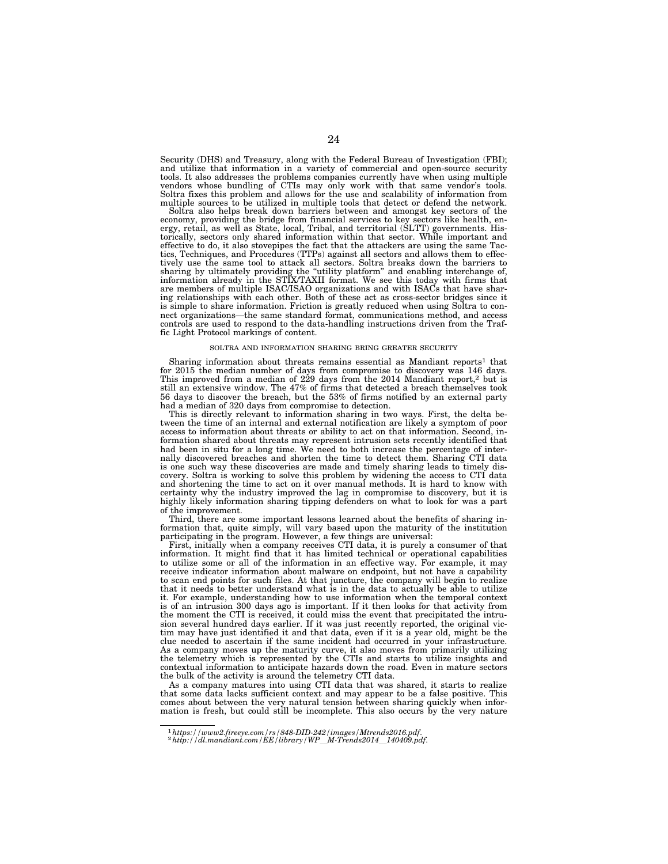Security (DHS) and Treasury, along with the Federal Bureau of Investigation (FBI); and utilize that information in a variety of commercial and open-source security tools. It also addresses the problems companies currently have when using multiple vendors whose bundling of CTIs may only work with that same vendor's tools. Soltra fixes this problem and allows for the use and scalability of information from multiple sources to be utilized in multiple tools that detect or defend the network.

Soltra also helps break down barriers between and amongst key sectors of the economy, providing the bridge from financial services to key sectors like health, energy, retail, as well as State, local, Tribal, and territorial (SLTT) governments. His-torically, sectors only shared information within that sector. While important and effective to do, it also stovepipes the fact that the attackers are using the same Tactics, Techniques, and Procedures (TTPs) against all sectors and allows them to effec-tively use the same tool to attack all sectors. Soltra breaks down the barriers to sharing by ultimately providing the ''utility platform'' and enabling interchange of, information already in the STIX/TAXII format. We see this today with firms that are members of multiple ISAC/ISAO organizations and with ISACs that have sharing relationships with each other. Both of these act as cross-sector bridges since it is simple to share information. Friction is greatly reduced when using Soltra to connect organizations—the same standard format, communications method, and access controls are used to respond to the data-handling instructions driven from the Traffic Light Protocol markings of content.

# SOLTRA AND INFORMATION SHARING BRING GREATER SECURITY

Sharing information about threats remains essential as Mandiant reports<sup>1</sup> that for 2015 the median number of days from compromise to discovery was 146 days. This improved from a median of 229 days from the 2014 Mandiant report,2 but is still an extensive window. The 47% of firms that detected a breach themselves took 56 days to discover the breach, but the 53% of firms notified by an external party had a median of 320 days from compromise to detection.

This is directly relevant to information sharing in two ways. First, the delta between the time of an internal and external notification are likely a symptom of poor access to information about threats or ability to act on that information. Second, information shared about threats may represent intrusion sets recently identified that had been in situ for a long time. We need to both increase the percentage of internally discovered breaches and shorten the time to detect them. Sharing CTI data is one such way these discoveries are made and timely sharing leads to timely discovery. Soltra is working to solve this problem by widening the access to CTI data and shortening the time to act on it over manual methods. It is hard to know with certainty why the industry improved the lag in compromise to discovery, but it is highly likely information sharing tipping defenders on what to look for was a part of the improvement.

Third, there are some important lessons learned about the benefits of sharing information that, quite simply, will vary based upon the maturity of the institution participating in the program. However, a few things are universal:

First, initially when a company receives CTI data, it is purely a consumer of that information. It might find that it has limited technical or operational capabilities to utilize some or all of the information in an effective way. For example, it may receive indicator information about malware on endpoint, but not have a capability to scan end points for such files. At that juncture, the company will begin to realize that it needs to better understand what is in the data to actually be able to utilize it. For example, understanding how to use information when the temporal context is of an intrusion 300 days ago is important. If it then looks for that activity from the moment the CTI is received, it could miss the event that precipitated the intrusion several hundred days earlier. If it was just recently reported, the original victim may have just identified it and that data, even if it is a year old, might be the clue needed to ascertain if the same incident had occurred in your infrastructure. As a company moves up the maturity curve, it also moves from primarily utilizing the telemetry which is represented by the CTIs and starts to utilize insights and contextual information to anticipate hazards down the road. Even in mature sectors the bulk of the activity is around the telemetry CTI data.

As a company matures into using CTI data that was shared, it starts to realize that some data lacks sufficient context and may appear to be a false positive. This comes about between the very natural tension between sharing quickly when information is fresh, but could still be incomplete. This also occurs by the very nature

<sup>1</sup>*https://www2.fireeye.com/rs/848-DID-242/images/Mtrends2016.pdf*. 2*http://dl.mandiant.com/EE/library/WP*l*M-Trends2014*l*140409.pdf*.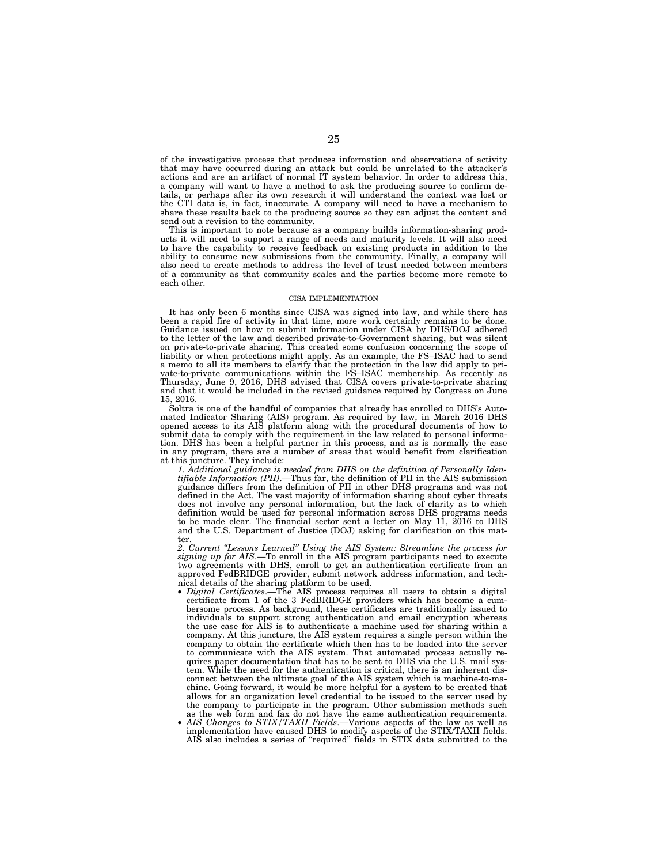of the investigative process that produces information and observations of activity that may have occurred during an attack but could be unrelated to the attacker's actions and are an artifact of normal IT system behavior. In order to address this, a company will want to have a method to ask the producing source to confirm details, or perhaps after its own research it will understand the context was lost or the CTI data is, in fact, inaccurate. A company will need to have a mechanism to share these results back to the producing source so they can adjust the content and send out a revision to the community.

This is important to note because as a company builds information-sharing products it will need to support a range of needs and maturity levels. It will also need to have the capability to receive feedback on existing products in addition to the ability to consume new submissions from the community. Finally, a company will also need to create methods to address the level of trust needed between members of a community as that community scales and the parties become more remote to each other.

## CISA IMPLEMENTATION

It has only been 6 months since CISA was signed into law, and while there has been a rapid fire of activity in that time, more work certainly remains to be done. Guidance issued on how to submit information under CISA by DHS/DOJ adhered to the letter of the law and described private-to-Government sharing, but was silent on private-to-private sharing. This created some confusion concerning the scope of liability or when protections might apply. As an example, the FS–ISAC had to send a memo to all its members to clarify that the protection in the law did apply to private-to-private communications within the FS–ISAC membership. As recently as Thursday, June 9, 2016, DHS advised that CISA covers private-to-private sharing and that it would be included in the revised guidance required by Congress on June 15, 2016.

Soltra is one of the handful of companies that already has enrolled to DHS's Automated Indicator Sharing (AIS) program. As required by law, in March 2016 DHS opened access to its AIS platform along with the procedural documents of how to submit data to comply with the requirement in the law related to personal information. DHS has been a helpful partner in this process, and as is normally the case in any program, there are a number of areas that would benefit from clarification at this juncture. They include:

*1. Additional guidance is needed from DHS on the definition of Personally Identifiable Information (PII)*.—Thus far, the definition of PII in the AIS submission guidance differs from the definition of PII in other DHS programs and was not defined in the Act. The vast majority of information sharing about cyber threats does not involve any personal information, but the lack of clarity as to which definition would be used for personal information across DHS programs needs to be made clear. The financial sector sent a letter on May 11, 2016 to DHS and the U.S. Department of Justice (DOJ) asking for clarification on this matter.

*2. Current ''Lessons Learned'' Using the AIS System: Streamline the process for signing up for AIS*.—To enroll in the AIS program participants need to execute two agreements with DHS, enroll to get an authentication certificate from an approved FedBRIDGE provider, submit network address information, and technical details of the sharing platform to be used.

- *Digital Certificates*.—The AIS process requires all users to obtain a digital certificate from 1 of the 3 FedBRIDGE providers which has become a cumbersome process. As background, these certificates are traditionally issued to individuals to support strong authentication and email encryption whereas the use case for AIS is to authenticate a machine used for sharing within a company. At this juncture, the AIS system requires a single person within the company to obtain the certificate which then has to be loaded into the server to communicate with the AIS system. That automated process actually requires paper documentation that has to be sent to DHS via the U.S. mail system. While the need for the authentication is critical, there is an inherent disconnect between the ultimate goal of the AIS system which is machine-to-machine. Going forward, it would be more helpful for a system to be created that allows for an organization level credential to be issued to the server used by the company to participate in the program. Other submission methods such as the web form and fax do not have the same authentication requirements. AIS Changes to STIX/TAXII Fields.—Various aspects of the law as well as
- implementation have caused DHS to modify aspects of the STIX/TAXII fields. AIS also includes a series of ''required'' fields in STIX data submitted to the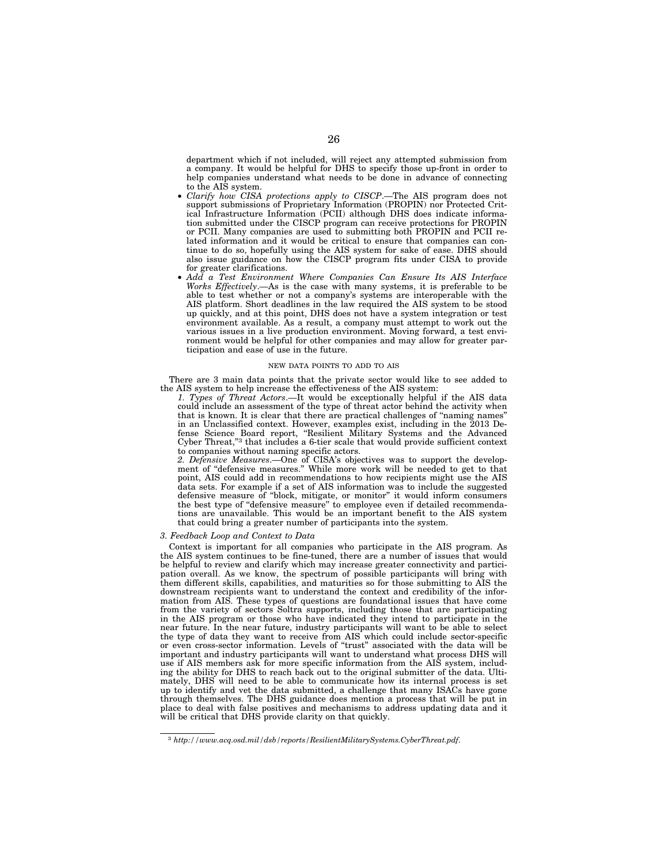department which if not included, will reject any attempted submission from a company. It would be helpful for DHS to specify those up-front in order to help companies understand what needs to be done in advance of connecting to the AIS system.

- *Clarify how CISA protections apply to CISCP*.—The AIS program does not support submissions of Proprietary Information (PROPIN) nor Protected Critical Infrastructure Information (PCII) although DHS does indicate information submitted under the CISCP program can receive protections for PROPIN or PCII. Many companies are used to submitting both PROPIN and PCII related information and it would be critical to ensure that companies can continue to do so, hopefully using the AIS system for sake of ease. DHS should also issue guidance on how the CISCP program fits under CISA to provide for greater clarifications.
- *Add a Test Environment Where Companies Can Ensure Its AIS Interface Works Effectively*.—As is the case with many systems, it is preferable to be able to test whether or not a company's systems are interoperable with the AIS platform. Short deadlines in the law required the AIS system to be stood up quickly, and at this point, DHS does not have a system integration or test environment available. As a result, a company must attempt to work out the various issues in a live production environment. Moving forward, a test environment would be helpful for other companies and may allow for greater participation and ease of use in the future.

# NEW DATA POINTS TO ADD TO AIS

There are 3 main data points that the private sector would like to see added to the AIS system to help increase the effectiveness of the AIS system:

*1. Types of Threat Actors*.—It would be exceptionally helpful if the AIS data could include an assessment of the type of threat actor behind the activity when that is known. It is clear that there are practical challenges of "naming names" in an Unclassified context. However, examples exist, including in the 2013 Defense Science Board report, "Resilient Military Systems and the Advanced<br>Cyber Threat,"<sup>3</sup> that includes a 6-tier scale that would provide sufficient context to companies without naming specific actors.

*2. Defensive Measures*.—One of CISA's objectives was to support the development of ''defensive measures.'' While more work will be needed to get to that point, AIS could add in recommendations to how recipients might use the AIS data sets. For example if a set of AIS information was to include the suggested defensive measure of ''block, mitigate, or monitor'' it would inform consumers the best type of ''defensive measure'' to employee even if detailed recommendations are unavailable. This would be an important benefit to the AIS system that could bring a greater number of participants into the system.

# *3. Feedback Loop and Context to Data*

Context is important for all companies who participate in the AIS program. As the AIS system continues to be fine-tuned, there are a number of issues that would be helpful to review and clarify which may increase greater connectivity and participation overall. As we know, the spectrum of possible participants will bring with them different skills, capabilities, and maturities so for those submitting to AIS the downstream recipients want to understand the context and credibility of the information from AIS. These types of questions are foundational issues that have come from the variety of sectors Soltra supports, including those that are participating in the AIS program or those who have indicated they intend to participate in the near future. In the near future, industry participants will want to be able to select the type of data they want to receive from  $\overrightarrow{AIS}$  which could include sector-specific or even cross-sector information. Levels of ''trust'' associated with the data will be important and industry participants will want to understand what process DHS will use if AIS members ask for more specific information from the AIS system, including the ability for DHS to reach back out to the original submitter of the data. Ultimately, DHS will need to be able to communicate how its internal process is set up to identify and vet the data submitted, a challenge that many ISACs have gone through themselves. The DHS guidance does mention a process that will be put in place to deal with false positives and mechanisms to address updating data and it will be critical that DHS provide clarity on that quickly.

<sup>3</sup> *http://www.acq.osd.mil/dsb/reports/ResilientMilitarySystems.CyberThreat.pdf*.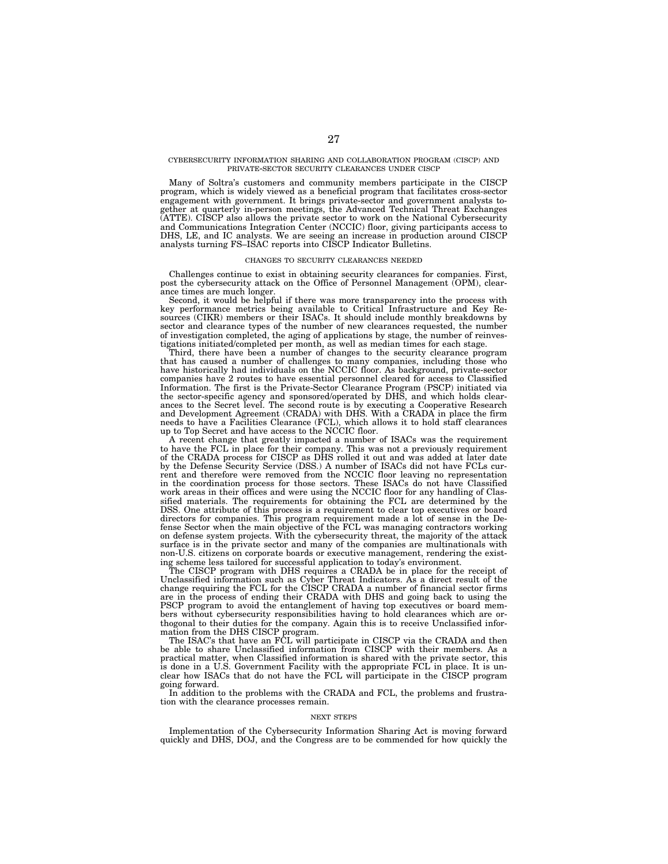#### CYBERSECURITY INFORMATION SHARING AND COLLABORATION PROGRAM (CISCP) AND PRIVATE-SECTOR SECURITY CLEARANCES UNDER CISCP

Many of Soltra's customers and community members participate in the CISCP program, which is widely viewed as a beneficial program that facilitates cross-sector engagement with government. It brings private-sector and government analysts together at quarterly in-person meetings, the Advanced Technical Threat Exchanges (ATTE). CISCP also allows the private sector to work on the National Cybersecurity and Communications Integration Center (NCCIC) floor, giving participants access to DHS, LE, and IC analysts. We are seeing an increase in production around CISCP analysts turning FS–ISAC reports into CISCP Indicator Bulletins.

#### CHANGES TO SECURITY CLEARANCES NEEDED

Challenges continue to exist in obtaining security clearances for companies. First, post the cybersecurity attack on the Office of Personnel Management (OPM), clearance times are much longer.

Second, it would be helpful if there was more transparency into the process with key performance metrics being available to Critical Infrastructure and Key Resources (CIKR) members or their ISACs. It should include monthly breakdowns by sector and clearance types of the number of new clearances requested, the number of investigation completed, the aging of applications by stage, the number of reinvestigations initiated/completed per month, as well as median times for each stage.

Third, there have been a number of changes to the security clearance program that has caused a number of challenges to many companies, including those who have historically had individuals on the NCCIC floor. As background, private-sector companies have 2 routes to have essential personnel cleared for access to Classified Information. The first is the Private-Sector Clearance Program (PSCP) initiated via the sector-specific agency and sponsored/operated by DHS, and which holds clearances to the Secret level. The second route is by executing a Cooperative Research and Development Agreement (CRADA) with DHS. With a CRADA in place the firm needs to have a Facilities Clearance (FCL), which allows it to hold staff clearances up to Top Secret and have access to the NCCIC floor.

A recent change that greatly impacted a number of ISACs was the requirement to have the FCL in place for their company. This was not a previously requirement of the CRADA process for CISCP as DHS rolled it out and was added at later date by the Defense Security Service (DSS.) A number of ISACs did not have FCLs current and therefore were removed from the NCCIC floor leaving no representation in the coordination process for those sectors. These ISACs do not have Classified work areas in their offices and were using the NCCIC floor for any handling of Classified materials. The requirements for obtaining the FCL are determined by the DSS. One attribute of this process is a requirement to clear top executives or board directors for companies. This program requirement made a lot of sense in the Defense Sector when the main objective of the FCL was managing contractors working on defense system projects. With the cybersecurity threat, the majority of the attack surface is in the private sector and many of the companies are multinationals with non-U.S. citizens on corporate boards or executive management, rendering the existing scheme less tailored for successful application to today's environment.

The CISCP program with DHS requires a CRADA be in place for the receipt of Unclassified information such as Cyber Threat Indicators. As a direct result of the change requiring the FCL for the CISCP CRADA a number of financial sector firms are in the process of ending their CRADA with DHS and going back to using the PSCP program to avoid the entanglement of having top executives or board members without cybersecurity responsibilities having to hold clearances which are orthogonal to their duties for the company. Again this is to receive Unclassified information from the DHS CISCP program.

The ISAC's that have an FCL will participate in CISCP via the CRADA and then be able to share Unclassified information from CISCP with their members. As a practical matter, when Classified information is shared with the private sector, this is done in a U.S. Government Facility with the appropriate FCL in place. It is unclear how ISACs that do not have the FCL will participate in the CISCP program going forward.

In addition to the problems with the CRADA and FCL, the problems and frustration with the clearance processes remain.

#### NEXT STEPS

Implementation of the Cybersecurity Information Sharing Act is moving forward quickly and DHS, DOJ, and the Congress are to be commended for how quickly the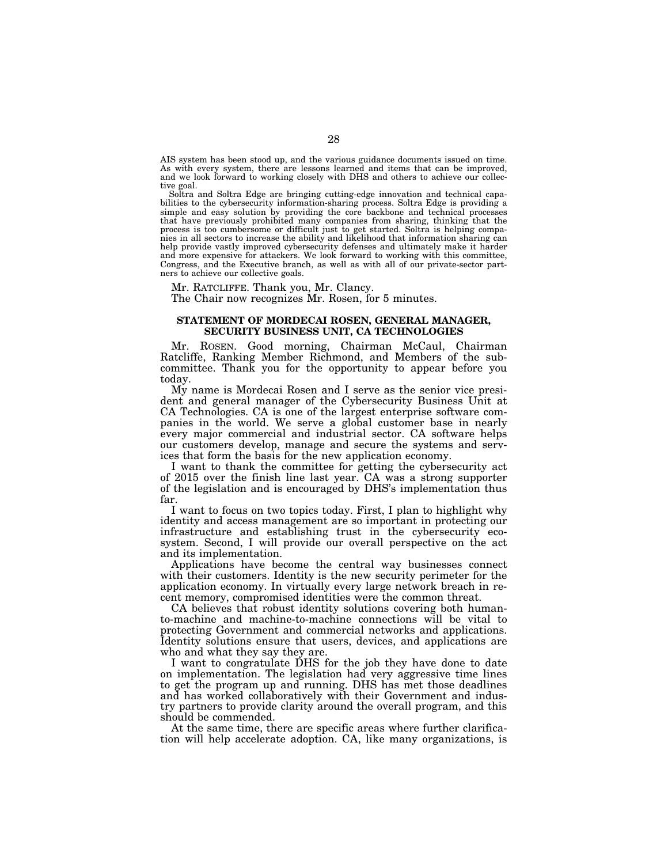AIS system has been stood up, and the various guidance documents issued on time. As with every system, there are lessons learned and items that can be improved, and we look forward to working closely with DHS and others to achieve our collective goal.

Soltra and Soltra Edge are bringing cutting-edge innovation and technical capabilities to the cybersecurity information-sharing process. Soltra Edge is providing a simple and easy solution by providing the core backbone and technical processes that have previously prohibited many companies from sharing, thinking that the process is too cumbersome or difficult just to get started. Soltra is helping companies in all sectors to increase the ability and likelihood that information sharing can help provide vastly improved cybersecurity defenses and ultimately make it harder and more expensive for attackers. We look forward to working with this committee, Congress, and the Executive branch, as well as with all of our private-sector partners to achieve our collective goals.

Mr. RATCLIFFE. Thank you, Mr. Clancy.

The Chair now recognizes Mr. Rosen, for 5 minutes.

# **STATEMENT OF MORDECAI ROSEN, GENERAL MANAGER, SECURITY BUSINESS UNIT, CA TECHNOLOGIES**

Mr. ROSEN. Good morning, Chairman McCaul, Chairman Ratcliffe, Ranking Member Richmond, and Members of the subcommittee. Thank you for the opportunity to appear before you today.

My name is Mordecai Rosen and I serve as the senior vice president and general manager of the Cybersecurity Business Unit at CA Technologies. CA is one of the largest enterprise software companies in the world. We serve a global customer base in nearly every major commercial and industrial sector. CA software helps our customers develop, manage and secure the systems and services that form the basis for the new application economy.

I want to thank the committee for getting the cybersecurity act of 2015 over the finish line last year. CA was a strong supporter of the legislation and is encouraged by DHS's implementation thus far.

I want to focus on two topics today. First, I plan to highlight why identity and access management are so important in protecting our infrastructure and establishing trust in the cybersecurity ecosystem. Second, I will provide our overall perspective on the act and its implementation.

Applications have become the central way businesses connect with their customers. Identity is the new security perimeter for the application economy. In virtually every large network breach in recent memory, compromised identities were the common threat.

CA believes that robust identity solutions covering both humanto-machine and machine-to-machine connections will be vital to protecting Government and commercial networks and applications. Identity solutions ensure that users, devices, and applications are who and what they say they are.

I want to congratulate DHS for the job they have done to date on implementation. The legislation had very aggressive time lines to get the program up and running. DHS has met those deadlines and has worked collaboratively with their Government and industry partners to provide clarity around the overall program, and this should be commended.

At the same time, there are specific areas where further clarification will help accelerate adoption. CA, like many organizations, is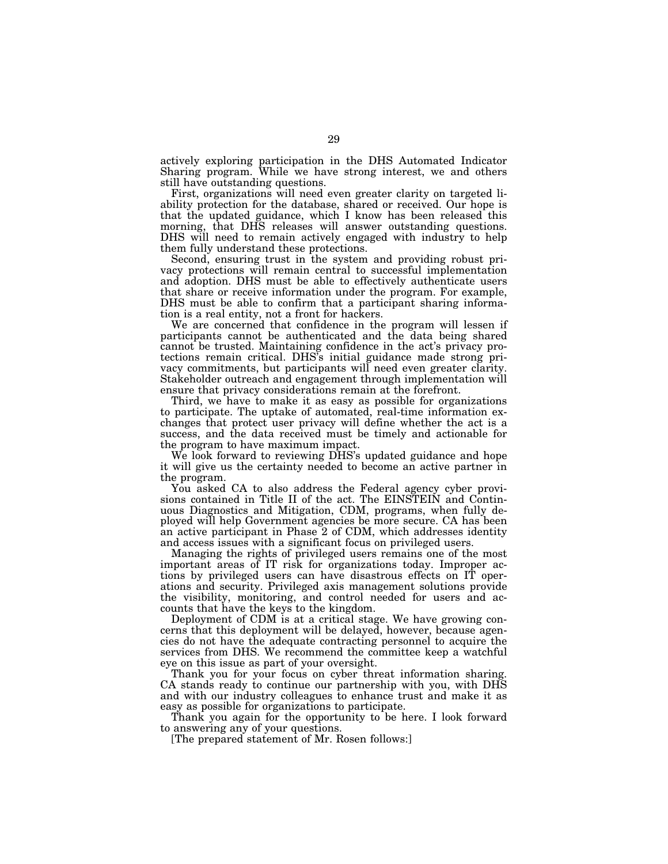actively exploring participation in the DHS Automated Indicator Sharing program. While we have strong interest, we and others still have outstanding questions.

First, organizations will need even greater clarity on targeted liability protection for the database, shared or received. Our hope is that the updated guidance, which I know has been released this morning, that DHS releases will answer outstanding questions. DHS will need to remain actively engaged with industry to help them fully understand these protections.

Second, ensuring trust in the system and providing robust privacy protections will remain central to successful implementation and adoption. DHS must be able to effectively authenticate users that share or receive information under the program. For example, DHS must be able to confirm that a participant sharing information is a real entity, not a front for hackers.

We are concerned that confidence in the program will lessen if participants cannot be authenticated and the data being shared cannot be trusted. Maintaining confidence in the act's privacy protections remain critical. DHS's initial guidance made strong privacy commitments, but participants will need even greater clarity. Stakeholder outreach and engagement through implementation will ensure that privacy considerations remain at the forefront.

Third, we have to make it as easy as possible for organizations to participate. The uptake of automated, real-time information exchanges that protect user privacy will define whether the act is a success, and the data received must be timely and actionable for the program to have maximum impact.

We look forward to reviewing DHS's updated guidance and hope it will give us the certainty needed to become an active partner in the program.

You asked CA to also address the Federal agency cyber provisions contained in Title II of the act. The EINSTEIN and Continuous Diagnostics and Mitigation, CDM, programs, when fully deployed will help Government agencies be more secure. CA has been an active participant in Phase 2 of CDM, which addresses identity and access issues with a significant focus on privileged users.

Managing the rights of privileged users remains one of the most important areas of IT risk for organizations today. Improper actions by privileged users can have disastrous effects on IT operations and security. Privileged axis management solutions provide the visibility, monitoring, and control needed for users and accounts that have the keys to the kingdom.

Deployment of CDM is at a critical stage. We have growing concerns that this deployment will be delayed, however, because agencies do not have the adequate contracting personnel to acquire the services from DHS. We recommend the committee keep a watchful eye on this issue as part of your oversight.

Thank you for your focus on cyber threat information sharing. CA stands ready to continue our partnership with you, with DHS and with our industry colleagues to enhance trust and make it as easy as possible for organizations to participate.

Thank you again for the opportunity to be here. I look forward to answering any of your questions.

[The prepared statement of Mr. Rosen follows:]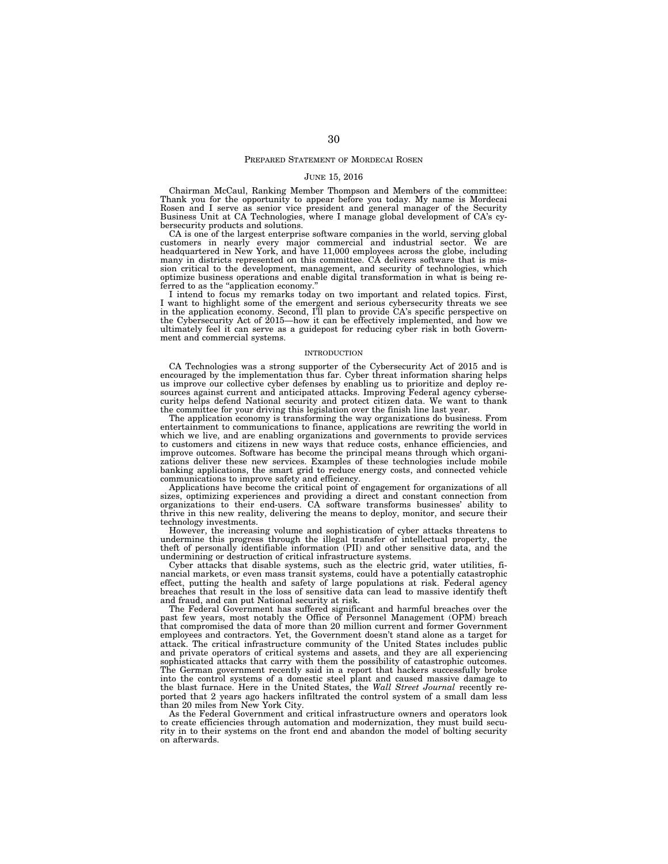# PREPARED STATEMENT OF MORDECAI ROSEN

#### JUNE 15, 2016

Chairman McCaul, Ranking Member Thompson and Members of the committee: Thank you for the opportunity to appear before you today. My name is Mordecai Rosen and I serve as senior vice president and general manager of the Security Business Unit at CA Technologies, where I manage global development of CA's cybersecurity products and solutions.

CA is one of the largest enterprise software companies in the world, serving global customers in nearly every major commercial and industrial sector. We are headquartered in New York, and have 11,000 employees across the g ferred to as the "application economy."

I intend to focus my remarks today on two important and related topics. First, I want to highlight some of the emergent and serious cybersecurity threats we see in the application economy. Second, I'll plan to provide CA's specific perspective on the Cybersecurity Act of 2015—how it can be effectively implemented, and how we ultimately feel it can serve as a guidepost for reducing cyber risk in both Government and commercial systems.

## INTRODUCTION

CA Technologies was a strong supporter of the Cybersecurity Act of 2015 and is encouraged by the implementation thus far. Cyber threat information sharing helps<br>us improve our collective cyber defenses by enabling us to prioritize and deploy re-<br>sources against current and anticipated attacks. Improv curity helps defend National security and protect citizen data. We want to thank the committee for your driving this legislation over the finish line last year. The application economy is transforming the way organizations do business. From

entertainment to communications to finance, applications are rewriting the world in which we live, and are enabling organizations and governments to provide services to customers and citizens in new ways that reduce costs, enhance efficiencies, and improve outcomes. Software has become the principal means through which organizations deliver these new services. Examples of these technologies include mobile banking applications, the smart grid to reduce energy costs, and connected vehicle

communications to improve safety and efficiency. Applications have become the critical point of engagement for organizations of all sizes, optimizing experiences and providing a direct and constant connection from organizations to their end-users. CA software transforms businesses' ability to thrive in this new reality, delivering the means to deploy, monitor, and secure their technology investments.

However, the increasing volume and sophistication of cyber attacks threatens to undermine this progress through the illegal transfer of intellectual property, the theft of personally identifiable information (PII) and other sensitive data, and the undermining or destruction of critical infrastructure systems.

Cyber attacks that disable systems, such as the electric grid, water utilities, financial markets, or even mass transit systems, could have a potentially catastrophic effect, putting the health and safety of large populations at risk. Federal agency breaches that result in the loss of sensitive data can lead to massive identify theft and fraud, and can put National security at risk.

The Federal Government has suffered significant and harmful breaches over the past few years, most notably the Office of Personnel Management (OPM) breach that compromised the data of more than 20 million current and former Government employees and contractors. Yet, the Government doesn't stand alone as a target for attack. The critical infrastructure community of the United States includes public and private operators of critical systems and assets, and they are all experiencing sophisticated attacks that carry with them the possibility of catastrophic outcomes. The German government recently said in a report that hackers successfully broke into the control systems of a domestic steel plant and caused massive damage to the blast furnace. Here in the United States, the *Wall Street Journal* recently reported that 2 years ago hackers infiltrated the control system of a small dam less than 20 miles from New York City.

As the Federal Government and critical infrastructure owners and operators look to create efficiencies through automation and modernization, they must build security in to their systems on the front end and abandon the model of bolting security on afterwards.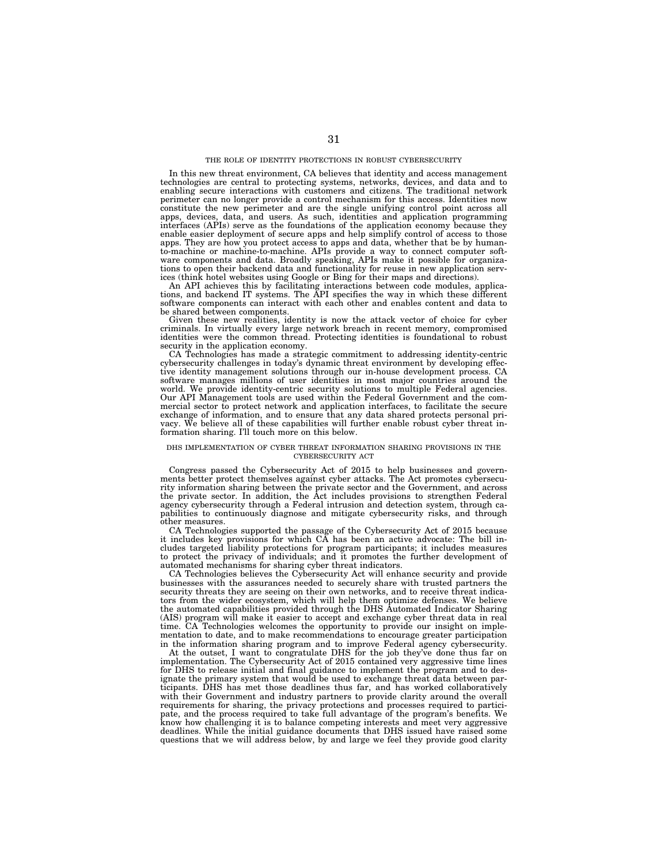In this new threat environment, CA believes that identity and access management technologies are central to protecting systems, networks, devices, and data and to enabling secure interactions with customers and citizens. The traditional network perimeter can no longer provide a control mechanism for this access. Identities now constitute the new perimeter and are the single unifying control point across all apps, devices, data, and users. As such, identities and application programming interfaces (APIs) serve as the foundations of the application economy because they enable easier deployment of secure apps and help simplify control of access to those apps. They are how you protect access to apps and data, whether that be by humanto-machine or machine-to-machine. APIs provide a way to connect computer software components and data. Broadly speaking, APIs make it possible for organiza-tions to open their backend data and functionality for reuse in new application services (think hotel websites using Google or Bing for their maps and directions).

An API achieves this by facilitating interactions between code modules, applica-tions, and backend IT systems. The API specifies the way in which these different software components can interact with each other and enables content and data to be shared between components.

Given these new realities, identity is now the attack vector of choice for cyber criminals. In virtually every large network breach in recent memory, compromised identities were the common thread. Protecting identities is foundational to robust security in the application economy.

CA Technologies has made a strategic commitment to addressing identity-centric cybersecurity challenges in today's dynamic threat environment by developing effec-tive identity management solutions through our in-house development process. CA software manages millions of user identities in most major countries around the world. We provide identity-centric security solutions to multiple Federal agencies. Our API Management tools are used within the Federal Government and the commercial sector to protect network and application interfaces, to facilitate the secure exchange of information, and to ensure that any data shared protects personal pri-vacy. We believe all of these capabilities will further enable robust cyber threat information sharing. I'll touch more on this below.

# DHS IMPLEMENTATION OF CYBER THREAT INFORMATION SHARING PROVISIONS IN THE CYBERSECURITY ACT

Congress passed the Cybersecurity Act of 2015 to help businesses and governments better protect themselves against cyber attacks. The Act promotes cybersecu-rity information sharing between the private sector and the Government, and across the private sector. In addition, the Act includes provisions to strengthen Federal agency cybersecurity through a Federal intrusion and detection system, through capabilities to continuously diagnose and mitigate cybersecurity risks, and through other measures.

CA Technologies supported the passage of the Cybersecurity Act of 2015 because it includes key provisions for which CA has been an active advocate: The bill includes targeted liability protections for program participants; it includes measures to protect the privacy of individuals; and it promotes the further development of automated mechanisms for sharing cyber threat indicators.

CA Technologies believes the Cybersecurity Act will enhance security and provide businesses with the assurances needed to securely share with trusted partners the security threats they are seeing on their own networks, and to receive threat indicators from the wider ecosystem, which will help them optimize defenses. We believe the automated capabilities provided through the DHS Automated Indicator Sharing (AIS) program will make it easier to accept and exchange cyber threat data in real time. CA Technologies welcomes the opportunity to provide our insight on implementation to date, and to make recommendations to encourage greater participation in the information sharing program and to improve Federal agency cybersecurity.

At the outset, I want to congratulate DHS for the job they've done thus far on implementation. The Cybersecurity Act of 2015 contained very aggressive time lines for DHS to release initial and final guidance to implement the program and to designate the primary system that would be used to exchange threat data between participants. DHS has met those deadlines thus far, and has worked collaboratively with their Government and industry partners to provide clarity around the overall requirements for sharing, the privacy protections and processes required to participate, and the process required to take full advantage of the program's benefits. We know how challenging it is to balance competing interests and meet very aggressive deadlines. While the initial guidance documents that DHS issued have raised some questions that we will address below, by and large we feel they provide good clarity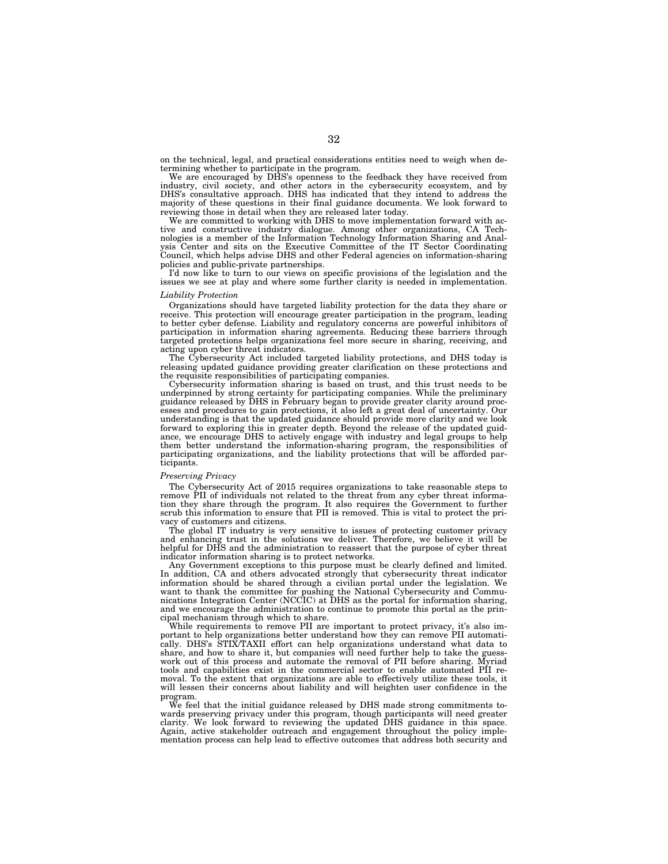on the technical, legal, and practical considerations entities need to weigh when determining whether to participate in the program.

We are encouraged by DHS's openness to the feedback they have received from industry, civil society, and other actors in the cybersecurity ecosystem, and by DHS's consultative approach. DHS has indicated that they intend to address the majority of these questions in their final guidance documents. We look forward to reviewing those in detail when they are released later today.

We are committed to working with DHS to move implementation forward with active and constructive industry dialogue. Among other organizations, CA Technologies is a member of the Information Technology Information Sharing and Analysis Center and sits on the Executive Committee of the IT Sector Coordinating Council, which helps advise DHS and other Federal agencies on information-sharing policies and public-private partnerships.

I'd now like to turn to our views on specific provisions of the legislation and the issues we see at play and where some further clarity is needed in implementation.

# *Liability Protection*

Organizations should have targeted liability protection for the data they share or receive. This protection will encourage greater participation in the program, leading to better cyber defense. Liability and regulatory concerns are powerful inhibitors of participation in information sharing agreements. Reducing these barriers through targeted protections helps organizations feel more secure in sharing, receiving, and acting upon cyber threat indicators.

The Cybersecurity Act included targeted liability protections, and DHS today is releasing updated guidance providing greater clarification on these protections and the requisite responsibilities of participating companies.

Cybersecurity information sharing is based on trust, and this trust needs to be underpinned by strong certainty for participating companies. While the preliminary guidance released by DHS in February began to provide greater clarity around processes and procedures to gain protections, it also left a great deal of uncertainty. Our understanding is that the updated guidance should provide more clarity and we look forward to exploring this in greater depth. Beyond the release of the updated guidance, we encourage DHS to actively engage with industry and legal groups to help them better understand the information-sharing program, the responsibilities of participating organizations, and the liability protections that will be afforded participants.

## *Preserving Privacy*

The Cybersecurity Act of 2015 requires organizations to take reasonable steps to remove PII of individuals not related to the threat from any cyber threat information they share through the program. It also requires the Government to further scrub this information to ensure that PII is removed. This is vital to protect the privacy of customers and citizens.

The global IT industry is very sensitive to issues of protecting customer privacy and enhancing trust in the solutions we deliver. Therefore, we believe it will be helpful for DHS and the administration to reassert that the purpose of cyber threat indicator information sharing is to protect networks.

Any Government exceptions to this purpose must be clearly defined and limited. In addition, CA and others advocated strongly that cybersecurity threat indicator information should be shared through a civilian portal under the legislation. We want to thank the committee for pushing the National Cybersecurity and Communications Integration Center (NCCIC) at DHS as the portal for information sharing, and we encourage the administration to continue to promote this portal as the principal mechanism through which to share.

While requirements to remove PII are important to protect privacy, it's also important to help organizations better understand how they can remove PII automatically. DHS's STIX/TAXII effort can help organizations understand what data to share, and how to share it, but companies will need further help to take the guesswork out of this process and automate the removal of PII before sharing. Myriad tools and capabilities exist in the commercial sector to enable automated PII removal. To the extent that organizations are able to effectively utilize these tools, it will lessen their concerns about liability and will heighten user confidence in the program.

We feel that the initial guidance released by DHS made strong commitments towards preserving privacy under this program, though participants will need greater clarity. We look forward to reviewing the updated DHS guidance in this space. Again, active stakeholder outreach and engagement throughout the policy implementation process can help lead to effective outcomes that address both security and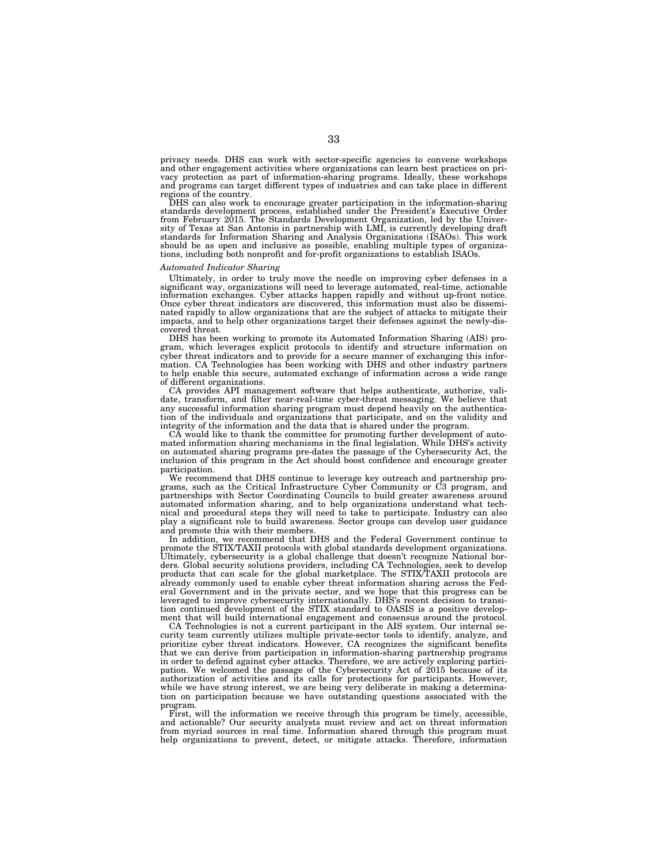privacy needs. DHS can work with sector-specific agencies to convene workshops and other engagement activities where organizations can learn best practices on privacy protection as part of information-sharing programs. Ideally, these workshops and programs can target different types of industries and can take place in different regions of the country.

DHS can also work to encourage greater participation in the information-sharing standards development process, established under the President's Executive Order from February 2015. The Standards Development Organization, led by the University of Texas at San Antonio in partnership with LMI, is currently developing draft standards for Information Sharing and Analysis Organizations (ISAOs). This work should be as open and inclusive as possible, enabling multiple types of organizations, including both nonprofit and for-profit organizations to establish ISAOs.

# *Automated Indicator Sharing*

Ultimately, in order to truly move the needle on improving cyber defenses in a significant way, organizations will need to leverage automated, real-time, actionable information exchanges. Cyber attacks happen rapidly and without up-front notice. Once cyber threat indicators are discovered, this information must also be disseminated rapidly to allow organizations that are the subject of attacks to mitigate their impacts, and to help other organizations target their defenses against the newly-discovered threat.

DHS has been working to promote its Automated Information Sharing (AIS) program, which leverages explicit protocols to identify and structure information on cyber threat indicators and to provide for a secure manner of exchanging this information. CA Technologies has been working with DHS and other industry partners to help enable this secure, automated exchange of information across a wide range of different organizations.

CA provides API management software that helps authenticate, authorize, validate, transform, and filter near-real-time cyber-threat messaging. We believe that any successful information sharing program must depend heavily on the authentication of the individuals and organizations that participate, and on the validity and integrity of the information and the data that is shared under the program.

CA would like to thank the committee for promoting further development of automated information sharing mechanisms in the final legislation. While DHS's activity on automated sharing programs pre-dates the passage of the Cybersecurity Act, the inclusion of this program in the Act should boost confidence and encourage greater participation.

We recommend that DHS continue to leverage key outreach and partnership programs, such as the Critical Infrastructure Cyber Community or C3 program, and partnerships with Sector Coordinating Councils to build greater awareness around automated information sharing, and to help organizations understand what technical and procedural steps they will need to take to participate. Industry can also play a significant role to build awareness. Sector groups can develop user guidance and promote this with their members.

In addition, we recommend that DHS and the Federal Government continue to promote the STIX/TAXII protocols with global standards development organizations. Ultimately, cybersecurity is a global challenge that doesn't recognize National borders. Global security solutions providers, including CA Technologies, seek to develop products that can scale for the global marketplace. The STIX/TAXII protocols are already commonly used to enable cyber threat information sharing across the Federal Government and in the private sector, and we hope that this progress can be leveraged to improve cybersecurity internationally. DHS's recent decision to transition continued development of the STIX standard to OASIS is a positive development that will build international engagement and consensus around the protocol.

CA Technologies is not a current participant in the AIS system. Our internal security team currently utilizes multiple private-sector tools to identify, analyze, and prioritize cyber threat indicators. However, CA recognizes the significant benefits that we can derive from participation in information-sharing partnership programs in order to defend against cyber attacks. Therefore, we are actively exploring participation. We welcomed the passage of the Cybersecurity Act of 2015 because of its authorization of activities and its calls for protections for participants. However, while we have strong interest, we are being very deliberate in making a determination on participation because we have outstanding questions associated with the program.

First, will the information we receive through this program be timely, accessible, and actionable? Our security analysts must review and act on threat information from myriad sources in real time. Information shared through this program must help organizations to prevent, detect, or mitigate attacks. Therefore, information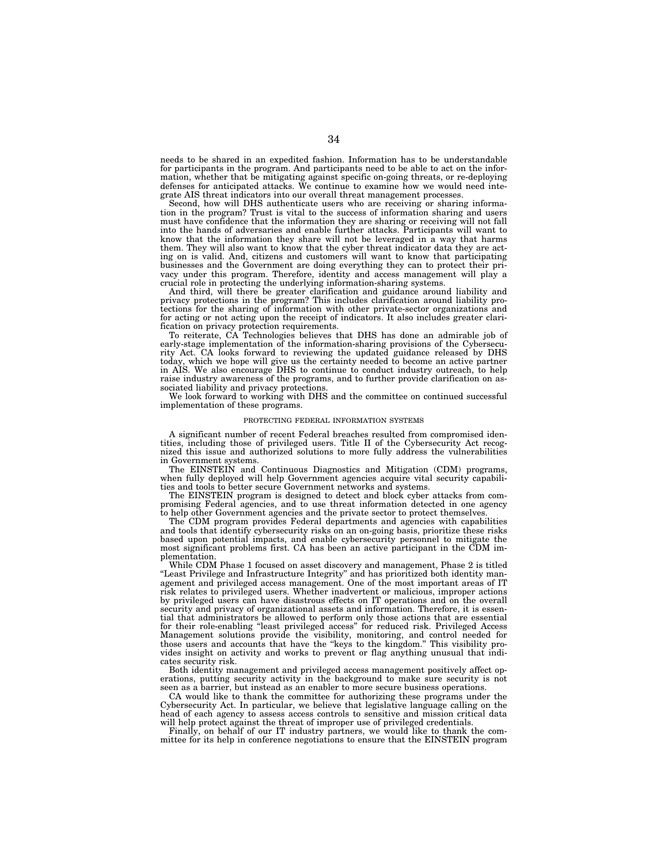needs to be shared in an expedited fashion. Information has to be understandable for participants in the program. And participants need to be able to act on the information, whether that be mitigating against specific on-going threats, or re-deploying defenses for anticipated attacks. We continue to examine how we would need integrate AIS threat indicators into our overall threat management processes.

Second, how will DHS authenticate users who are receiving or sharing information in the program? Trust is vital to the success of information sharing and users must have confidence that the information they are sharing or receiving will not fall into the hands of adversaries and enable further attacks. Participants will want to know that the information they share will not be leveraged in a way that harms them. They will also want to know that the cyber threat indicator data they are acting on is valid. And, citizens and customers will want to know that participating businesses and the Government are doing everything they can to protect their privacy under this program. Therefore, identity and access management will play a crucial role in protecting the underlying information-sharing systems.

And third, will there be greater clarification and guidance around liability and privacy protections in the program? This includes clarification around liability protections for the sharing of information with other private-sector organizations and for acting or not acting upon the receipt of indicators. It also includes greater clarification on privacy protection requirements.

To reiterate, CA Technologies believes that DHS has done an admirable job of early-stage implementation of the information-sharing provisions of the Cybersecurity Act. CA looks forward to reviewing the updated guidance released by DHS today, which we hope will give us the certainty needed to become an active partner in AIS. We also encourage DHS to continue to conduct industry outreach, to help raise industry awareness of the programs, and to further provide clarification on associated liability and privacy protections.

We look forward to working with DHS and the committee on continued successful implementation of these programs.

# PROTECTING FEDERAL INFORMATION SYSTEMS

A significant number of recent Federal breaches resulted from compromised identities, including those of privileged users. Title II of the Cybersecurity Act recognized this issue and authorized solutions to more fully address the vulnerabilities in Government systems.

The EINSTEIN and Continuous Diagnostics and Mitigation (CDM) programs, when fully deployed will help Government agencies acquire vital security capabilities and tools to better secure Government networks and systems.

The EINSTEIN program is designed to detect and block cyber attacks from compromising Federal agencies, and to use threat information detected in one agency to help other Government agencies and the private sector to protect themselves.

The CDM program provides Federal departments and agencies with capabilities and tools that identify cybersecurity risks on an on-going basis, prioritize these risks based upon potential impacts, and enable cybersecurity personnel to mitigate the most significant problems first. CA has been an active participant in the CDM implementation.

While CDM Phase 1 focused on asset discovery and management, Phase 2 is titled ''Least Privilege and Infrastructure Integrity'' and has prioritized both identity management and privileged access management. One of the most important areas of IT risk relates to privileged users. Whether inadvertent or malicious, improper actions by privileged users can have disastrous effects on IT operations and on the overall security and privacy of organizational assets and information. Therefore, it is essential that administrators be allowed to perform only those actions that are essential for their role-enabling ''least privileged access'' for reduced risk. Privileged Access Management solutions provide the visibility, monitoring, and control needed for those users and accounts that have the ''keys to the kingdom.'' This visibility provides insight on activity and works to prevent or flag anything unusual that indicates security risk.

Both identity management and privileged access management positively affect operations, putting security activity in the background to make sure security is not seen as a barrier, but instead as an enabler to more secure business operations.

CA would like to thank the committee for authorizing these programs under the Cybersecurity Act. In particular, we believe that legislative language calling on the head of each agency to assess access controls to sensitive and mission critical data will help protect against the threat of improper use of privileged credentials.

Finally, on behalf of our IT industry partners, we would like to thank the committee for its help in conference negotiations to ensure that the EINSTEIN program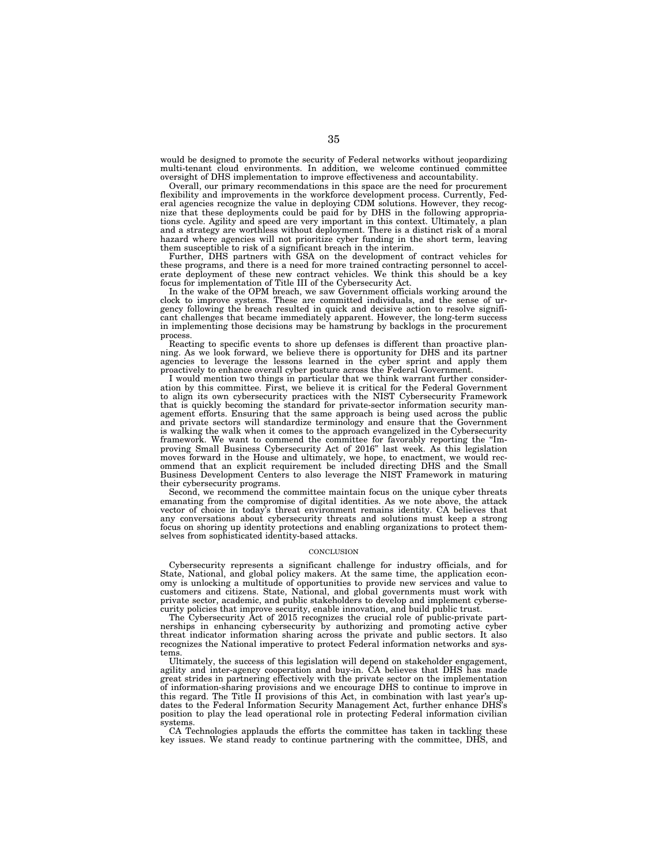would be designed to promote the security of Federal networks without jeopardizing multi-tenant cloud environments. In addition, we welcome continued committee oversight of DHS implementation to improve effectiveness and accountability.

Overall, our primary recommendations in this space are the need for procurement flexibility and improvements in the workforce development process. Currently, Federal agencies recognize the value in deploying CDM solutions. However, they recognize that these deployments could be paid for by DHS in the following appropriations cycle. Agility and speed are very important in this context. Ultimately, a plan and a strategy are worthless without deployment. There is a distinct risk of a moral hazard where agencies will not prioritize cyber funding in the short term, leaving them susceptible to risk of a significant breach in the interim.

Further, DHS partners with GSA on the development of contract vehicles for these programs, and there is a need for more trained contracting personnel to accelerate deployment of these new contract vehicles. We think this should be a key focus for implementation of Title III of the Cybersecurity Act.

In the wake of the OPM breach, we saw Government officials working around the clock to improve systems. These are committed individuals, and the sense of urgency following the breach resulted in quick and decisive action to resolve significant challenges that became immediately apparent. However, the long-term success in implementing those decisions may be hamstrung by backlogs in the procurement process.

Reacting to specific events to shore up defenses is different than proactive planning. As we look forward, we believe there is opportunity for DHS and its partner agencies to leverage the lessons learned in the cyber sprint and apply them proactively to enhance overall cyber posture across the Federal Government.

I would mention two things in particular that we think warrant further consideration by this committee. First, we believe it is critical for the Federal Government to align its own cybersecurity practices with the NIST Cybersecurity Framework that is quickly becoming the standard for private-sector information security management efforts. Ensuring that the same approach is being used across the public and private sectors will standardize terminology and ensure that the Government is walking the walk when it comes to the approach evangelized in the Cybersecurity framework. We want to commend the committee for favorably reporting the ''Improving Small Business Cybersecurity Act of 2016'' last week. As this legislation moves forward in the House and ultimately, we hope, to enactment, we would recommend that an explicit requirement be included directing DHS and the Small Business Development Centers to also leverage the NIST Framework in maturing their cybersecurity programs.

Second, we recommend the committee maintain focus on the unique cyber threats emanating from the compromise of digital identities. As we note above, the attack vector of choice in today's threat environment remains identity. CA believes that any conversations about cybersecurity threats and solutions must keep a strong focus on shoring up identity protections and enabling organizations to protect themselves from sophisticated identity-based attacks.

# **CONCLUSION**

Cybersecurity represents a significant challenge for industry officials, and for State, National, and global policy makers. At the same time, the application economy is unlocking a multitude of opportunities to provide new services and value to customers and citizens. State, National, and global governments must work with private sector, academic, and public stakeholders to develop and implement cybersecurity policies that improve security, enable innovation, and build public trust.

The Cybersecurity Act of 2015 recognizes the crucial role of public-private partnerships in enhancing cybersecurity by authorizing and promoting active cyber threat indicator information sharing across the private and public sectors. It also recognizes the National imperative to protect Federal information networks and systems.

Ultimately, the success of this legislation will depend on stakeholder engagement, agility and inter-agency cooperation and buy-in. CA believes that DHS has made great strides in partnering effectively with the private sector on the implementation of information-sharing provisions and we encourage DHS to continue to improve in this regard. The Title II provisions of this Act, in combination with last year's updates to the Federal Information Security Management Act, further enhance DHS's position to play the lead operational role in protecting Federal information civilian systems.

CA Technologies applauds the efforts the committee has taken in tackling these key issues. We stand ready to continue partnering with the committee, DHS, and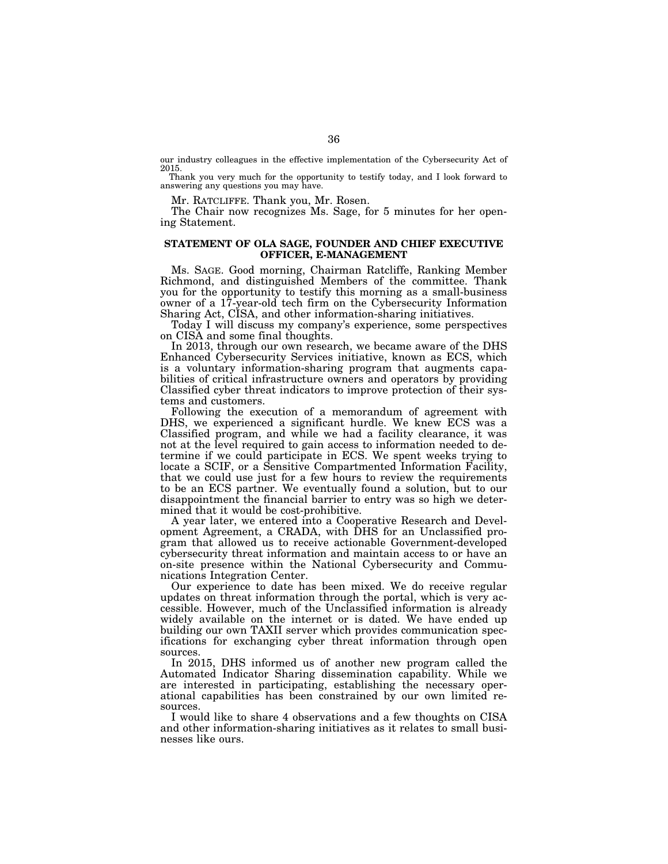our industry colleagues in the effective implementation of the Cybersecurity Act of 2015.

Thank you very much for the opportunity to testify today, and I look forward to answering any questions you may have.

Mr. RATCLIFFE. Thank you, Mr. Rosen.

The Chair now recognizes Ms. Sage, for 5 minutes for her opening Statement.

# **STATEMENT OF OLA SAGE, FOUNDER AND CHIEF EXECUTIVE OFFICER, E-MANAGEMENT**

Ms. SAGE. Good morning, Chairman Ratcliffe, Ranking Member Richmond, and distinguished Members of the committee. Thank you for the opportunity to testify this morning as a small-business owner of a 17-year-old tech firm on the Cybersecurity Information Sharing Act, CISA, and other information-sharing initiatives.

Today I will discuss my company's experience, some perspectives on CISA and some final thoughts.

In 2013, through our own research, we became aware of the DHS Enhanced Cybersecurity Services initiative, known as ECS, which is a voluntary information-sharing program that augments capabilities of critical infrastructure owners and operators by providing Classified cyber threat indicators to improve protection of their systems and customers.

Following the execution of a memorandum of agreement with DHS, we experienced a significant hurdle. We knew ECS was a Classified program, and while we had a facility clearance, it was not at the level required to gain access to information needed to determine if we could participate in ECS. We spent weeks trying to locate a SCIF, or a Sensitive Compartmented Information Facility, that we could use just for a few hours to review the requirements to be an ECS partner. We eventually found a solution, but to our disappointment the financial barrier to entry was so high we determined that it would be cost-prohibitive.

A year later, we entered into a Cooperative Research and Development Agreement, a CRADA, with DHS for an Unclassified program that allowed us to receive actionable Government-developed cybersecurity threat information and maintain access to or have an on-site presence within the National Cybersecurity and Communications Integration Center.

Our experience to date has been mixed. We do receive regular updates on threat information through the portal, which is very accessible. However, much of the Unclassified information is already widely available on the internet or is dated. We have ended up building our own TAXII server which provides communication specifications for exchanging cyber threat information through open sources.

In 2015, DHS informed us of another new program called the Automated Indicator Sharing dissemination capability. While we are interested in participating, establishing the necessary operational capabilities has been constrained by our own limited resources.

I would like to share 4 observations and a few thoughts on CISA and other information-sharing initiatives as it relates to small businesses like ours.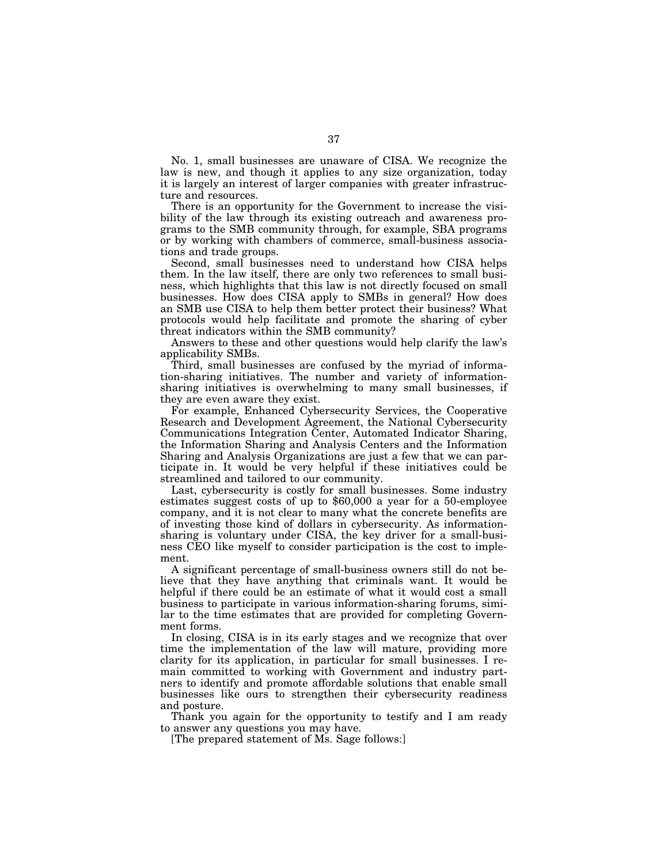No. 1, small businesses are unaware of CISA. We recognize the law is new, and though it applies to any size organization, today it is largely an interest of larger companies with greater infrastructure and resources.

There is an opportunity for the Government to increase the visibility of the law through its existing outreach and awareness programs to the SMB community through, for example, SBA programs or by working with chambers of commerce, small-business associations and trade groups.

Second, small businesses need to understand how CISA helps them. In the law itself, there are only two references to small business, which highlights that this law is not directly focused on small businesses. How does CISA apply to SMBs in general? How does an SMB use CISA to help them better protect their business? What protocols would help facilitate and promote the sharing of cyber threat indicators within the SMB community?

Answers to these and other questions would help clarify the law's applicability SMBs.

Third, small businesses are confused by the myriad of information-sharing initiatives. The number and variety of informationsharing initiatives is overwhelming to many small businesses, if they are even aware they exist.

For example, Enhanced Cybersecurity Services, the Cooperative Research and Development Agreement, the National Cybersecurity Communications Integration Center, Automated Indicator Sharing, the Information Sharing and Analysis Centers and the Information Sharing and Analysis Organizations are just a few that we can participate in. It would be very helpful if these initiatives could be streamlined and tailored to our community.

Last, cybersecurity is costly for small businesses. Some industry estimates suggest costs of up to \$60,000 a year for a 50-employee company, and it is not clear to many what the concrete benefits are of investing those kind of dollars in cybersecurity. As informationsharing is voluntary under CISA, the key driver for a small-business CEO like myself to consider participation is the cost to implement.

A significant percentage of small-business owners still do not believe that they have anything that criminals want. It would be helpful if there could be an estimate of what it would cost a small business to participate in various information-sharing forums, similar to the time estimates that are provided for completing Government forms.

In closing, CISA is in its early stages and we recognize that over time the implementation of the law will mature, providing more clarity for its application, in particular for small businesses. I remain committed to working with Government and industry partners to identify and promote affordable solutions that enable small businesses like ours to strengthen their cybersecurity readiness and posture.

Thank you again for the opportunity to testify and I am ready to answer any questions you may have.

[The prepared statement of Ms. Sage follows:]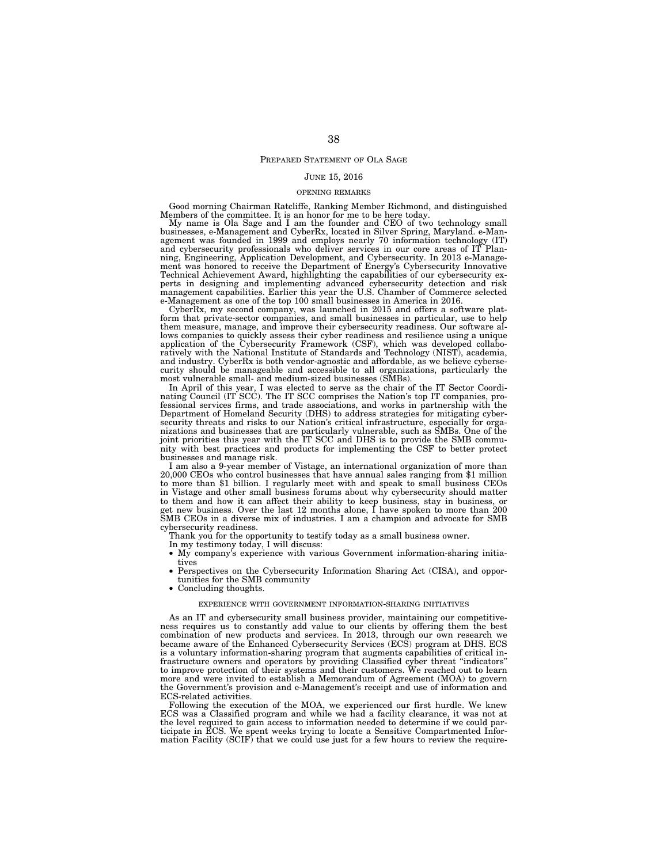# PREPARED STATEMENT OF OLA SAGE

# JUNE 15, 2016

### OPENING REMARKS

Good morning Chairman Ratcliffe, Ranking Member Richmond, and distinguished Members of the committee. It is an honor for me to be here today.

My name is Ola Sage and I am the founder and CEO of two technology small businesses, e-Management and CyberRx, located in Silver Spring, Maryland. e-Management was founded in 1999 and employs nearly 70 information technology (IT) and cybersecurity professionals who deliver services in our core areas of IT Planning, Engineering, Application Development, and Cybersecurity. In 2013 e-Manage-ment was honored to receive the Department of Energy's Cybersecurity Innovative Technical Achievement Award, highlighting the capabilities of our cybersecurity experts in designing and implementing advanced cybersecurity detection and risk management capabilities. Earlier this year the U.S. Chamber of Commerce selected e-Management as one of the top 100 small businesses in America in 2016.

CyberRx, my second company, was launched in 2015 and offers a software platform that private-sector companies, and small businesses in particular, use to help them measure, manage, and improve their cybersecurity readiness. Our software allows companies to quickly assess their cyber readiness and resilience using a unique application of the Cybersecurity Framework (CSF), which was developed collaboratively with the National Institute of Standards and Technology (NIST), academia, and industry. CyberRx is both vendor-agnostic and affordable, as we believe cybersecurity should be manageable and accessible to all organizations, particularly the most vulnerable small- and medium-sized businesses (SMBs).

In April of this year, I was elected to serve as the chair of the IT Sector Coordinating Council (IT SCC). The IT SCC comprises the Nation's top IT companies, professional services firms, and trade associations, and works in partnership with the Department of Homeland Security (DHS) to address strategies for mitigating cybersecurity threats and risks to our Nation's critical infrastructure, especially for organizations and businesses that are particularly vulnerable, such as SMBs. One of the joint priorities this year with the IT SCC and DHS is to provide the SMB community with best practices and products for implementing the CSF to better protect businesses and manage risk.

I am also a 9-year member of Vistage, an international organization of more than 20,000 CEOs who control businesses that have annual sales ranging from \$1 million to more than \$1 billion. I regularly meet with and speak to small business CEOs in Vistage and other small business forums about why cybersecurity should matter to them and how it can affect their ability to keep business, stay in business, or get new business. Over the last 12 months alone, I have spoken to more than 200 SMB CEOs in a diverse mix of industries. I am a champion and advocate for SMB cybersecurity readiness.

Thank you for the opportunity to testify today as a small business owner.

In my testimony today, I will discuss:

- My company's experience with various Government information-sharing initiatives
- Perspectives on the Cybersecurity Information Sharing Act (CISA), and opportunities for the SMB community
- Concluding thoughts.

#### EXPERIENCE WITH GOVERNMENT INFORMATION-SHARING INITIATIVES

As an IT and cybersecurity small business provider, maintaining our competitiveness requires us to constantly add value to our clients by offering them the best combination of new products and services. In 2013, through our own research we became aware of the Enhanced Cybersecurity Services (ECS) program at DHS. ECS is a voluntary information-sharing program that augments capabilities of critical infrastructure owners and operators by providing Classified cyber threat ''indicators'' to improve protection of their systems and their customers. We reached out to learn more and were invited to establish a Memorandum of Agreement (MOA) to govern the Government's provision and e-Management's receipt and use of information and ECS-related activities.

Following the execution of the MOA, we experienced our first hurdle. We knew ECS was a Classified program and while we had a facility clearance, it was not at the level required to gain access to information needed to determine if we could participate in ECS. We spent weeks trying to locate a Sensitive Compartmented Information Facility (SCIF) that we could use just for a few hours to review the require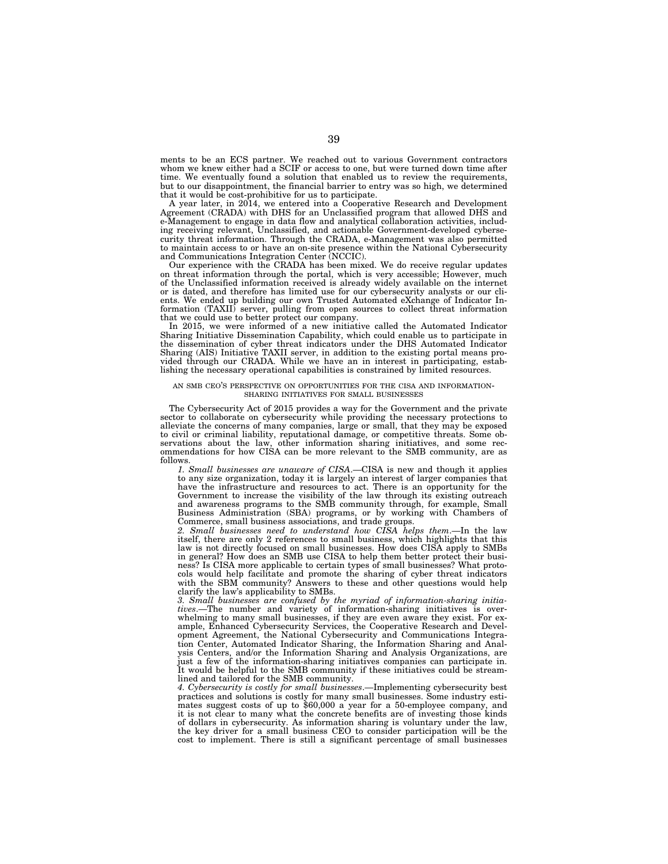ments to be an ECS partner. We reached out to various Government contractors whom we knew either had a SCIF or access to one, but were turned down time after time. We eventually found a solution that enabled us to review the requirements, but to our disappointment, the financial barrier to entry was so high, we determined that it would be cost-prohibitive for us to participate.

A year later, in 2014, we entered into a Cooperative Research and Development Agreement (CRADA) with DHS for an Unclassified program that allowed DHS and e-Management to engage in data flow and analytical collaboration activities, including receiving relevant, Unclassified, and actionable Government-developed cybersecurity threat information. Through the CRADA, e-Management was also permitted to maintain access to or have an on-site presence within the National Cybersecurity and Communications Integration Center (NCCIC).

Our experience with the CRADA has been mixed. We do receive regular updates on threat information through the portal, which is very accessible; However, much of the Unclassified information received is already widely available on the internet or is dated, and therefore has limited use for our cybersecurity analysts or our clients. We ended up building our own Trusted Automated eXchange of Indicator Information (TAXII) server, pulling from open sources to collect threat information that we could use to better protect our company.

In 2015, we were informed of a new initiative called the Automated Indicator Sharing Initiative Dissemination Capability, which could enable us to participate in the dissemination of cyber threat indicators under the DHS Automated Indicator Sharing (AIS) Initiative TAXII server, in addition to the existing portal means provided through our CRADA. While we have an in interest in participating, establishing the necessary operational capabilities is constrained by limited resources.

# AN SMB CEO'S PERSPECTIVE ON OPPORTUNITIES FOR THE CISA AND INFORMATION-SHARING INITIATIVES FOR SMALL BUSINESSES

The Cybersecurity Act of 2015 provides a way for the Government and the private sector to collaborate on cybersecurity while providing the necessary protections to alleviate the concerns of many companies, large or small, that they may be exposed to civil or criminal liability, reputational damage, or competitive threats. Some observations about the law, other information sharing initiatives, and some recommendations for how CISA can be more relevant to the SMB community, are as follows.

*1. Small businesses are unaware of CISA*.—CISA is new and though it applies to any size organization, today it is largely an interest of larger companies that have the infrastructure and resources to act. There is an opportunity for the Government to increase the visibility of the law through its existing outreach and awareness programs to the SMB community through, for example, Small Business Administration (SBA) programs, or by working with Chambers of Commerce, small business associations, and trade groups.

*2. Small businesses need to understand how CISA helps them*.—In the law itself, there are only 2 references to small business, which highlights that this law is not directly focused on small businesses. How does CISA apply to SMBs in general? How does an SMB use CISA to help them better protect their business? Is CISA more applicable to certain types of small businesses? What protocols would help facilitate and promote the sharing of cyber threat indicators with the SBM community? Answers to these and other questions would help clarify the law's applicability to SMBs.

*3. Small businesses are confused by the myriad of information-sharing initiatives*.—The number and variety of information-sharing initiatives is overwhelming to many small businesses, if they are even aware they exist. For example, Enhanced Cybersecurity Services, the Cooperative Research and Development Agreement, the National Cybersecurity and Communications Integration Center, Automated Indicator Sharing, the Information Sharing and Analysis Centers, and/or the Information Sharing and Analysis Organizations, are just a few of the information-sharing initiatives companies can participate in. It would be helpful to the SMB community if these initiatives could be streamlined and tailored for the SMB community.

*4. Cybersecurity is costly for small businesses*.—Implementing cybersecurity best practices and solutions is costly for many small businesses. Some industry estimates suggest costs of up to \$60,000 a year for a 50-employee company, and it is not clear to many what the concrete benefits are of investing those kinds of dollars in cybersecurity. As information sharing is voluntary under the law, the key driver for a small business CEO to consider participation will be the cost to implement. There is still a significant percentage of small businesses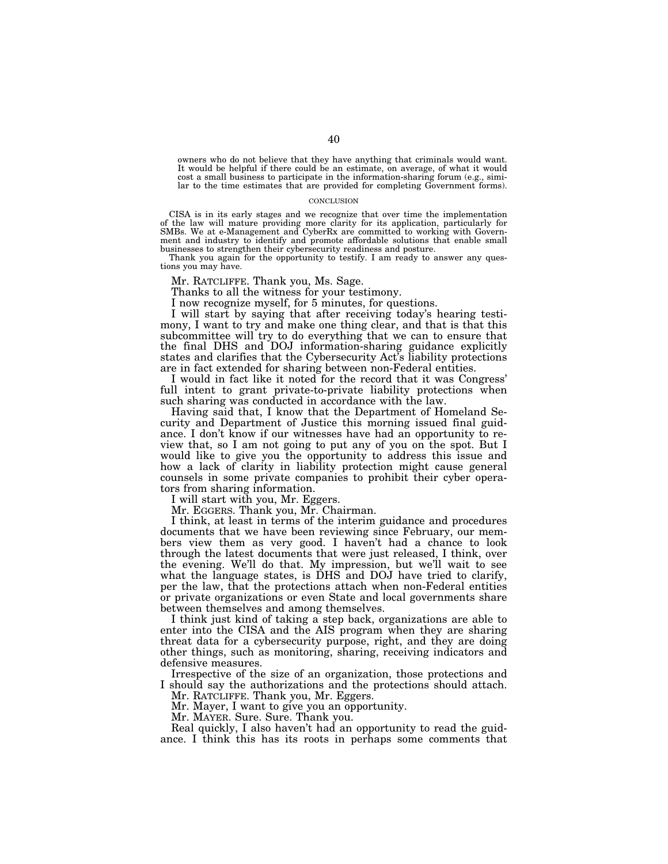owners who do not believe that they have anything that criminals would want. It would be helpful if there could be an estimate, on average, of what it would cost a small business to participate in the information-sharing forum (e.g., similar to the time estimates that are provided for completing Government forms).

#### **CONCLUSION**

CISA is in its early stages and we recognize that over time the implementation of the law will mature providing more clarity for its application, particularly for SMBs. We at e-Management and CyberRx are committed to working with Government and industry to identify and promote affordable solutions that enable small businesses to strengthen their cybersecurity readiness and posture.

Thank you again for the opportunity to testify. I am ready to answer any questions you may have.

Mr. RATCLIFFE. Thank you, Ms. Sage.

Thanks to all the witness for your testimony.

I now recognize myself, for 5 minutes, for questions.

I will start by saying that after receiving today's hearing testimony, I want to try and make one thing clear, and that is that this subcommittee will try to do everything that we can to ensure that the final DHS and DOJ information-sharing guidance explicitly states and clarifies that the Cybersecurity Act's liability protections are in fact extended for sharing between non-Federal entities.

I would in fact like it noted for the record that it was Congress' full intent to grant private-to-private liability protections when such sharing was conducted in accordance with the law.

Having said that, I know that the Department of Homeland Security and Department of Justice this morning issued final guidance. I don't know if our witnesses have had an opportunity to review that, so I am not going to put any of you on the spot. But I would like to give you the opportunity to address this issue and how a lack of clarity in liability protection might cause general counsels in some private companies to prohibit their cyber operators from sharing information.

I will start with you, Mr. Eggers.

Mr. EGGERS. Thank you, Mr. Chairman.

I think, at least in terms of the interim guidance and procedures documents that we have been reviewing since February, our members view them as very good. I haven't had a chance to look through the latest documents that were just released, I think, over the evening. We'll do that. My impression, but we'll wait to see what the language states, is DHS and DOJ have tried to clarify, per the law, that the protections attach when non-Federal entities or private organizations or even State and local governments share between themselves and among themselves.

I think just kind of taking a step back, organizations are able to enter into the CISA and the AIS program when they are sharing threat data for a cybersecurity purpose, right, and they are doing other things, such as monitoring, sharing, receiving indicators and defensive measures.

Irrespective of the size of an organization, those protections and I should say the authorizations and the protections should attach.

Mr. RATCLIFFE. Thank you, Mr. Eggers.

Mr. Mayer, I want to give you an opportunity.

Mr. MAYER. Sure. Sure. Thank you.

Real quickly, I also haven't had an opportunity to read the guidance. I think this has its roots in perhaps some comments that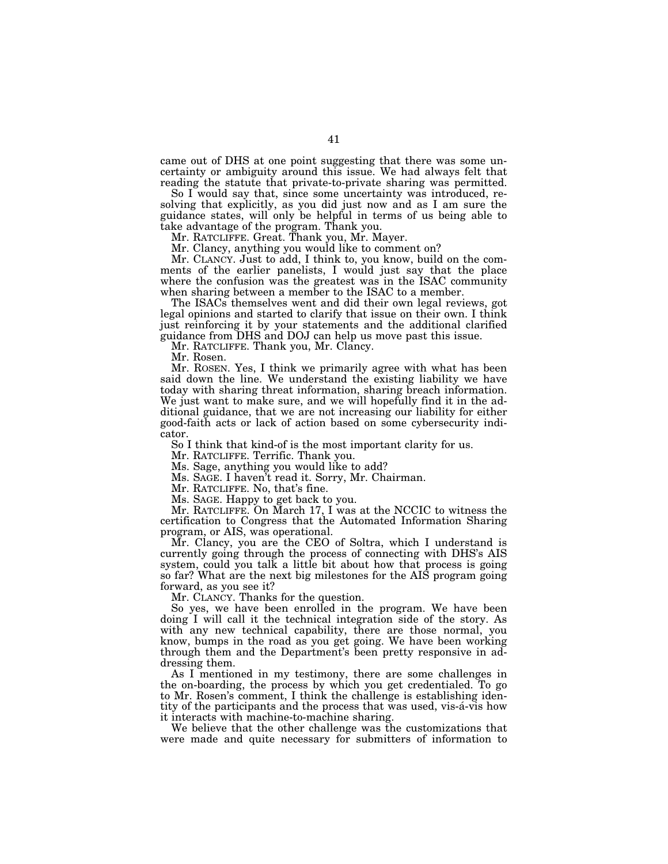came out of DHS at one point suggesting that there was some uncertainty or ambiguity around this issue. We had always felt that reading the statute that private-to-private sharing was permitted.

So I would say that, since some uncertainty was introduced, resolving that explicitly, as you did just now and as I am sure the guidance states, will only be helpful in terms of us being able to take advantage of the program. Thank you.

Mr. RATCLIFFE. Great. Thank you, Mr. Mayer.

Mr. Clancy, anything you would like to comment on?

Mr. CLANCY. Just to add, I think to, you know, build on the comments of the earlier panelists, I would just say that the place where the confusion was the greatest was in the ISAC community when sharing between a member to the ISAC to a member.

The ISACs themselves went and did their own legal reviews, got legal opinions and started to clarify that issue on their own. I think just reinforcing it by your statements and the additional clarified guidance from DHS and DOJ can help us move past this issue.

Mr. RATCLIFFE. Thank you, Mr. Clancy.

Mr. Rosen.

Mr. ROSEN. Yes, I think we primarily agree with what has been said down the line. We understand the existing liability we have today with sharing threat information, sharing breach information. We just want to make sure, and we will hopefully find it in the additional guidance, that we are not increasing our liability for either good-faith acts or lack of action based on some cybersecurity indicator.

So I think that kind-of is the most important clarity for us.

Mr. RATCLIFFE. Terrific. Thank you.

Ms. Sage, anything you would like to add?

Ms. SAGE. I haven't read it. Sorry, Mr. Chairman.

Mr. RATCLIFFE. No, that's fine.

Ms. SAGE. Happy to get back to you.

Mr. RATCLIFFE. On March 17, I was at the NCCIC to witness the certification to Congress that the Automated Information Sharing program, or AIS, was operational.

Mr. Clancy, you are the CEO of Soltra, which I understand is currently going through the process of connecting with DHS's AIS system, could you talk a little bit about how that process is going so far? What are the next big milestones for the AIS program going forward, as you see it?

Mr. CLANCY. Thanks for the question.

So yes, we have been enrolled in the program. We have been doing I will call it the technical integration side of the story. As with any new technical capability, there are those normal, you know, bumps in the road as you get going. We have been working through them and the Department's been pretty responsive in addressing them.

As I mentioned in my testimony, there are some challenges in the on-boarding, the process by which you get credentialed. To go to Mr. Rosen's comment, I think the challenge is establishing identity of the participants and the process that was used, vis-á-vis how it interacts with machine-to-machine sharing.

We believe that the other challenge was the customizations that were made and quite necessary for submitters of information to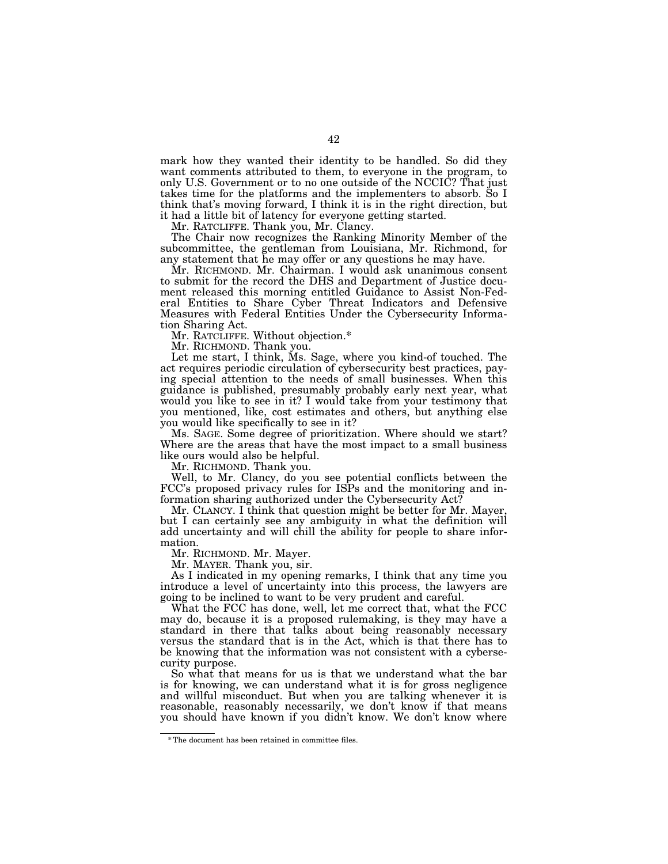mark how they wanted their identity to be handled. So did they want comments attributed to them, to everyone in the program, to only U.S. Government or to no one outside of the NCCIC? That just takes time for the platforms and the implementers to absorb. So I think that's moving forward, I think it is in the right direction, but it had a little bit of latency for everyone getting started.

Mr. RATCLIFFE. Thank you, Mr. Clancy.

The Chair now recognizes the Ranking Minority Member of the subcommittee, the gentleman from Louisiana, Mr. Richmond, for any statement that he may offer or any questions he may have.

Mr. RICHMOND. Mr. Chairman. I would ask unanimous consent to submit for the record the DHS and Department of Justice document released this morning entitled Guidance to Assist Non-Federal Entities to Share Cyber Threat Indicators and Defensive Measures with Federal Entities Under the Cybersecurity Information Sharing Act.

Mr. RATCLIFFE. Without objection.\*

Mr. RICHMOND. Thank you.

Let me start, I think, Ms. Sage, where you kind-of touched. The act requires periodic circulation of cybersecurity best practices, paying special attention to the needs of small businesses. When this guidance is published, presumably probably early next year, what would you like to see in it? I would take from your testimony that you mentioned, like, cost estimates and others, but anything else you would like specifically to see in it?

Ms. SAGE. Some degree of prioritization. Where should we start? Where are the areas that have the most impact to a small business like ours would also be helpful.

Mr. RICHMOND. Thank you.

Well, to Mr. Clancy, do you see potential conflicts between the FCC's proposed privacy rules for ISPs and the monitoring and information sharing authorized under the Cybersecurity Act?

Mr. CLANCY. I think that question might be better for Mr. Mayer, but I can certainly see any ambiguity in what the definition will add uncertainty and will chill the ability for people to share information.

Mr. RICHMOND. Mr. Mayer.

Mr. MAYER. Thank you, sir.

As I indicated in my opening remarks, I think that any time you introduce a level of uncertainty into this process, the lawyers are going to be inclined to want to be very prudent and careful.

What the FCC has done, well, let me correct that, what the FCC may do, because it is a proposed rulemaking, is they may have a standard in there that talks about being reasonably necessary versus the standard that is in the Act, which is that there has to be knowing that the information was not consistent with a cybersecurity purpose.

So what that means for us is that we understand what the bar is for knowing, we can understand what it is for gross negligence and willful misconduct. But when you are talking whenever it is reasonable, reasonably necessarily, we don't know if that means you should have known if you didn't know. We don't know where

<sup>\*</sup> The document has been retained in committee files.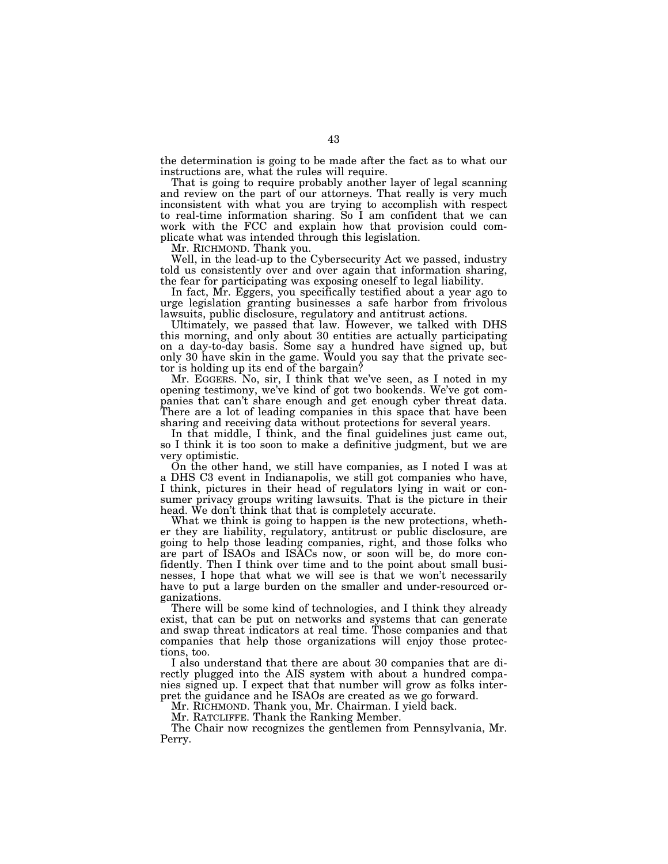the determination is going to be made after the fact as to what our instructions are, what the rules will require.

That is going to require probably another layer of legal scanning and review on the part of our attorneys. That really is very much inconsistent with what you are trying to accomplish with respect to real-time information sharing. So I am confident that we can work with the FCC and explain how that provision could complicate what was intended through this legislation.

Mr. RICHMOND. Thank you.

Well, in the lead-up to the Cybersecurity Act we passed, industry told us consistently over and over again that information sharing, the fear for participating was exposing oneself to legal liability.

In fact, Mr. Eggers, you specifically testified about a year ago to urge legislation granting businesses a safe harbor from frivolous lawsuits, public disclosure, regulatory and antitrust actions.

Ultimately, we passed that law. However, we talked with DHS this morning, and only about 30 entities are actually participating on a day-to-day basis. Some say a hundred have signed up, but only 30 have skin in the game. Would you say that the private sector is holding up its end of the bargain?

Mr. EGGERS. No, sir, I think that we've seen, as I noted in my opening testimony, we've kind of got two bookends. We've got companies that can't share enough and get enough cyber threat data. There are a lot of leading companies in this space that have been sharing and receiving data without protections for several years.

In that middle, I think, and the final guidelines just came out, so I think it is too soon to make a definitive judgment, but we are very optimistic.

On the other hand, we still have companies, as I noted I was at a DHS C3 event in Indianapolis, we still got companies who have, I think, pictures in their head of regulators lying in wait or consumer privacy groups writing lawsuits. That is the picture in their head. We don't think that that is completely accurate.

What we think is going to happen is the new protections, whether they are liability, regulatory, antitrust or public disclosure, are going to help those leading companies, right, and those folks who are part of ISAOs and ISACs now, or soon will be, do more confidently. Then I think over time and to the point about small businesses, I hope that what we will see is that we won't necessarily have to put a large burden on the smaller and under-resourced organizations.

There will be some kind of technologies, and I think they already exist, that can be put on networks and systems that can generate and swap threat indicators at real time. Those companies and that companies that help those organizations will enjoy those protections, too.

I also understand that there are about 30 companies that are directly plugged into the AIS system with about a hundred companies signed up. I expect that that number will grow as folks interpret the guidance and he ISAOs are created as we go forward.

Mr. RICHMOND. Thank you, Mr. Chairman. I yield back.

Mr. RATCLIFFE. Thank the Ranking Member.

The Chair now recognizes the gentlemen from Pennsylvania, Mr. Perry.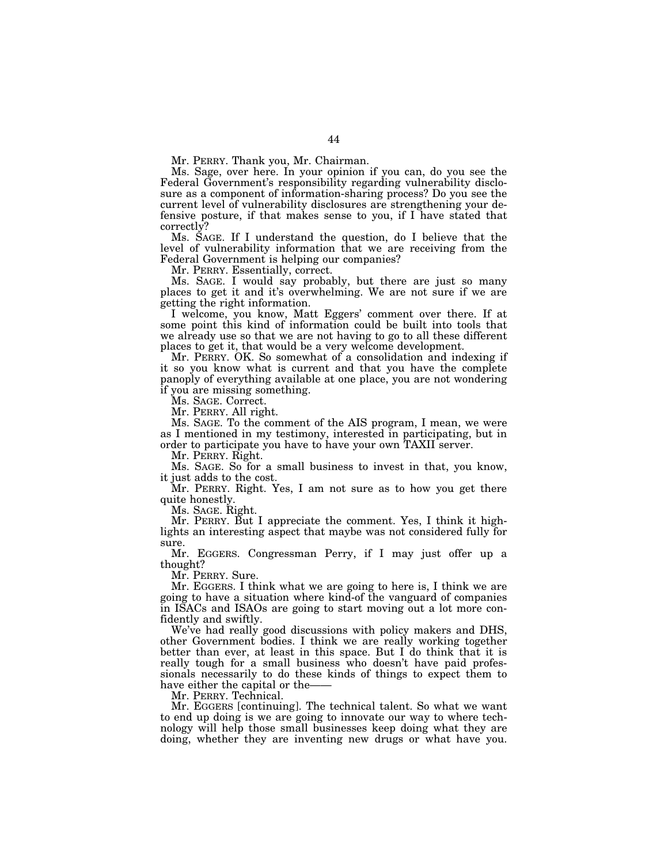Mr. PERRY. Thank you, Mr. Chairman.

Ms. Sage, over here. In your opinion if you can, do you see the Federal Government's responsibility regarding vulnerability disclosure as a component of information-sharing process? Do you see the current level of vulnerability disclosures are strengthening your defensive posture, if that makes sense to you, if I have stated that correctly?

Ms. SAGE. If I understand the question, do I believe that the level of vulnerability information that we are receiving from the Federal Government is helping our companies?

Mr. PERRY. Essentially, correct.

Ms. SAGE. I would say probably, but there are just so many places to get it and it's overwhelming. We are not sure if we are getting the right information.

I welcome, you know, Matt Eggers' comment over there. If at some point this kind of information could be built into tools that we already use so that we are not having to go to all these different places to get it, that would be a very welcome development.

Mr. PERRY. OK. So somewhat of a consolidation and indexing if it so you know what is current and that you have the complete panoply of everything available at one place, you are not wondering if you are missing something.

Ms. SAGE. Correct.

Mr. PERRY. All right.

Ms. SAGE. To the comment of the AIS program, I mean, we were as I mentioned in my testimony, interested in participating, but in order to participate you have to have your own TAXII server.

Mr. PERRY. Right.

Ms. SAGE. So for a small business to invest in that, you know, it just adds to the cost.

Mr. PERRY. Right. Yes, I am not sure as to how you get there quite honestly.

Ms. SAGE. Right.

Mr. PERRY. But I appreciate the comment. Yes, I think it highlights an interesting aspect that maybe was not considered fully for sure.

Mr. EGGERS. Congressman Perry, if I may just offer up a thought?

Mr. PERRY. Sure.

Mr. EGGERS. I think what we are going to here is, I think we are going to have a situation where kind-of the vanguard of companies in ISACs and ISAOs are going to start moving out a lot more confidently and swiftly.

We've had really good discussions with policy makers and DHS, other Government bodies. I think we are really working together better than ever, at least in this space. But I do think that it is really tough for a small business who doesn't have paid professionals necessarily to do these kinds of things to expect them to have either the capital or the-

Mr. PERRY. Technical.

Mr. EGGERS [continuing]. The technical talent. So what we want to end up doing is we are going to innovate our way to where technology will help those small businesses keep doing what they are doing, whether they are inventing new drugs or what have you.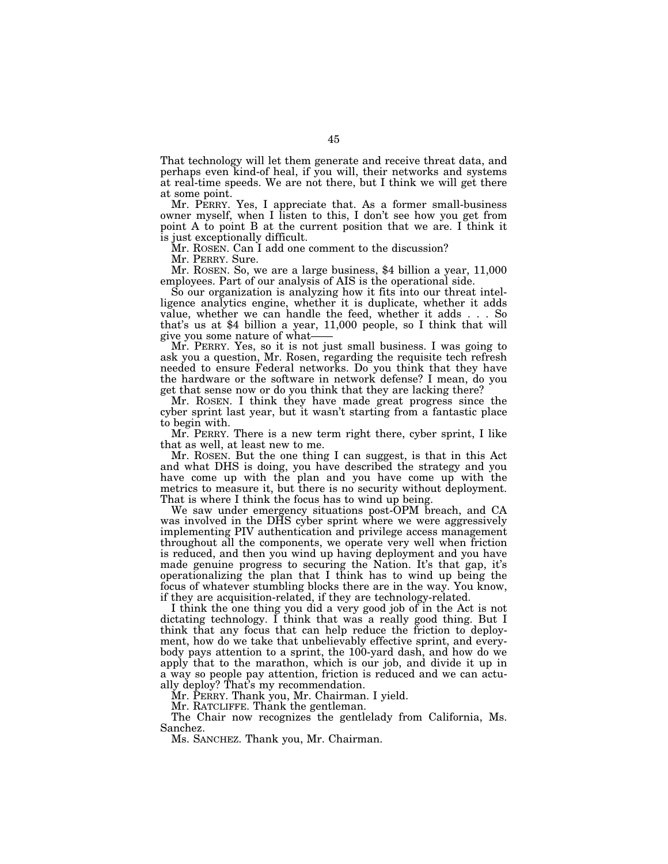That technology will let them generate and receive threat data, and perhaps even kind-of heal, if you will, their networks and systems at real-time speeds. We are not there, but I think we will get there at some point.

Mr. PERRY. Yes, I appreciate that. As a former small-business owner myself, when I listen to this, I don't see how you get from point A to point B at the current position that we are. I think it is just exceptionally difficult.

Mr. ROSEN. Can I add one comment to the discussion?

Mr. PERRY. Sure.

Mr. ROSEN. So, we are a large business, \$4 billion a year, 11,000 employees. Part of our analysis of AIS is the operational side.

So our organization is analyzing how it fits into our threat intelligence analytics engine, whether it is duplicate, whether it adds value, whether we can handle the feed, whether it adds . . . So that's us at \$4 billion a year, 11,000 people, so I think that will give you some nature of what——

Mr. PERRY. Yes, so it is not just small business. I was going to ask you a question, Mr. Rosen, regarding the requisite tech refresh needed to ensure Federal networks. Do you think that they have the hardware or the software in network defense? I mean, do you get that sense now or do you think that they are lacking there?

Mr. ROSEN. I think they have made great progress since the cyber sprint last year, but it wasn't starting from a fantastic place to begin with.

Mr. PERRY. There is a new term right there, cyber sprint, I like that as well, at least new to me.

Mr. ROSEN. But the one thing I can suggest, is that in this Act and what DHS is doing, you have described the strategy and you have come up with the plan and you have come up with the metrics to measure it, but there is no security without deployment. That is where I think the focus has to wind up being.

We saw under emergency situations post-OPM breach, and CA was involved in the DHS cyber sprint where we were aggressively implementing PIV authentication and privilege access management throughout all the components, we operate very well when friction is reduced, and then you wind up having deployment and you have made genuine progress to securing the Nation. It's that gap, it's operationalizing the plan that I think has to wind up being the focus of whatever stumbling blocks there are in the way. You know, if they are acquisition-related, if they are technology-related.

I think the one thing you did a very good job of in the Act is not dictating technology. I think that was a really good thing. But I think that any focus that can help reduce the friction to deployment, how do we take that unbelievably effective sprint, and everybody pays attention to a sprint, the 100-yard dash, and how do we apply that to the marathon, which is our job, and divide it up in a way so people pay attention, friction is reduced and we can actually deploy? That's my recommendation.

Mr. PERRY. Thank you, Mr. Chairman. I yield.

Mr. RATCLIFFE. Thank the gentleman.

The Chair now recognizes the gentlelady from California, Ms. Sanchez.

Ms. SANCHEZ. Thank you, Mr. Chairman.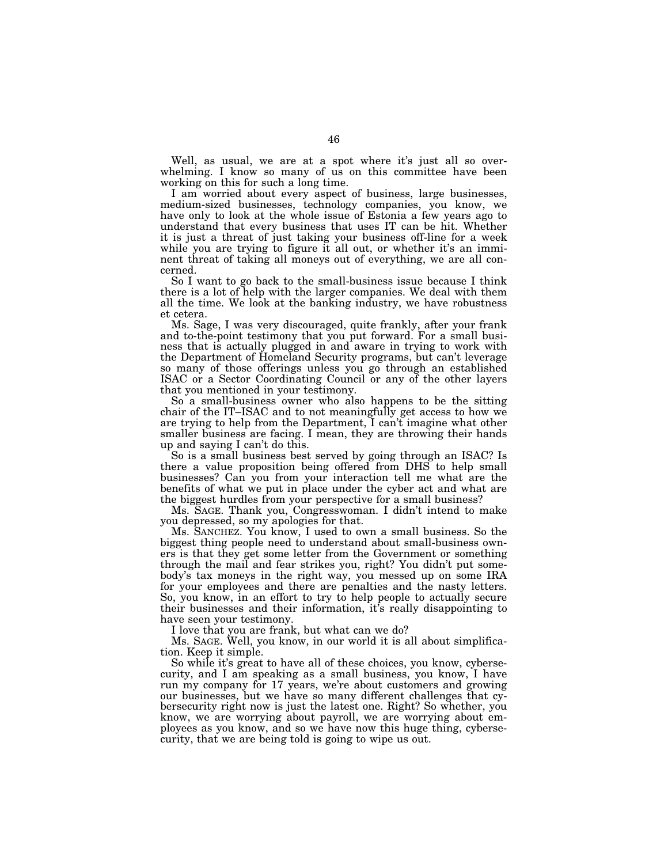Well, as usual, we are at a spot where it's just all so overwhelming. I know so many of us on this committee have been working on this for such a long time.

I am worried about every aspect of business, large businesses, medium-sized businesses, technology companies, you know, we have only to look at the whole issue of Estonia a few years ago to understand that every business that uses IT can be hit. Whether it is just a threat of just taking your business off-line for a week while you are trying to figure it all out, or whether it's an imminent threat of taking all moneys out of everything, we are all concerned.

So I want to go back to the small-business issue because I think there is a lot of help with the larger companies. We deal with them all the time. We look at the banking industry, we have robustness et cetera.

Ms. Sage, I was very discouraged, quite frankly, after your frank and to-the-point testimony that you put forward. For a small business that is actually plugged in and aware in trying to work with the Department of Homeland Security programs, but can't leverage so many of those offerings unless you go through an established ISAC or a Sector Coordinating Council or any of the other layers that you mentioned in your testimony.

So a small-business owner who also happens to be the sitting chair of the IT–ISAC and to not meaningfully get access to how we are trying to help from the Department, I can't imagine what other smaller business are facing. I mean, they are throwing their hands up and saying I can't do this.

So is a small business best served by going through an ISAC? Is there a value proposition being offered from DHS to help small businesses? Can you from your interaction tell me what are the benefits of what we put in place under the cyber act and what are the biggest hurdles from your perspective for a small business?

Ms. SAGE. Thank you, Congresswoman. I didn't intend to make you depressed, so my apologies for that.

Ms. SANCHEZ. You know, I used to own a small business. So the biggest thing people need to understand about small-business owners is that they get some letter from the Government or something through the mail and fear strikes you, right? You didn't put somebody's tax moneys in the right way, you messed up on some IRA for your employees and there are penalties and the nasty letters. So, you know, in an effort to try to help people to actually secure their businesses and their information, it's really disappointing to have seen your testimony.

I love that you are frank, but what can we do?

Ms. SAGE. Well, you know, in our world it is all about simplification. Keep it simple.

So while it's great to have all of these choices, you know, cybersecurity, and I am speaking as a small business, you know, I have run my company for 17 years, we're about customers and growing our businesses, but we have so many different challenges that cybersecurity right now is just the latest one. Right? So whether, you know, we are worrying about payroll, we are worrying about employees as you know, and so we have now this huge thing, cybersecurity, that we are being told is going to wipe us out.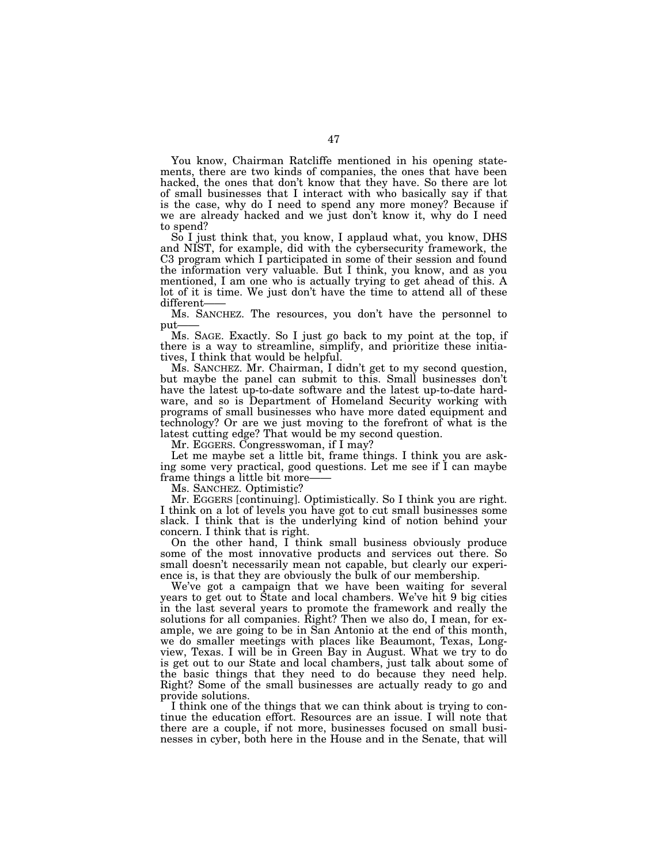You know, Chairman Ratcliffe mentioned in his opening statements, there are two kinds of companies, the ones that have been hacked, the ones that don't know that they have. So there are lot of small businesses that I interact with who basically say if that is the case, why do I need to spend any more money? Because if we are already hacked and we just don't know it, why do I need to spend?

So I just think that, you know, I applaud what, you know, DHS and NIST, for example, did with the cybersecurity framework, the C3 program which I participated in some of their session and found the information very valuable. But I think, you know, and as you mentioned, I am one who is actually trying to get ahead of this. A lot of it is time. We just don't have the time to attend all of these different-

Ms. SANCHEZ. The resources, you don't have the personnel to put

Ms. SAGE. Exactly. So I just go back to my point at the top, if there is a way to streamline, simplify, and prioritize these initiatives, I think that would be helpful.

Ms. SANCHEZ. Mr. Chairman, I didn't get to my second question, but maybe the panel can submit to this. Small businesses don't have the latest up-to-date software and the latest up-to-date hardware, and so is Department of Homeland Security working with programs of small businesses who have more dated equipment and technology? Or are we just moving to the forefront of what is the latest cutting edge? That would be my second question.

Mr. EGGERS. Congresswoman, if I may?

Let me maybe set a little bit, frame things. I think you are asking some very practical, good questions. Let me see if I can maybe frame things a little bit more-

Ms. SANCHEZ. Optimistic?

Mr. EGGERS [continuing]. Optimistically. So I think you are right. I think on a lot of levels you have got to cut small businesses some slack. I think that is the underlying kind of notion behind your concern. I think that is right.

On the other hand, I think small business obviously produce some of the most innovative products and services out there. So small doesn't necessarily mean not capable, but clearly our experience is, is that they are obviously the bulk of our membership.

We've got a campaign that we have been waiting for several years to get out to State and local chambers. We've hit 9 big cities in the last several years to promote the framework and really the solutions for all companies. Right? Then we also do, I mean, for example, we are going to be in San Antonio at the end of this month, we do smaller meetings with places like Beaumont, Texas, Longview, Texas. I will be in Green Bay in August. What we try to do is get out to our State and local chambers, just talk about some of the basic things that they need to do because they need help. Right? Some of the small businesses are actually ready to go and provide solutions.

I think one of the things that we can think about is trying to continue the education effort. Resources are an issue. I will note that there are a couple, if not more, businesses focused on small businesses in cyber, both here in the House and in the Senate, that will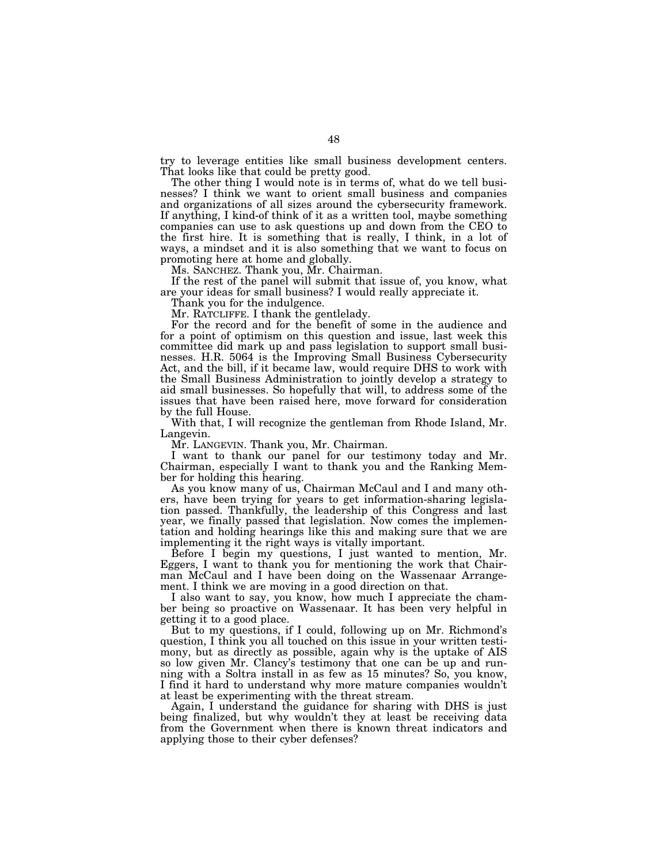try to leverage entities like small business development centers. That looks like that could be pretty good.

The other thing I would note is in terms of, what do we tell businesses? I think we want to orient small business and companies and organizations of all sizes around the cybersecurity framework. If anything, I kind-of think of it as a written tool, maybe something companies can use to ask questions up and down from the CEO to the first hire. It is something that is really, I think, in a lot of ways, a mindset and it is also something that we want to focus on promoting here at home and globally.

Ms. SANCHEZ. Thank you, Mr. Chairman.

If the rest of the panel will submit that issue of, you know, what are your ideas for small business? I would really appreciate it.

Thank you for the indulgence.

Mr. RATCLIFFE. I thank the gentlelady.

For the record and for the benefit of some in the audience and for a point of optimism on this question and issue, last week this committee did mark up and pass legislation to support small businesses. H.R. 5064 is the Improving Small Business Cybersecurity Act, and the bill, if it became law, would require DHS to work with the Small Business Administration to jointly develop a strategy to aid small businesses. So hopefully that will, to address some of the issues that have been raised here, move forward for consideration by the full House.

With that, I will recognize the gentleman from Rhode Island, Mr. Langevin.

Mr. LANGEVIN. Thank you, Mr. Chairman.

I want to thank our panel for our testimony today and Mr. Chairman, especially I want to thank you and the Ranking Member for holding this hearing.

As you know many of us, Chairman McCaul and I and many others, have been trying for years to get information-sharing legislation passed. Thankfully, the leadership of this Congress and last year, we finally passed that legislation. Now comes the implementation and holding hearings like this and making sure that we are implementing it the right ways is vitally important.

Before I begin my questions, I just wanted to mention, Mr. Eggers, I want to thank you for mentioning the work that Chairman McCaul and I have been doing on the Wassenaar Arrangement. I think we are moving in a good direction on that.

I also want to say, you know, how much I appreciate the chamber being so proactive on Wassenaar. It has been very helpful in getting it to a good place.

But to my questions, if I could, following up on Mr. Richmond's question, I think you all touched on this issue in your written testimony, but as directly as possible, again why is the uptake of AIS so low given Mr. Clancy's testimony that one can be up and running with a Soltra install in as few as 15 minutes? So, you know, I find it hard to understand why more mature companies wouldn't at least be experimenting with the threat stream.

Again, I understand the guidance for sharing with DHS is just being finalized, but why wouldn't they at least be receiving data from the Government when there is known threat indicators and applying those to their cyber defenses?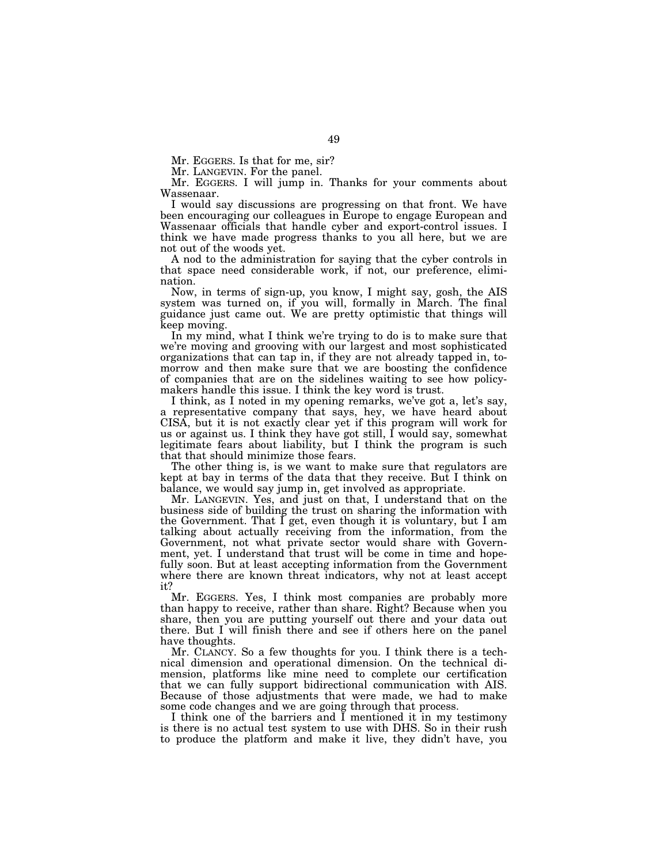Mr. EGGERS. Is that for me, sir?

Mr. LANGEVIN. For the panel.

Mr. EGGERS. I will jump in. Thanks for your comments about Wassenaar.

I would say discussions are progressing on that front. We have been encouraging our colleagues in Europe to engage European and Wassenaar officials that handle cyber and export-control issues. I think we have made progress thanks to you all here, but we are not out of the woods yet.

A nod to the administration for saying that the cyber controls in that space need considerable work, if not, our preference, elimination.

Now, in terms of sign-up, you know, I might say, gosh, the AIS system was turned on, if you will, formally in March. The final guidance just came out. We are pretty optimistic that things will keep moving.

In my mind, what I think we're trying to do is to make sure that we're moving and grooving with our largest and most sophisticated organizations that can tap in, if they are not already tapped in, tomorrow and then make sure that we are boosting the confidence of companies that are on the sidelines waiting to see how policymakers handle this issue. I think the key word is trust.

I think, as I noted in my opening remarks, we've got a, let's say, a representative company that says, hey, we have heard about CISA, but it is not exactly clear yet if this program will work for us or against us. I think they have got still, I would say, somewhat legitimate fears about liability, but I think the program is such that that should minimize those fears.

The other thing is, is we want to make sure that regulators are kept at bay in terms of the data that they receive. But I think on balance, we would say jump in, get involved as appropriate.

Mr. LANGEVIN. Yes, and just on that, I understand that on the business side of building the trust on sharing the information with the Government. That  $\overline{I}$  get, even though it is voluntary, but I am talking about actually receiving from the information, from the Government, not what private sector would share with Government, yet. I understand that trust will be come in time and hopefully soon. But at least accepting information from the Government where there are known threat indicators, why not at least accept it?

Mr. EGGERS. Yes, I think most companies are probably more than happy to receive, rather than share. Right? Because when you share, then you are putting yourself out there and your data out there. But I will finish there and see if others here on the panel have thoughts.

Mr. CLANCY. So a few thoughts for you. I think there is a technical dimension and operational dimension. On the technical dimension, platforms like mine need to complete our certification that we can fully support bidirectional communication with AIS. Because of those adjustments that were made, we had to make some code changes and we are going through that process.

I think one of the barriers and I mentioned it in my testimony is there is no actual test system to use with DHS. So in their rush to produce the platform and make it live, they didn't have, you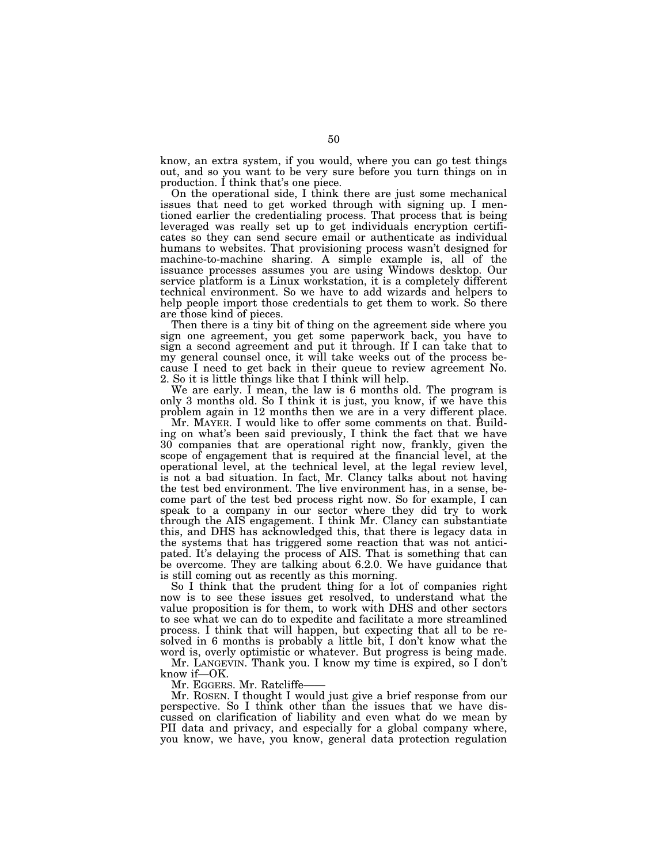know, an extra system, if you would, where you can go test things out, and so you want to be very sure before you turn things on in production. I think that's one piece.

On the operational side, I think there are just some mechanical issues that need to get worked through with signing up. I mentioned earlier the credentialing process. That process that is being leveraged was really set up to get individuals encryption certificates so they can send secure email or authenticate as individual humans to websites. That provisioning process wasn't designed for machine-to-machine sharing. A simple example is, all of the issuance processes assumes you are using Windows desktop. Our service platform is a Linux workstation, it is a completely different technical environment. So we have to add wizards and helpers to help people import those credentials to get them to work. So there are those kind of pieces.

Then there is a tiny bit of thing on the agreement side where you sign one agreement, you get some paperwork back, you have to sign a second agreement and put it through. If I can take that to my general counsel once, it will take weeks out of the process because I need to get back in their queue to review agreement No. 2. So it is little things like that I think will help.

We are early. I mean, the law is 6 months old. The program is only 3 months old. So I think it is just, you know, if we have this problem again in 12 months then we are in a very different place.

Mr. MAYER. I would like to offer some comments on that. Building on what's been said previously, I think the fact that we have 30 companies that are operational right now, frankly, given the scope of engagement that is required at the financial level, at the operational level, at the technical level, at the legal review level, is not a bad situation. In fact, Mr. Clancy talks about not having the test bed environment. The live environment has, in a sense, become part of the test bed process right now. So for example, I can speak to a company in our sector where they did try to work through the AIS engagement. I think Mr. Clancy can substantiate this, and DHS has acknowledged this, that there is legacy data in the systems that has triggered some reaction that was not anticipated. It's delaying the process of AIS. That is something that can be overcome. They are talking about 6.2.0. We have guidance that is still coming out as recently as this morning.

So I think that the prudent thing for a lot of companies right now is to see these issues get resolved, to understand what the value proposition is for them, to work with DHS and other sectors to see what we can do to expedite and facilitate a more streamlined process. I think that will happen, but expecting that all to be resolved in 6 months is probably a little bit, I don't know what the word is, overly optimistic or whatever. But progress is being made.

Mr. LANGEVIN. Thank you. I know my time is expired, so I don't know if—OK.

Mr. EGGERS. Mr. Ratcliffe-

Mr. ROSEN. I thought I would just give a brief response from our perspective. So I think other than the issues that we have discussed on clarification of liability and even what do we mean by PII data and privacy, and especially for a global company where, you know, we have, you know, general data protection regulation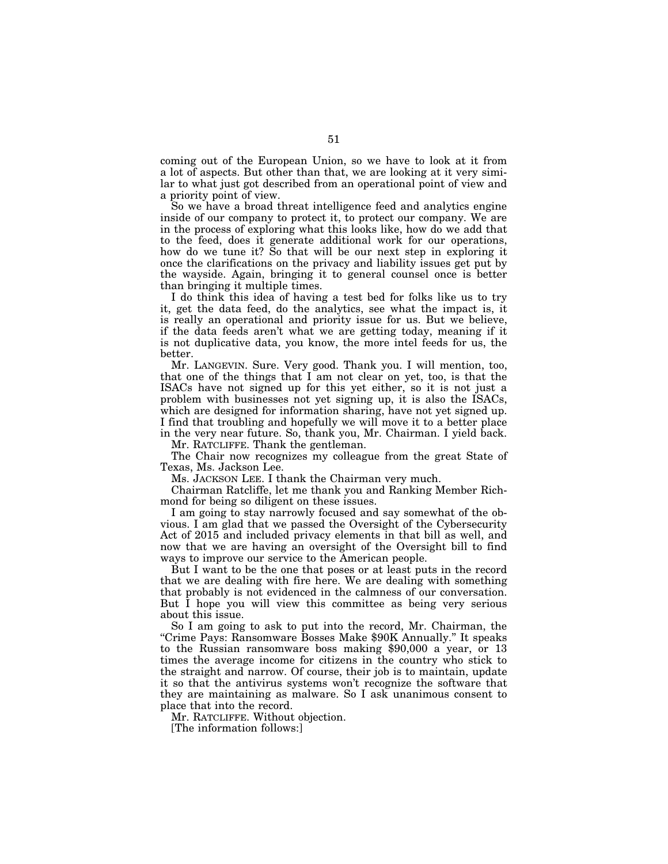coming out of the European Union, so we have to look at it from a lot of aspects. But other than that, we are looking at it very similar to what just got described from an operational point of view and a priority point of view.

So we have a broad threat intelligence feed and analytics engine inside of our company to protect it, to protect our company. We are in the process of exploring what this looks like, how do we add that to the feed, does it generate additional work for our operations, how do we tune it? So that will be our next step in exploring it once the clarifications on the privacy and liability issues get put by the wayside. Again, bringing it to general counsel once is better than bringing it multiple times.

I do think this idea of having a test bed for folks like us to try it, get the data feed, do the analytics, see what the impact is, it is really an operational and priority issue for us. But we believe, if the data feeds aren't what we are getting today, meaning if it is not duplicative data, you know, the more intel feeds for us, the better.

Mr. LANGEVIN. Sure. Very good. Thank you. I will mention, too, that one of the things that I am not clear on yet, too, is that the ISACs have not signed up for this yet either, so it is not just a problem with businesses not yet signing up, it is also the ISACs, which are designed for information sharing, have not yet signed up. I find that troubling and hopefully we will move it to a better place in the very near future. So, thank you, Mr. Chairman. I yield back.

Mr. RATCLIFFE. Thank the gentleman.

The Chair now recognizes my colleague from the great State of Texas, Ms. Jackson Lee.

Ms. JACKSON LEE. I thank the Chairman very much.

Chairman Ratcliffe, let me thank you and Ranking Member Richmond for being so diligent on these issues.

I am going to stay narrowly focused and say somewhat of the obvious. I am glad that we passed the Oversight of the Cybersecurity Act of 2015 and included privacy elements in that bill as well, and now that we are having an oversight of the Oversight bill to find ways to improve our service to the American people.

But I want to be the one that poses or at least puts in the record that we are dealing with fire here. We are dealing with something that probably is not evidenced in the calmness of our conversation. But I hope you will view this committee as being very serious about this issue.

So I am going to ask to put into the record, Mr. Chairman, the ''Crime Pays: Ransomware Bosses Make \$90K Annually.'' It speaks to the Russian ransomware boss making \$90,000 a year, or 13 times the average income for citizens in the country who stick to the straight and narrow. Of course, their job is to maintain, update it so that the antivirus systems won't recognize the software that they are maintaining as malware. So I ask unanimous consent to place that into the record.

Mr. RATCLIFFE. Without objection.

[The information follows:]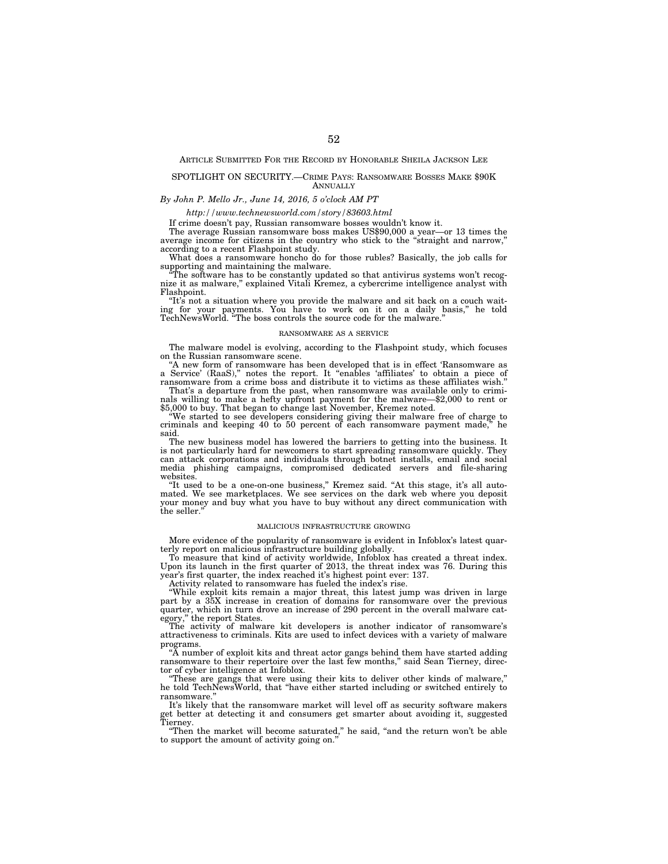# ARTICLE SUBMITTED FOR THE RECORD BY HONORABLE SHEILA JACKSON LEE

#### SPOTLIGHT ON SECURITY.—CRIME PAYS: RANSOMWARE BOSSES MAKE \$90K **ANNITALLY**

# *By John P. Mello Jr., June 14, 2016, 5 o'clock AM PT*

*http://www.technewsworld.com/story/83603.html* 

If crime doesn't pay, Russian ransomware bosses wouldn't know it. The average Russian ransomware boss makes US\$90,000 a year—or 13 times the average income for citizens in the country who stick to the "straight and narrow, according to a recent Flashpoint study.

What does a ransomware honcho do for those rubles? Basically, the job calls for supporting and maintaining the malware. ''The software has to be constantly updated so that antivirus systems won't recog-

nize it as malware,'' explained Vitali Kremez, a cybercrime intelligence analyst with Flashpoint.

"It's not a situation where you provide the malware and sit back on a couch waiting for your payments. You have to work on it on a daily basis,'' he told TechNewsWorld. ''The boss controls the source code for the malware.''

#### RANSOMWARE AS A SERVICE

The malware model is evolving, according to the Flashpoint study, which focuses on the Russian ransomware scene.

''A new form of ransomware has been developed that is in effect 'Ransomware as a Service' (RaaS),'' notes the report. It ''enables 'affiliates' to obtain a piece of ransomware from a crime boss and distribute it to victims as these affiliates wish.''

That's a departure from the past, when ransomware was available only to crimi- nals willing to make a hefty upfront payment for the malware—\$2,000 to rent or \$5,000 to buy. That began to change last November, Kremez noted.

''We started to see developers considering giving their malware free of charge to criminals and keeping 40 to 50 percent of each ransomware payment made,'' he said.

The new business model has lowered the barriers to getting into the business. It is not particularly hard for newcomers to start spreading ransomware quickly. They can attack corporations and individuals through botnet installs, email and social media phishing campaigns, compromised dedicated servers and file-sharing websites.

''It used to be a one-on-one business,'' Kremez said. ''At this stage, it's all auto-mated. We see marketplaces. We see services on the dark web where you deposit your money and buy what you have to buy without any direct communication with the seller.''

# MALICIOUS INFRASTRUCTURE GROWING

More evidence of the popularity of ransomware is evident in Infoblox's latest quar-

terly report on malicious infrastructure building globally. To measure that kind of activity worldwide, Infoblox has created a threat index. Upon its launch in the first quarter of 2013, the threat index was 76. During this year's first quarter, the index reached it's highest point ever: 137.

Activity related to ransomware has fueled the index's rise. ''While exploit kits remain a major threat, this latest jump was driven in large part by a 35X increase in creation of domains for ransomware over the previous quarter, which in turn drove an increase of 290 percent in the overall malware category,'' the report States.

The activity of malware kit developers is another indicator of ransomware's attractiveness to criminals. Kits are used to infect devices with a variety of malware programs.

"A number of exploit kits and threat actor gangs behind them have started adding ransomware to their repertoire over the last few months,'' said Sean Tierney, director of cyber intelligence at Infoblox.

These are gangs that were using their kits to deliver other kinds of malware," he told TechNewsWorld, that ''have either started including or switched entirely to ransomware.

It's likely that the ransomware market will level off as security software makers get better at detecting it and consumers get smarter about avoiding it, suggested Tierney.

''Then the market will become saturated,'' he said, ''and the return won't be able to support the amount of activity going on.''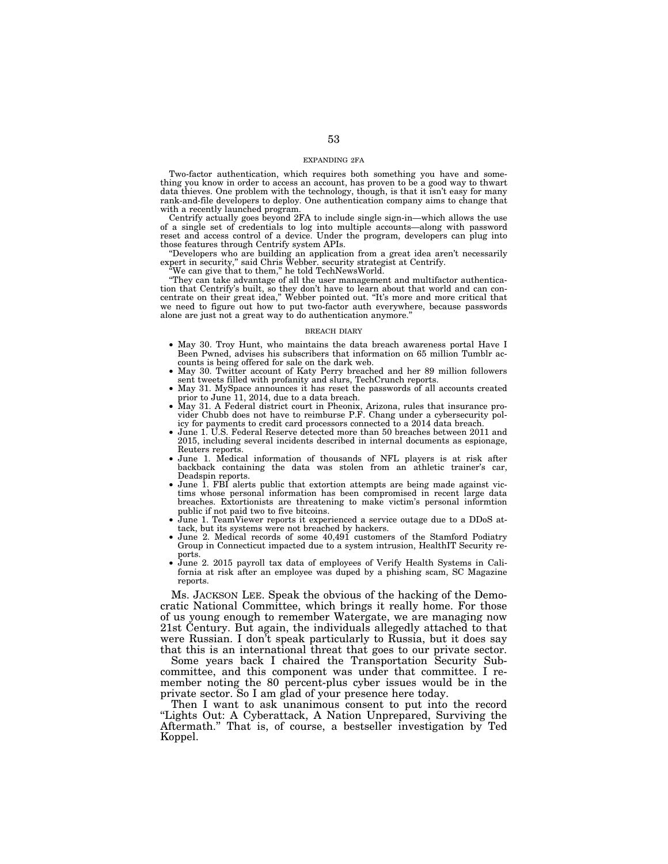# EXPANDING 2FA

Two-factor authentication, which requires both something you have and something you know in order to access an account, has proven to be a good way to thwart data thieves. One problem with the technology, though, is that it isn't easy for many rank-and-file developers to deploy. One authentication company aims to change that with a recently launched program.

Centrify actually goes beyond 2FA to include single sign-in—which allows the use of a single set of credentials to log into multiple accounts—along with password reset and access control of a device. Under the program, developers can plug into those features through Centrify system APIs.

''Developers who are building an application from a great idea aren't necessarily expert in security,'' said Chris Webber. security strategist at Centrify.

We can give that to them," he told TechNewsWorld.

''They can take advantage of all the user management and multifactor authentication that Centrify's built, so they don't have to learn about that world and can concentrate on their great idea,'' Webber pointed out. ''It's more and more critical that we need to figure out how to put two-factor auth everywhere, because passwords alone are just not a great way to do authentication anymore.''

## BREACH DIARY

- May 30. Troy Hunt, who maintains the data breach awareness portal Have I Been Pwned, advises his subscribers that information on 65 million Tumblr accounts is being offered for sale on the dark web.
- May 30. Twitter account of Katy Perry breached and her 89 million followers sent tweets filled with profanity and slurs, TechCrunch reports.
- May 31. MySpace announces it has reset the passwords of all accounts created prior to June 11, 2014, due to a data breach.
- May 31. A Federal district court in Pheonix, Arizona, rules that insurance pro-vider Chubb does not have to reimburse P.F. Chang under a cybersecurity policy for payments to credit card processors connected to a 2014 data breach.
- June 1. U.S. Federal Reserve detected more than 50 breaches between 2011 and 2015, including several incidents described in internal documents as espionage, Reuters reports.
- June 1. Medical information of thousands of NFL players is at risk after backback containing the data was stolen from an athletic trainer's car, Deadspin reports.
- June 1. FBI alerts public that extortion attempts are being made against victims whose personal information has been compromised in recent large data breaches. Extortionists are threatening to make victim's personal informtion public if not paid two to five bitcoins.
- June 1. TeamViewer reports it experienced a service outage due to a DDoS attack, but its systems were not breached by hackers.
- June 2. Medical records of some 40,491 customers of the Stamford Podiatry Group in Connecticut impacted due to a system intrusion, HealthIT Security reports.
- June 2. 2015 payroll tax data of employees of Verify Health Systems in California at risk after an employee was duped by a phishing scam, SC Magazine reports.

Ms. JACKSON LEE. Speak the obvious of the hacking of the Democratic National Committee, which brings it really home. For those of us young enough to remember Watergate, we are managing now 21st Century. But again, the individuals allegedly attached to that were Russian. I don't speak particularly to Russia, but it does say that this is an international threat that goes to our private sector.

Some years back I chaired the Transportation Security Subcommittee, and this component was under that committee. I remember noting the 80 percent-plus cyber issues would be in the private sector. So I am glad of your presence here today.

Then I want to ask unanimous consent to put into the record "Lights Out: A Cyberattack, A Nation Unprepared, Surviving the Aftermath.'' That is, of course, a bestseller investigation by Ted Koppel.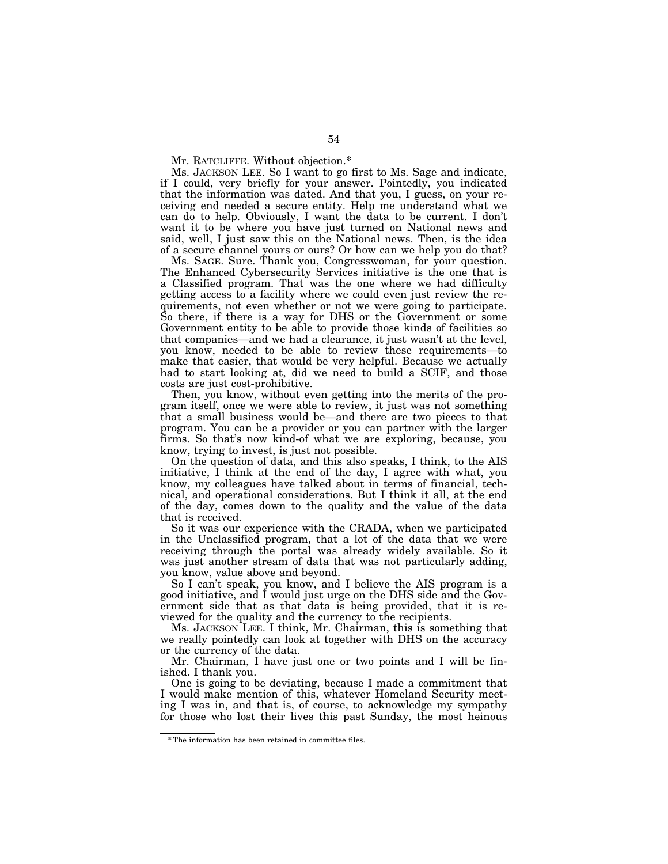Mr. RATCLIFFE. Without objection.\*

Ms. JACKSON LEE. So I want to go first to Ms. Sage and indicate, if I could, very briefly for your answer. Pointedly, you indicated that the information was dated. And that you, I guess, on your receiving end needed a secure entity. Help me understand what we can do to help. Obviously, I want the data to be current. I don't want it to be where you have just turned on National news and said, well, I just saw this on the National news. Then, is the idea of a secure channel yours or ours? Or how can we help you do that?

Ms. SAGE. Sure. Thank you, Congresswoman, for your question. The Enhanced Cybersecurity Services initiative is the one that is a Classified program. That was the one where we had difficulty getting access to a facility where we could even just review the requirements, not even whether or not we were going to participate. So there, if there is a way for DHS or the Government or some Government entity to be able to provide those kinds of facilities so that companies—and we had a clearance, it just wasn't at the level, you know, needed to be able to review these requirements—to make that easier, that would be very helpful. Because we actually had to start looking at, did we need to build a SCIF, and those costs are just cost-prohibitive.

Then, you know, without even getting into the merits of the program itself, once we were able to review, it just was not something that a small business would be—and there are two pieces to that program. You can be a provider or you can partner with the larger firms. So that's now kind-of what we are exploring, because, you know, trying to invest, is just not possible.

On the question of data, and this also speaks, I think, to the AIS initiative, I think at the end of the day, I agree with what, you know, my colleagues have talked about in terms of financial, technical, and operational considerations. But I think it all, at the end of the day, comes down to the quality and the value of the data that is received.

So it was our experience with the CRADA, when we participated in the Unclassified program, that a lot of the data that we were receiving through the portal was already widely available. So it was just another stream of data that was not particularly adding, you know, value above and beyond.

So I can't speak, you know, and I believe the AIS program is a good initiative, and I would just urge on the DHS side and the Government side that as that data is being provided, that it is reviewed for the quality and the currency to the recipients.

Ms. JACKSON LEE. I think, Mr. Chairman, this is something that we really pointedly can look at together with DHS on the accuracy or the currency of the data.

Mr. Chairman, I have just one or two points and I will be finished. I thank you.

One is going to be deviating, because I made a commitment that I would make mention of this, whatever Homeland Security meeting I was in, and that is, of course, to acknowledge my sympathy for those who lost their lives this past Sunday, the most heinous

<sup>\*</sup> The information has been retained in committee files.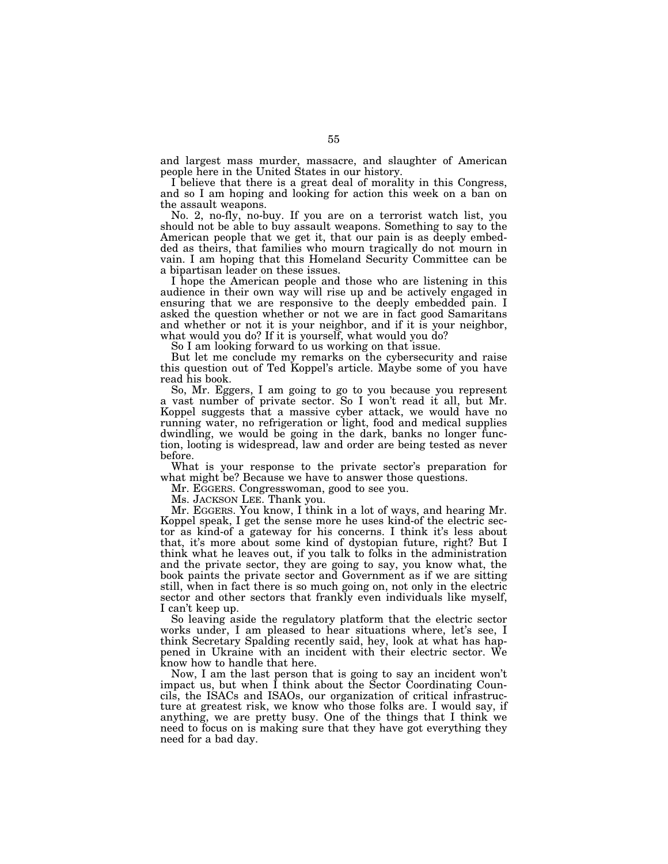and largest mass murder, massacre, and slaughter of American people here in the United States in our history.

I believe that there is a great deal of morality in this Congress, and so I am hoping and looking for action this week on a ban on the assault weapons.

No. 2, no-fly, no-buy. If you are on a terrorist watch list, you should not be able to buy assault weapons. Something to say to the American people that we get it, that our pain is as deeply embedded as theirs, that families who mourn tragically do not mourn in vain. I am hoping that this Homeland Security Committee can be a bipartisan leader on these issues.

I hope the American people and those who are listening in this audience in their own way will rise up and be actively engaged in ensuring that we are responsive to the deeply embedded pain. I asked the question whether or not we are in fact good Samaritans and whether or not it is your neighbor, and if it is your neighbor, what would you do? If it is yourself, what would you do?

So I am looking forward to us working on that issue.

But let me conclude my remarks on the cybersecurity and raise this question out of Ted Koppel's article. Maybe some of you have read his book.

So, Mr. Eggers, I am going to go to you because you represent a vast number of private sector. So I won't read it all, but Mr. Koppel suggests that a massive cyber attack, we would have no running water, no refrigeration or light, food and medical supplies dwindling, we would be going in the dark, banks no longer function, looting is widespread, law and order are being tested as never before.

What is your response to the private sector's preparation for what might be? Because we have to answer those questions.

Mr. EGGERS. Congresswoman, good to see you.

Ms. JACKSON LEE. Thank you.

Mr. EGGERS. You know, I think in a lot of ways, and hearing Mr. Koppel speak, I get the sense more he uses kind-of the electric sector as kind-of a gateway for his concerns. I think it's less about that, it's more about some kind of dystopian future, right? But I think what he leaves out, if you talk to folks in the administration and the private sector, they are going to say, you know what, the book paints the private sector and Government as if we are sitting still, when in fact there is so much going on, not only in the electric sector and other sectors that frankly even individuals like myself, I can't keep up.

So leaving aside the regulatory platform that the electric sector works under, I am pleased to hear situations where, let's see, I think Secretary Spalding recently said, hey, look at what has happened in Ukraine with an incident with their electric sector. We know how to handle that here.

Now, I am the last person that is going to say an incident won't impact us, but when I think about the Sector Coordinating Councils, the ISACs and ISAOs, our organization of critical infrastructure at greatest risk, we know who those folks are. I would say, if anything, we are pretty busy. One of the things that I think we need to focus on is making sure that they have got everything they need for a bad day.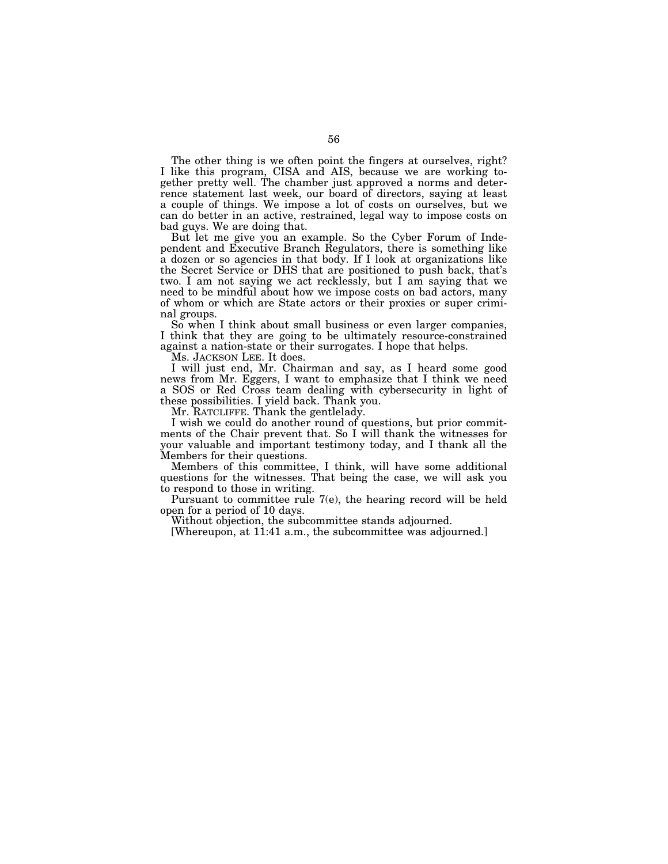The other thing is we often point the fingers at ourselves, right? I like this program, CISA and AIS, because we are working together pretty well. The chamber just approved a norms and deterrence statement last week, our board of directors, saying at least a couple of things. We impose a lot of costs on ourselves, but we can do better in an active, restrained, legal way to impose costs on bad guys. We are doing that.

But let me give you an example. So the Cyber Forum of Independent and Executive Branch Regulators, there is something like a dozen or so agencies in that body. If I look at organizations like the Secret Service or DHS that are positioned to push back, that's two. I am not saying we act recklessly, but I am saying that we need to be mindful about how we impose costs on bad actors, many of whom or which are State actors or their proxies or super criminal groups.

So when I think about small business or even larger companies, I think that they are going to be ultimately resource-constrained against a nation-state or their surrogates. I hope that helps.

Ms. JACKSON LEE. It does.

I will just end, Mr. Chairman and say, as I heard some good news from Mr. Eggers, I want to emphasize that I think we need a SOS or Red Cross team dealing with cybersecurity in light of these possibilities. I yield back. Thank you.

Mr. RATCLIFFE. Thank the gentlelady.

I wish we could do another round of questions, but prior commitments of the Chair prevent that. So I will thank the witnesses for your valuable and important testimony today, and I thank all the Members for their questions.

Members of this committee, I think, will have some additional questions for the witnesses. That being the case, we will ask you to respond to those in writing.

Pursuant to committee rule 7(e), the hearing record will be held open for a period of 10 days.

Without objection, the subcommittee stands adjourned.

[Whereupon, at 11:41 a.m., the subcommittee was adjourned.]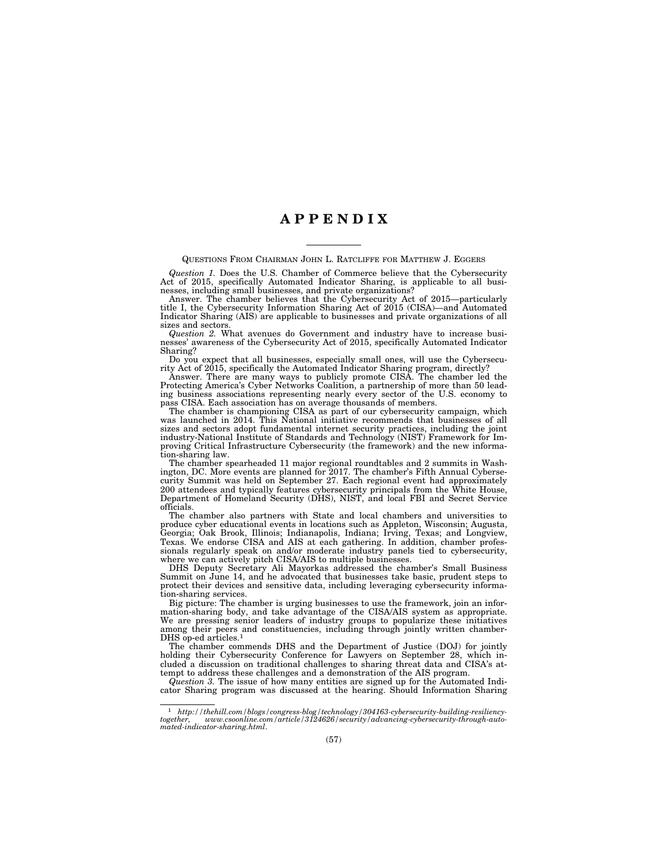# **A P P E N D I X**

# QUESTIONS FROM CHAIRMAN JOHN L. RATCLIFFE FOR MATTHEW J. EGGERS

*Question 1.* Does the U.S. Chamber of Commerce believe that the Cybersecurity Act of 2015, specifically Automated Indicator Sharing, is applicable to all businesses, including small businesses, and private organizations?

Answer. The chamber believes that the Cybersecurity Act of 2015—particularly title I, the Cybersecurity Information Sharing Act of 2015 (CISA)—and Automated Indicator Sharing (AIS) are applicable to businesses and private organizations of all sizes and sectors.

*Question 2.* What avenues do Government and industry have to increase busi-nesses' awareness of the Cybersecurity Act of 2015, specifically Automated Indicator Sharing?

Do you expect that all businesses, especially small ones, will use the Cybersecu-

rity Act of 2015, specifically the Automated Indicator Sharing program, directly? Answer. There are many ways to publicly promote CISA. The chamber led the Protecting America's Cyber Networks Coalition, a partnership of more than 50 leading business associations representing nearly every sector of the U.S. economy to pass CISA. Each association has on average thousands of members.

The chamber is championing CISA as part of our cybersecurity campaign, which was launched in 2014. This National initiative recommends that businesses of all sizes and sectors adopt fundamental internet security practices, including the joint industry-National Institute of Standards and Technology (NIST) Framework for Improving Critical Infrastructure Cybersecurity (the framework) and the new information-sharing law.

The chamber spearheaded 11 major regional roundtables and 2 summits in Washington, DC. More events are planned for 2017. The chamber's Fifth Annual Cybersecurity Summit was held on September 27. Each regional event had approximately 200 attendees and typically features cybersecurity principals from the White House, Department of Homeland Security (DHS), NIST, and local FBI and Secret Service officials.

The chamber also partners with State and local chambers and universities to produce cyber educational events in locations such as Appleton, Wisconsin; Augusta, Georgia; Oak Brook, Illinois; Indianapolis, Indiana; Irving, Texas; and Longview, Texas. We endorse CISA and AIS at each gathering. In addition, chamber professionals regularly speak on and/or moderate industry panels tied to cybersecurity, where we can actively pitch CISA/AIS to multiple businesses.

DHS Deputy Secretary Ali Mayorkas addressed the chamber's Small Business Summit on June 14, and he advocated that businesses take basic, prudent steps to protect their devices and sensitive data, including leveraging cybersecurity information-sharing services.

Big picture: The chamber is urging businesses to use the framework, join an information-sharing body, and take advantage of the CISA/AIS system as appropriate. We are pressing senior leaders of industry groups to popularize these initiatives among their peers and constituencies, including through jointly written chamber-DHS op-ed articles.1

The chamber commends DHS and the Department of Justice (DOJ) for jointly holding their Cybersecurity Conference for Lawyers on September 28, which included a discussion on traditional challenges to sharing threat data and CISA's attempt to address these challenges and a demonstration of the AIS program.

*Question 3.* The issue of how many entities are signed up for the Automated Indicator Sharing program was discussed at the hearing. Should Information Sharing

<sup>1</sup> *http://thehill.com/blogs/congress-blog/technology/304163-cybersecurity-building-resiliencytogether, www.csoonline.com/article/3124626/security/advancing-cybersecurity-through-automated-indicator-sharing.html*.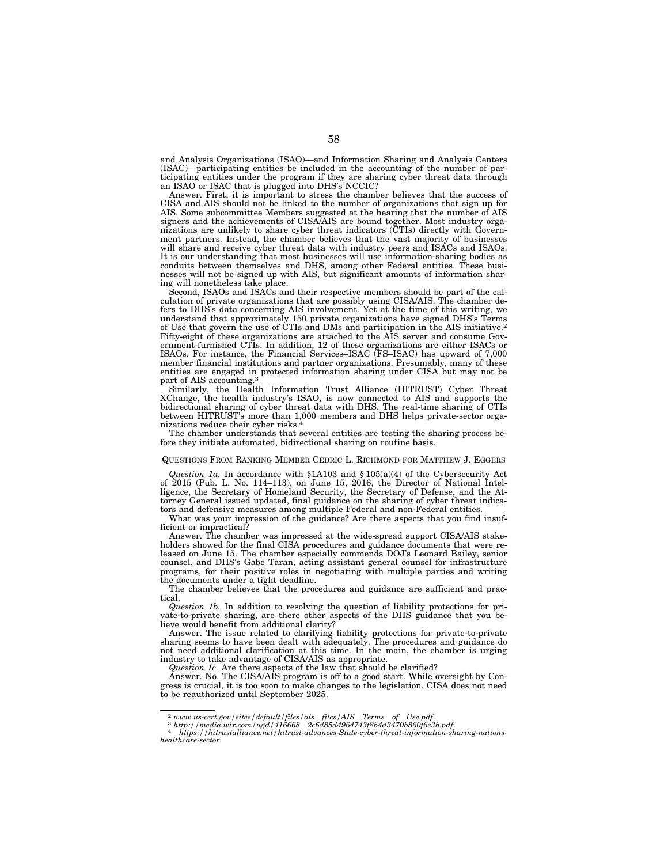and Analysis Organizations (ISAO)—and Information Sharing and Analysis Centers (ISAC)—participating entities be included in the accounting of the number of participating entities under the program if they are sharing cyber threat data through an ISAO or ISAC that is plugged into DHS's NCCIC?

Answer. First, it is important to stress the chamber believes that the success of CISA and AIS should not be linked to the number of organizations that sign up for AIS. Some subcommittee Members suggested at the hearing that the number of AIS signers and the achievements of CISA/AIS are bound together. Most industry organizations are unlikely to share cyber threat indicators (CTIs) directly with Government partners. Instead, the chamber believes that the vast majority of businesses will share and receive cyber threat data with industry peers and ISACs and ISAOs. It is our understanding that most businesses will use information-sharing bodies as conduits between themselves and DHS, among other Federal entities. These businesses will not be signed up with AIS, but significant amounts of information sharing will nonetheless take place.

Second, ISAOs and ISACs and their respective members should be part of the calculation of private organizations that are possibly using CISA/AIS. The chamber defers to DHS's data concerning AIS involvement. Yet at the time of this writing, we understand that approximately 150 private organizations have signed DHS's Terms of Use that govern the use of CTIs and DMs and participation in the AIS initiative.2 Fifty-eight of these organizations are attached to the AIS server and consume Government-furnished CTIs. In addition, 12 of these organizations are either ISACs or ISAOs. For instance, the Financial Services–ISAC (FS–ISAC) has upward of 7,000 member financial institutions and partner organizations. Presumably, many of these entities are engaged in protected information sharing under CISA but may not be part of AIS accounting.3

Similarly, the Health Information Trust Alliance (HITRUST) Cyber Threat XChange, the health industry's ISAO, is now connected to AIS and supports the bidirectional sharing of cyber threat data with DHS. The real-time sharing of CTIs between HITRUST's more than 1,000 members and DHS helps private-sector organizations reduce their cyber risks.4

The chamber understands that several entities are testing the sharing process before they initiate automated, bidirectional sharing on routine basis.

# QUESTIONS FROM RANKING MEMBER CEDRIC L. RICHMOND FOR MATTHEW J. EGGERS

*Question 1a.* In accordance with §1A103 and § 105(a)(4) of the Cybersecurity Act of 2015 (Pub. L. No. 114–113), on June 15, 2016, the Director of National Intelligence, the Secretary of Homeland Security, the Secretary of Defense, and the Attorney General issued updated, final guidance on the sharing of cyber threat indicators and defensive measures among multiple Federal and non-Federal entities.

What was your impression of the guidance? Are there aspects that you find insufficient or impractical?

Answer. The chamber was impressed at the wide-spread support CISA/AIS stakeholders showed for the final CISA procedures and guidance documents that were released on June 15. The chamber especially commends DOJ's Leonard Bailey, senior counsel, and DHS's Gabe Taran, acting assistant general counsel for infrastructure programs, for their positive roles in negotiating with multiple parties and writing the documents under a tight deadline.

The chamber believes that the procedures and guidance are sufficient and practical.

*Question 1b.* In addition to resolving the question of liability protections for private-to-private sharing, are there other aspects of the DHS guidance that you believe would benefit from additional clarity?

Answer. The issue related to clarifying liability protections for private-to-private sharing seems to have been dealt with adequately. The procedures and guidance do not need additional clarification at this time. In the main, the chamber is urging industry to take advantage of CISA/AIS as appropriate.

*Question 1c.* Are there aspects of the law that should be clarified?

Answer. No. The CISA/AIS program is off to a good start. While oversight by Congress is crucial, it is too soon to make changes to the legislation. CISA does not need to be reauthorized until September 2025.

 $\footnotesize \begin{smallmatrix} 2&www.us-cert.gov/sites/default/files/ais-files/ALS-Terms of Use.pdf, \\ 3& http://media.wix.com/ugd/416668_2c6d85d4964743f8b4d3470b860f6e3b.pdf, \\ 4& http://metia.wix.com/ugd/416668_2c6d85d4964743f8b4d3470b860f6e3b.pdf. \end{smallmatrix}$ *healthcare-sector*.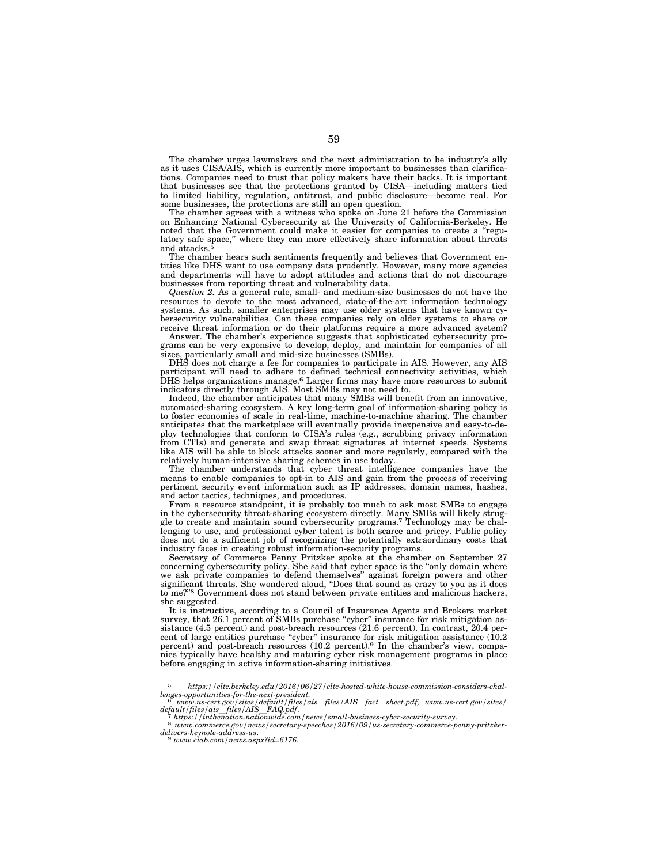The chamber urges lawmakers and the next administration to be industry's ally as it uses CISA/AIS, which is currently more important to businesses than clarifications. Companies need to trust that policy makers have their backs. It is important that businesses see that the protections granted by CISA—including matters tied to limited liability, regulation, antitrust, and public disclosure—become real. For some businesses, the protections are still an open question.

The chamber agrees with a witness who spoke on June 21 before the Commission on Enhancing National Cybersecurity at the University of California-Berkeley. He noted that the Government could make it easier for companies to create a "regulatory safe space,'' where they can more effectively share information about threats and attacks.

The chamber hears such sentiments frequently and believes that Government entities like DHS want to use company data prudently. However, many more agencies and departments will have to adopt attitudes and actions that do not discourage businesses from reporting threat and vulnerability data.

*Question 2.* As a general rule, small- and medium-size businesses do not have the resources to devote to the most advanced, state-of-the-art information technology systems. As such, smaller enterprises may use older systems that have known cybersecurity vulnerabilities. Can these companies rely on older systems to share or receive threat information or do their platforms require a more advanced system?

Answer. The chamber's experience suggests that sophisticated cybersecurity programs can be very expensive to develop, deploy, and maintain for companies of all sizes, particularly small and mid-size businesses (SMBs).

DHS does not charge a fee for companies to participate in AIS. However, any AIS participant will need to adhere to defined technical connectivity activities, which DHS helps organizations manage.<sup>6</sup> Larger firms may have more resources to submit indicators directly through AIS. Most SMBs may not need to.

Indeed, the chamber anticipates that many SMBs will benefit from an innovative, automated-sharing ecosystem. A key long-term goal of information-sharing policy is to foster economies of scale in real-time, machine-to-machine sharing. The chamber anticipates that the marketplace will eventually provide inexpensive and easy-to-deploy technologies that conform to CISA's rules (e.g., scrubbing privacy information from CTIs) and generate and swap threat signatures at internet speeds. Systems like AIS will be able to block attacks sooner and more regularly, compared with the relatively human-intensive sharing schemes in use today.

The chamber understands that cyber threat intelligence companies have the means to enable companies to opt-in to AIS and gain from the process of receiving pertinent security event information such as IP addresses, domain names, hashes, and actor tactics, techniques, and procedures.

From a resource standpoint, it is probably too much to ask most SMBs to engage in the cybersecurity threat-sharing ecosystem directly. Many SMBs will likely struggle to create and maintain sound cybersecurity programs.<sup>7</sup> Technology may be challenging to use, and professional cyber talent is both scarce and pricey. Public policy does not do a sufficient job of recognizing the potentially extraordinary costs that industry faces in creating robust information-security programs.

Secretary of Commerce Penny Pritzker spoke at the chamber on September 27 concerning cybersecurity policy. She said that cyber space is the "only domain where we ask private companies to defend themselves'' against foreign powers and other significant threats. She wondered aloud, ''Does that sound as crazy to you as it does to me?''8 Government does not stand between private entities and malicious hackers, she suggested.

It is instructive, according to a Council of Insurance Agents and Brokers market survey, that 26.1 percent of SMBs purchase "cyber" insurance for risk mitigation assistance (4.5 percent) and post-breach resources (21.6 percent). In contrast, 20.4 percent of large entities purchase "cyber" insurance for risk mitigation assistance (10.2) percent) and post-breach resources (10.2 percent).<sup>9</sup> In the chamber's view, companies typically have healthy and maturing cyber risk management programs in place before engaging in active information-sharing initiatives.

<sup>5</sup> *https://cltc.berkeley.edu/2016/06/27/cltc-hosted-white-house-commission-considers-chal-*

*lenges-opportunities-for-the-next-president.* <sup>6</sup> *www.us-cert.gov/sites/default/files/ais*l*files/AIS*l*fact*l*sheet.pdf, www.us-cert.gov/sites/* 

 $\label{eq:def} \begin{minipage}{0.9\textwidth} \begin{minipage}{0.9\textwidth} \begin{minipage}{0.9\textwidth} \begin{minipage}{0.9\textwidth} \begin{minipage}{0.9\textwidth} \begin{minipage}{0.9\textwidth} \begin{minipage}{0.9\textwidth} \begin{minipage}{0.9\textwidth} \begin{minipage}{0.9\textwidth} \begin{minipage}{0.9\textwidth} \begin{minipage}{0.9\textwidth} \begin{minipage}{0.9\textwidth} \begin{minipage}{0.9\textwidth} \begin{minipage}{0.9\textwidth} \begin{minipage}{0.9\textwidth} \begin$ 

*delivers-keynote-address-us*. 9 *www.ciab.com/news.aspx?id=6176*.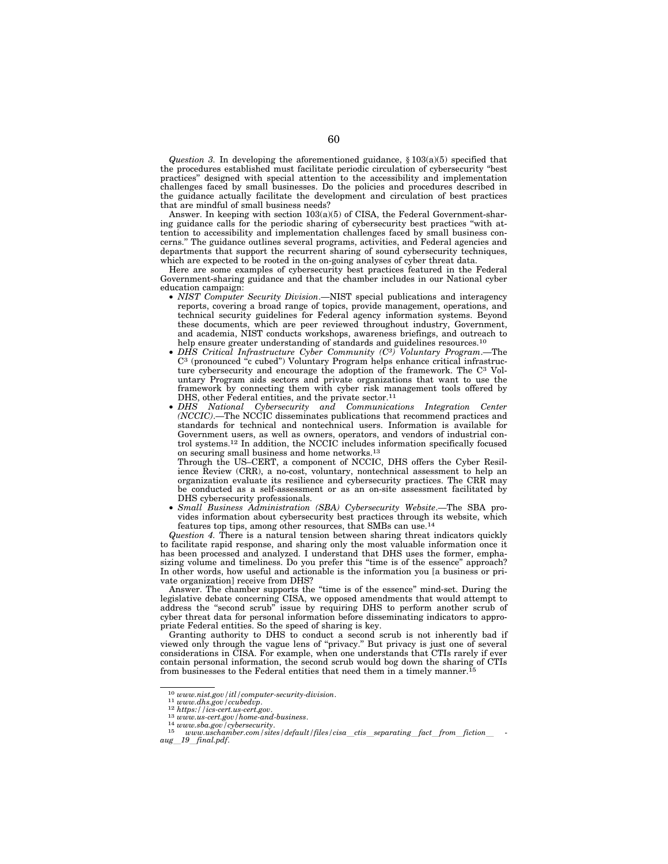*Question 3.* In developing the aforementioned guidance, § 103(a)(5) specified that the procedures established must facilitate periodic circulation of cybersecurity ''best practices" designed with special attention to the accessibility and implementation challenges faced by small businesses. Do the policies and procedures described in the guidance actually facilitate the development and circulation of best practices that are mindful of small business needs?

Answer. In keeping with section 103(a)(5) of CISA, the Federal Government-sharing guidance calls for the periodic sharing of cybersecurity best practices ''with attention to accessibility and implementation challenges faced by small business concerns.'' The guidance outlines several programs, activities, and Federal agencies and departments that support the recurrent sharing of sound cybersecurity techniques, which are expected to be rooted in the on-going analyses of cyber threat data.

Here are some examples of cybersecurity best practices featured in the Federal Government-sharing guidance and that the chamber includes in our National cyber education campaign:

- *NIST Computer Security Division*.—NIST special publications and interagency reports, covering a broad range of topics, provide management, operations, and technical security guidelines for Federal agency information systems. Beyond these documents, which are peer reviewed throughout industry, Government, and academia, NIST conducts workshops, awareness briefings, and outreach to help ensure greater understanding of standards and guidelines resources.<sup>10</sup>
- *DHS Critical Infrastructure Cyber Community (C3) Voluntary Program*.—The C3 (pronounced ''c cubed'') Voluntary Program helps enhance critical infrastructure cybersecurity and encourage the adoption of the framework. The C3 Voluntary Program aids sectors and private organizations that want to use the framework by connecting them with cyber risk management tools offered by DHS, other Federal entities, and the private sector.<sup>11</sup>
- *DHS National Cybersecurity and Communications Integration Center (NCCIC)*.—The NCCIC disseminates publications that recommend practices and standards for technical and nontechnical users. Information is available for Government users, as well as owners, operators, and vendors of industrial control systems.12 In addition, the NCCIC includes information specifically focused on securing small business and home networks.13

Through the US–CERT, a component of NCCIC, DHS offers the Cyber Resilience Review (CRR), a no-cost, voluntary, nontechnical assessment to help an organization evaluate its resilience and cybersecurity practices. The CRR may be conducted as a self-assessment or as an on-site assessment facilitated by DHS cybersecurity professionals.

• *Small Business Administration (SBA) Cybersecurity Website*.—The SBA provides information about cybersecurity best practices through its website, which features top tips, among other resources, that SMBs can use.14

*Question 4.* There is a natural tension between sharing threat indicators quickly to facilitate rapid response, and sharing only the most valuable information once it has been processed and analyzed. I understand that DHS uses the former, emphasizing volume and timeliness. Do you prefer this ''time is of the essence'' approach? In other words, how useful and actionable is the information you [a business or private organization] receive from DHS?

Answer. The chamber supports the ''time is of the essence'' mind-set. During the legislative debate concerning CISA, we opposed amendments that would attempt to address the "second scrub" issue by requiring DHS to perform another scrub of cyber threat data for personal information before disseminating indicators to appropriate Federal entities. So the speed of sharing is key.

Granting authority to DHS to conduct a second scrub is not inherently bad if viewed only through the vague lens of ''privacy.'' But privacy is just one of several considerations in CISA. For example, when one understands that CTIs rarely if ever contain personal information, the second scrub would bog down the sharing of CTIs from businesses to the Federal entities that need them in a timely manner.<sup>15</sup>

 $\begin{array}{l} \text{10 } {\it www.nist.gov/itl/computer-security-division.}\\ \text{11 } {\it www.dhs.gov/ccubedvp.}\\ \text{12 } {\it https://ies.cert.us-cert.gov/home-and-business.}\\ \text{13 } {\it www.u.s-cert.gov/home-and-business.}\\ \text{14 } {\it www.u.s-cert.gov/cyberscurity.}\\ \text{15 } {\it www.u.schamber.com/sites/default/files/cisa_cits\_separating_fact_from_fiction\_} \end{array}$ *aug*l*19*l*final.pdf*.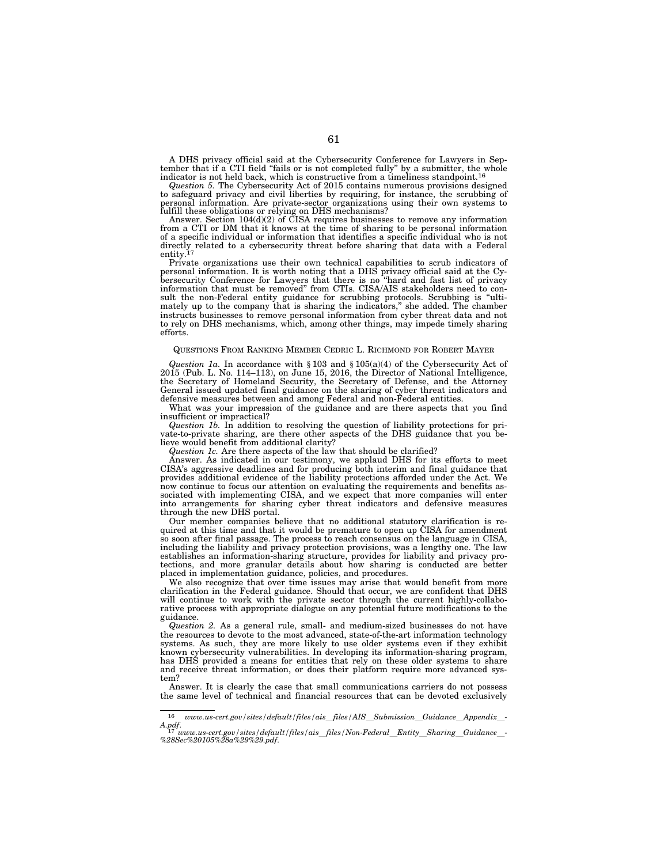A DHS privacy official said at the Cybersecurity Conference for Lawyers in September that if a CTI field "fails or is not completed fully" by a submitter, the whole indicator is not held back, which is constructive from a timeliness standpoint.16

*Question 5.* The Cybersecurity Act of 2015 contains numerous provisions designed to safeguard privacy and civil liberties by requiring, for instance, the scrubbing of personal information. Are private-sector organizations using their own systems to fulfill these obligations or relying on DHS mechanisms? Answer. Section 104(d)(2) of CISA requires businesses to remove any information

from a CTI or DM that it knows at the time of sharing to be personal information of a specific individual or information that identifies a specific individual who is not directly related to a cybersecurity threat before sharing that data with a Federal entity.<sup>17</sup>

Private organizations use their own technical capabilities to scrub indicators of personal information. It is worth noting that a DHS privacy official said at the Cy-<br>bersecurity Conference for Lawyers that there is no "hard and fast list of privacy<br>information that must be removed" from CTIs. CISA/AIS sult the non-Federal entity guidance for scrubbing protocols. Scrubbing is "ultimately up to the company that is sharing the indicators," she added. The chamber instructs businesses to remove personal information from cyber threat data and not to rely on DHS mechanisms, which, among other things, may impede timely sharing efforts.

#### QUESTIONS FROM RANKING MEMBER CEDRIC L. RICHMOND FOR ROBERT MAYER

*Question 1a.* In accordance with § 103 and § 105(a)(4) of the Cybersecurity Act of 2015 (Pub. L. No. 114–113), on June 15, 2016, the Director of National Intelligence, the Secretary of Homeland Security, the Secretary of Defense, and the Attorney General issued updated final guidance on the sharing of cyber threat indicators and defensive measures between and among Federal and non-Federal entities.

What was your impression of the guidance and are there aspects that you find insufficient or impractical?

*Question 1b.* In addition to resolving the question of liability protections for private-to-private sharing, are there other aspects of the DHS guidance that you believe would benefit from additional clarity?

*Question 1c.* Are there aspects of the law that should be clarified?

Answer. As indicated in our testimony, we applaud DHS for its efforts to meet CISA's aggressive deadlines and for producing both interim and final guidance that provides additional evidence of the liability protections afforded under the Act. We now continue to focus our attention on evaluating the requirements and benefits associated with implementing CISA, and we expect that more companies will enter into arrangements for sharing cyber threat indicators and defensive measures through the new DHS portal.

Our member companies believe that no additional statutory clarification is required at this time and that it would be premature to open up CISA for amendment so soon after final passage. The process to reach consensus on the language in CISA, including the liability and privacy protection provisions, was a lengthy one. The law establishes an information-sharing structure, provides for liability and privacy protections, and more granular details about how sharing is conducted are better placed in implementation guidance, policies, and procedures.

We also recognize that over time issues may arise that would benefit from more clarification in the Federal guidance. Should that occur, we are confident that DHS will continue to work with the private sector through the current highly-collaborative process with appropriate dialogue on any potential future modifications to the guidance.

*Question 2.* As a general rule, small- and medium-sized businesses do not have the resources to devote to the most advanced, state-of-the-art information technology systems. As such, they are more likely to use older systems even if they exhibit known cybersecurity vulnerabilities. In developing its information-sharing program, has DHS provided a means for entities that rely on these older systems to share and receive threat information, or does their platform require more advanced system?

Answer. It is clearly the case that small communications carriers do not possess the same level of technical and financial resources that can be devoted exclusively

<sup>&</sup>lt;sup>16</sup> www.us-cert.gov/sites/default/files/ais\_files/AIS\_Submission\_Guidance\_Appendix\_-<br>A.pdf.<br>17 www.us-cert.gov/sites/default/files/ais\_files/Non-Federal\_Entity\_Sharing\_Guidance\_\_-<br>%28Sec%20105%28a%29%29.pdf.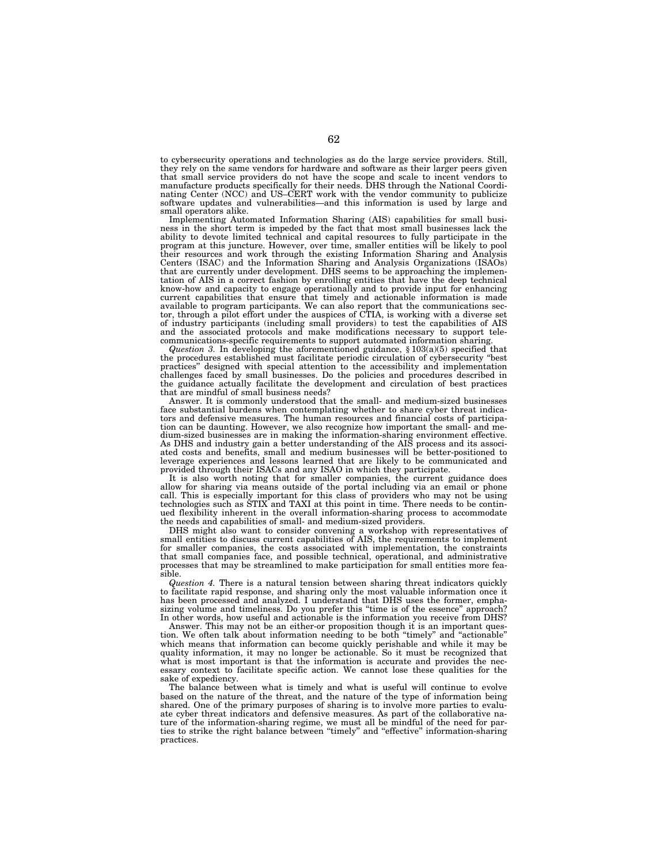to cybersecurity operations and technologies as do the large service providers. Still, they rely on the same vendors for hardware and software as their larger peers given that small service providers do not have the scope and scale to incent vendors to manufacture products specifically for their needs. DHS through the National Coordinating Center (NCC) and US–CERT work with the vendor commu software updates and vulnerabilities—and this information is used by large and small operators alike.

Implementing Automated Information Sharing (AIS) capabilities for small business in the short term is impeded by the fact that most small businesses lack the ability to devote limited technical and capital resources to fully participate in the program at this juncture. However, over time, smaller entities will be likely to pool their resources and work through the existing Information Sharing and Analysis Centers (ISAC) and the Information Sharing and Analysis Organizations (ISAOs) that are currently under development. DHS seems to be approaching the implementation of AIS in a correct fashion by enrolling entities that have the deep technical know-how and capacity to engage operationally and to provide input for enhancing current capabilities that ensure that timely and actionable information is made available to program participants. We can also report that the communications sec-tor, through a pilot effort under the auspices of CTIA, is working with a diverse set of industry participants (including small providers) to test the capabilities of AIS and the associated protocols and make modifications necessary to support telecommunications-specific requirements to support automated information sharing.

*Question 3.* In developing the aforementioned guidance, § 103(a)(5) specified that the procedures established must facilitate periodic circulation of cybersecurity ''best practices'' designed with special attention to the accessibility and implementation challenges faced by small businesses. Do the policies and procedures described in the guidance actually facilitate the development and circulation of best practices that are mindful of small business needs?

Answer. It is commonly understood that the small- and medium-sized businesses face substantial burdens when contemplating whether to share cyber threat indicators and defensive measures. The human resources and financial costs of participation can be daunting. However, we also recognize how important the small- and medium-sized businesses are in making the information-sharing environment effective. As DHS and industry gain a better understanding of the AIS process and its associated costs and benefits, small and medium businesses will be better-positioned to leverage experiences and lessons learned that are likely to be communicated and provided through their ISACs and any ISAO in which they participate.

It is also worth noting that for smaller companies, the current guidance does allow for sharing via means outside of the portal including via an email or phone call. This is especially important for this class of providers who may not be using technologies such as STIX and TAXI at this point in time. There needs to be continued flexibility inherent in the overall information-sharing process to accommodate the needs and capabilities of small- and medium-sized providers.

DHS might also want to consider convening a workshop with representatives of small entities to discuss current capabilities of AIS, the requirements to implement for smaller companies, the costs associated with implementation, the constraints that small companies face, and possible technical, operational, and administrative processes that may be streamlined to make participation for small entities more feasible.

*Question 4.* There is a natural tension between sharing threat indicators quickly to facilitate rapid response, and sharing only the most valuable information once it has been processed and analyzed. I understand that DHS uses the former, emphasizing volume and timeliness. Do you prefer this "time is of the essence" approach? In other words, how useful and actionable is the information you receive from DHS?

Answer. This may not be an either-or proposition though it is an important question. We often talk about information needing to be both ''timely'' and ''actionable'' which means that information can become quickly perishable and while it may be quality information, it may no longer be actionable. So it must be recognized that what is most important is that the information is accurate and provides the necessary context to facilitate specific action. We cannot lose these qualities for the sake of expediency.

The balance between what is timely and what is useful will continue to evolve based on the nature of the threat, and the nature of the type of information being shared. One of the primary purposes of sharing is to involve more parties to evaluate cyber threat indicators and defensive measures. As part of the collaborative nature of the information-sharing regime, we must all be mindful of the need for par-ties to strike the right balance between ''timely'' and ''effective'' information-sharing practices.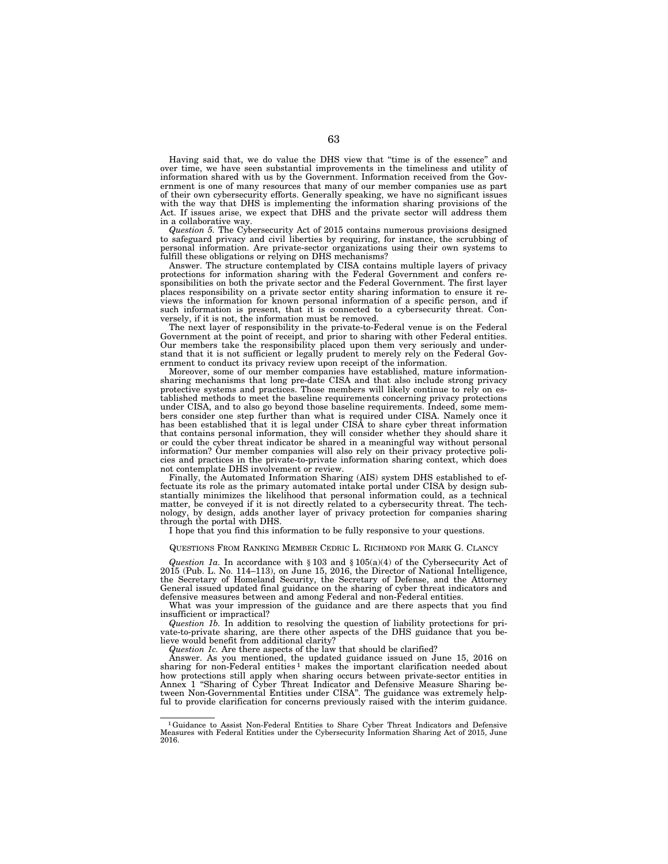Having said that, we do value the DHS view that ''time is of the essence'' and over time, we have seen substantial improvements in the timeliness and utility of information shared with us by the Government. Information received from the Government is one of many resources that many of our member companies use as part of their own cybersecurity efforts. Generally speaking, we have no significant issues with the way that DHS is implementing the information sharing provisions of the Act. If issues arise, we expect that DHS and the private sector will address them in a collaborative way.

*Question 5.* The Cybersecurity Act of 2015 contains numerous provisions designed to safeguard privacy and civil liberties by requiring, for instance, the scrubbing of personal information. Are private-sector organizations using their own systems to fulfill these obligations or relying on DHS mechanisms?

Answer. The structure contemplated by CISA contains multiple layers of privacy protections for information sharing with the Federal Government and confers responsibilities on both the private sector and the Federal Government. The first layer places responsibility on a private sector entity sharing information to ensure it reviews the information for known personal information of a specific person, and if such information is present, that it is connected to a cybersecurity threat. Conversely, if it is not, the information must be removed.

The next layer of responsibility in the private-to-Federal venue is on the Federal Government at the point of receipt, and prior to sharing with other Federal entities. Our members take the responsibility placed upon them very seriously and understand that it is not sufficient or legally prudent to merely rely on the Federal Government to conduct its privacy review upon receipt of the information.

Moreover, some of our member companies have established, mature informationsharing mechanisms that long pre-date CISA and that also include strong privacy protective systems and practices. Those members will likely continue to rely on established methods to meet the baseline requirements concerning privacy protections under CISA, and to also go beyond those baseline requirements. Indeed, some members consider one step further than what is required under CISA. Namely once it has been established that it is legal under CISA to share cyber threat information that contains personal information, they will consider whether they should share it or could the cyber threat indicator be shared in a meaningful way without personal information? Our member companies will also rely on their privacy protective policies and practices in the private-to-private information sharing context, which does not contemplate DHS involvement or review.

Finally, the Automated Information Sharing (AIS) system DHS established to effectuate its role as the primary automated intake portal under CISA by design substantially minimizes the likelihood that personal information could, as a technical matter, be conveyed if it is not directly related to a cybersecurity threat. The technology, by design, adds another layer of privacy protection for companies sharing through the portal with DHS.

I hope that you find this information to be fully responsive to your questions.

QUESTIONS FROM RANKING MEMBER CEDRIC L. RICHMOND FOR MARK G. CLANCY

*Question 1a.* In accordance with § 103 and § 105(a)(4) of the Cybersecurity Act of 2015 (Pub. L. No. 114–113), on June 15, 2016, the Director of National Intelligence, the Secretary of Homeland Security, the Secretary of Defense, and the Attorney General issued updated final guidance on the sharing of cyber threat indicators and defensive measures between and among Federal and non-Federal entities.

What was your impression of the guidance and are there aspects that you find insufficient or impractical?

*Question 1b.* In addition to resolving the question of liability protections for private-to-private sharing, are there other aspects of the DHS guidance that you believe would benefit from additional clarity?

*Question 1c.* Are there aspects of the law that should be clarified?

Answer. As you mentioned, the updated guidance issued on June 15, 2016 on sharing for non-Federal entities<sup>1</sup> makes the important clarification needed about how protections still apply when sharing occurs between private-sector entities in Annex 1 ''Sharing of Cyber Threat Indicator and Defensive Measure Sharing between Non-Governmental Entities under CISA''. The guidance was extremely helpful to provide clarification for concerns previously raised with the interim guidance.

<sup>&</sup>lt;sup>1</sup>Guidance to Assist Non-Federal Entities to Share Cyber Threat Indicators and Defensive Measures with Federal Entities under the Cybersecurity Information Sharing Act of 2015, June 2016.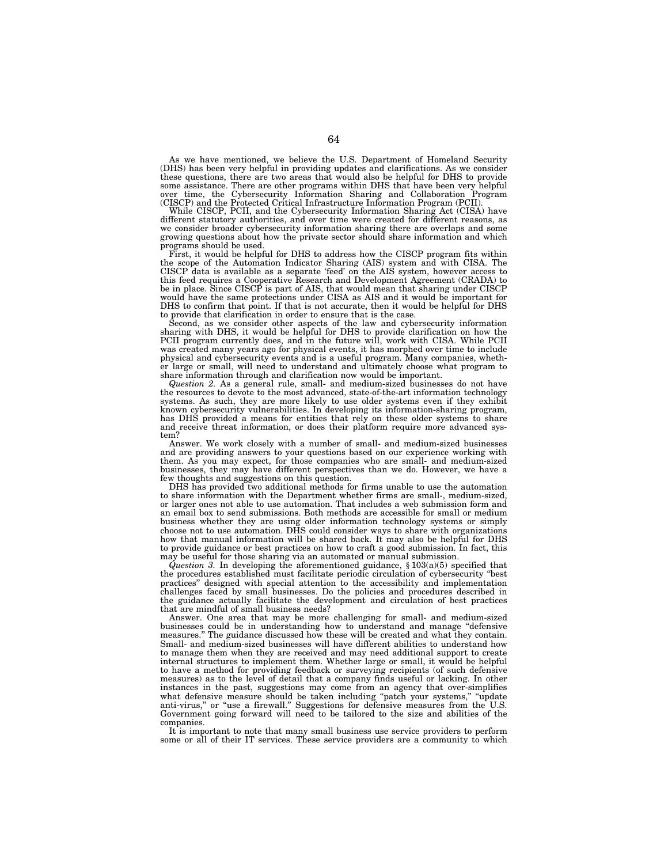As we have mentioned, we believe the U.S. Department of Homeland Security (DHS) has been very helpful in providing updates and clarifications. As we consider these questions, there are two areas that would also be helpful for DHS to provide<br>some assistance. There are other programs within DHS that have been very helpful<br>over time, the Cybersecurity Information Sharing and Colla

While CISCP, PCII, and the Cybersecurity Information Sharing Act (CISA) have different statutory authorities, and over time were created for different reasons, as we consider broader cybersecurity information sharing there are overlaps and some growing questions about how the private sector should share information and which programs should be used.

First, it would be helpful for DHS to address how the CISCP program fits within the scope of the Automation Indicator Sharing (AIS) system and with CISA. The CISCP data is available as a separate 'feed' on the AIS system, however access to this feed requires a Cooperative Research and Development Agreement (CRADA) to be in place. Since CISCP is part of AIS, that would mean that sharing under CISCP would have the same protections under CISA as AIS and it would be important for DHS to confirm that point. If that is not accurate, then it would be helpful for DHS to provide that clarification in order to ensure that is the case.

Second, as we consider other aspects of the law and cybersecurity information sharing with DHS, it would be helpful for DHS to provide clarification on how the PCII program currently does, and in the future will, work with CISA. While PCII was created many years ago for physical events, it has morphed over time to include physical and cybersecurity events and is a useful program. Many companies, wheth-er large or small, will need to understand and ultimately choose what program to share information through and clarification now would be important.

*Question 2.* As a general rule, small- and medium-sized businesses do not have the resources to devote to the most advanced, state-of-the-art information technology systems. As such, they are more likely to use older systems even if they exhibit known cybersecurity vulnerabilities. In developing its information-sharing program, has DHS provided a means for entities that rely on these older systems to share and receive threat information, or does their platform require more advanced system?

Answer. We work closely with a number of small- and medium-sized businesses and are providing answers to your questions based on our experience working with them. As you may expect, for those companies who are small- and medium-sized businesses, they may have different perspectives than we do. However, we have a few thoughts and suggestions on this question.

DHS has provided two additional methods for firms unable to use the automation to share information with the Department whether firms are small-, medium-sized, or larger ones not able to use automation. That includes a web submission form and an email box to send submissions. Both methods are accessible for small or medium business whether they are using older information technology systems or simply choose not to use automation. DHS could consider ways to share with organizations how that manual information will be shared back. It may also be helpful for DHS to provide guidance or best practices on how to craft a good submission. In fact, this may be useful for those sharing via an automated or manual submission.

*Question 3.* In developing the aforementioned guidance, § 103(a)(5) specified that the procedures established must facilitate periodic circulation of cybersecurity ''best practices'' designed with special attention to the accessibility and implementation challenges faced by small businesses. Do the policies and procedures described in the guidance actually facilitate the development and circulation of best practices that are mindful of small business needs?

Answer. One area that may be more challenging for small- and medium-sized businesses could be in understanding how to understand and manage ''defensive measures.'' The guidance discussed how these will be created and what they contain. Small- and medium-sized businesses will have different abilities to understand how to manage them when they are received and may need additional support to create internal structures to implement them. Whether large or small, it would be helpful to have a method for providing feedback or surveying recipients (of such defensive measures) as to the level of detail that a company finds useful or lacking. In other instances in the past, suggestions may come from an agency that over-simplifies what defensive measure should be taken including "patch your systems," "update anti-virus," or "use a firewall." Suggestions for defensive measures from the U.S. Government going forward will need to be tailored to the size and abilities of the companies.

It is important to note that many small business use service providers to perform some or all of their IT services. These service providers are a community to which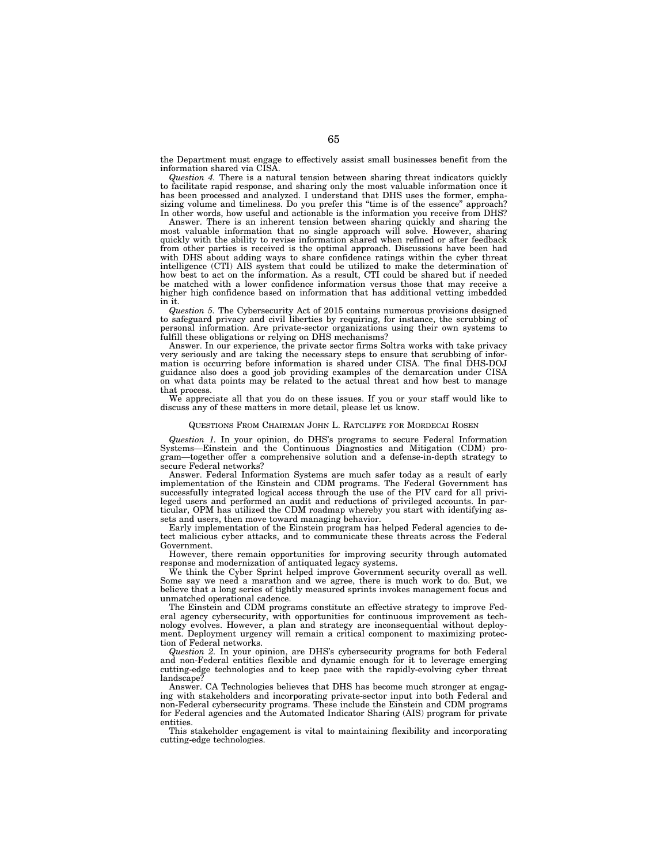the Department must engage to effectively assist small businesses benefit from the information shared via CISA.

*Question 4.* There is a natural tension between sharing threat indicators quickly to facilitate rapid response, and sharing only the most valuable information once it has been processed and analyzed. I understand that DHS uses the former, emphasizing volume and timeliness. Do you prefer this "time is of the essence" approach? In other words, how useful and actionable is the information you receive from DHS?

Answer. There is an inherent tension between sharing quickly and sharing the most valuable information that no single approach will solve. However, sharing quickly with the ability to revise information shared when refined or after feedback from other parties is received is the optimal approach. Discussions have been had with DHS about adding ways to share confidence ratings within the cyber threat intelligence (CTI) AIS system that could be utilized to make the determination of how best to act on the information. As a result, CTI could be shared but if needed be matched with a lower confidence information versus those that may receive a higher high confidence based on information that has additional vetting imbedded in it.

*Question 5.* The Cybersecurity Act of 2015 contains numerous provisions designed to safeguard privacy and civil liberties by requiring, for instance, the scrubbing of personal information. Are private-sector organizations using their own systems to fulfill these obligations or relying on DHS mechanisms?

Answer. In our experience, the private sector firms Soltra works with take privacy very seriously and are taking the necessary steps to ensure that scrubbing of information is occurring before information is shared under CISA. The final DHS-DOJ guidance also does a good job providing examples of the demarcation under CISA on what data points may be related to the actual threat and how best to manage that process.

We appreciate all that you do on these issues. If you or your staff would like to discuss any of these matters in more detail, please let us know.

# QUESTIONS FROM CHAIRMAN JOHN L. RATCLIFFE FOR MORDECAI ROSEN

*Question 1.* In your opinion, do DHS's programs to secure Federal Information Systems—Einstein and the Continuous Diagnostics and Mitigation (CDM) program—together offer a comprehensive solution and a defense-in-depth strategy to secure Federal networks?

Answer. Federal Information Systems are much safer today as a result of early implementation of the Einstein and CDM programs. The Federal Government has successfully integrated logical access through the use of the PIV card for all privileged users and performed an audit and reductions of privileged accounts. In particular, OPM has utilized the CDM roadmap whereby you start with identifying assets and users, then move toward managing behavior.

Early implementation of the Einstein program has helped Federal agencies to detect malicious cyber attacks, and to communicate these threats across the Federal Government.

However, there remain opportunities for improving security through automated response and modernization of antiquated legacy systems.

We think the Cyber Sprint helped improve Government security overall as well. Some say we need a marathon and we agree, there is much work to do. But, we believe that a long series of tightly measured sprints invokes management focus and unmatched operational cadence.

The Einstein and CDM programs constitute an effective strategy to improve Federal agency cybersecurity, with opportunities for continuous improvement as technology evolves. However, a plan and strategy are inconsequential without deployment. Deployment urgency will remain a critical component to maximizing protection of Federal networks.

*Question 2.* In your opinion, are DHS's cybersecurity programs for both Federal and non-Federal entities flexible and dynamic enough for it to leverage emerging cutting-edge technologies and to keep pace with the rapidly-evolving cyber threat landscape?

Answer. CA Technologies believes that DHS has become much stronger at engaging with stakeholders and incorporating private-sector input into both Federal and non-Federal cybersecurity programs. These include the Einstein and CDM programs for Federal agencies and the Automated Indicator Sharing (AIS) program for private entities.

This stakeholder engagement is vital to maintaining flexibility and incorporating cutting-edge technologies.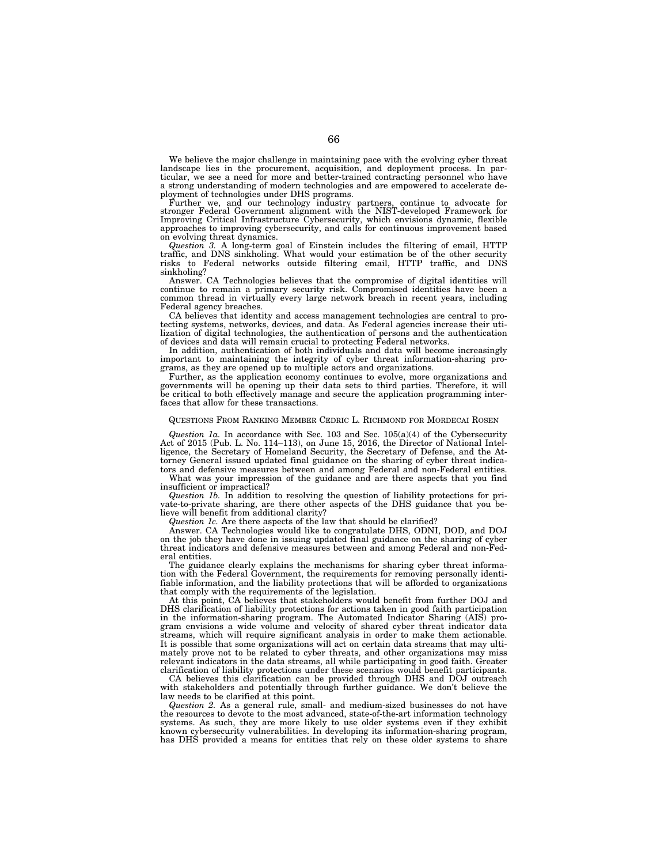We believe the major challenge in maintaining pace with the evolving cyber threat landscape lies in the procurement, acquisition, and deployment process. In par-ticular, we see a need for more and better-trained contracting personnel who have a strong understanding of modern technologies and are empowered to accelerate deployment of technologies under DHS programs.

Further we, and our technology industry partners, continue to advocate for stronger Federal Government alignment with the NIST-developed Framework for Improving Critical Infrastructure Cybersecurity, which envisions dynamic, flexible approaches to improving cybersecurity, and calls for continuous improvement based on evolving threat dynamics.

*Question 3.* A long-term goal of Einstein includes the filtering of email, HTTP traffic, and DNS sinkholing. What would your estimation be of the other security risks to Federal networks outside filtering email, HTTP traffic, and DNS sinkholing?

Answer. CA Technologies believes that the compromise of digital identities will continue to remain a primary security risk. Compromised identities have been a common thread in virtually every large network breach in recent years, including Federal agency breaches.

CA believes that identity and access management technologies are central to protecting systems, networks, devices, and data. As Federal agencies increase their utilization of digital technologies, the authentication of persons and the authentication of devices and data will remain crucial to protecting Federal networks.

In addition, authentication of both individuals and data will become increasingly important to maintaining the integrity of cyber threat information-sharing programs, as they are opened up to multiple actors and organizations.

Further, as the application economy continues to evolve, more organizations and governments will be opening up their data sets to third parties. Therefore, it will be critical to both effectively manage and secure the application programming interfaces that allow for these transactions.

# QUESTIONS FROM RANKING MEMBER CEDRIC L. RICHMOND FOR MORDECAI ROSEN

*Question 1a.* In accordance with Sec. 103 and Sec. 105(a)(4) of the Cybersecurity Act of 2015 (Pub. L. No. 114–113), on June 15, 2016, the Director of National Intelligence, the Secretary of Homeland Security, the Secretary of Defense, and the Attorney General issued updated final guidance on the sharing of cyber threat indicators and defensive measures between and among Federal and non-Federal entities.

What was your impression of the guidance and are there aspects that you find insufficient or impractical?

*Question 1b.* In addition to resolving the question of liability protections for private-to-private sharing, are there other aspects of the DHS guidance that you believe will benefit from additional clarity?

*Question 1c.* Are there aspects of the law that should be clarified?

Answer. CA Technologies would like to congratulate DHS, ODNI, DOD, and DOJ on the job they have done in issuing updated final guidance on the sharing of cyber threat indicators and defensive measures between and among Federal and non-Federal entities.

The guidance clearly explains the mechanisms for sharing cyber threat information with the Federal Government, the requirements for removing personally identifiable information, and the liability protections that will be afforded to organizations that comply with the requirements of the legislation.

At this point, CA believes that stakeholders would benefit from further DOJ and DHS clarification of liability protections for actions taken in good faith participation in the information-sharing program. The Automated Indicator Sharing (AIS) program envisions a wide volume and velocity of shared cyber threat indicator data streams, which will require significant analysis in order to make them actionable. It is possible that some organizations will act on certain data streams that may ultimately prove not to be related to cyber threats, and other organizations may miss relevant indicators in the data streams, all while participating in good faith. Greater clarification of liability protections under these scenarios would benefit participants.

CA believes this clarification can be provided through DHS and DOJ outreach with stakeholders and potentially through further guidance. We don't believe the law needs to be clarified at this point.

*Question 2.* As a general rule, small- and medium-sized businesses do not have the resources to devote to the most advanced, state-of-the-art information technology systems. As such, they are more likely to use older systems even if they exhibit known cybersecurity vulnerabilities. In developing its information-sharing program, has DHS provided a means for entities that rely on these older systems to share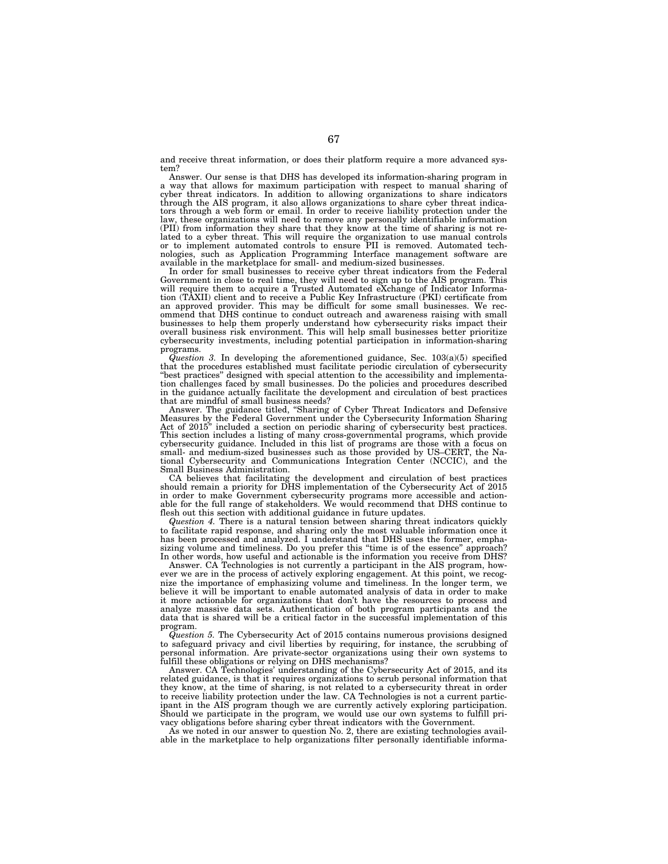and receive threat information, or does their platform require a more advanced system?

Answer. Our sense is that DHS has developed its information-sharing program in a way that allows for maximum participation with respect to manual sharing of cyber threat indicators. In addition to allowing organizations to share indicators through the AIS program, it also allows organizations to share cyber threat indica-tors through a web form or email. In order to receive liability protection under the law, these organizations will need to remove any personally identifiable information (PII) from information they share that they know at the time of sharing is not related to a cyber threat. This will require the organization to use manual controls or to implement automated controls to ensure PII is removed. Automated technologies, such as Application Programming Interface management software are available in the marketplace for small- and medium-sized businesses.

In order for small businesses to receive cyber threat indicators from the Federal Government in close to real time, they will need to sign up to the AIS program. This will require them to acquire a Trusted Automated eXchange of Indicator Informa-tion (TAXII) client and to receive a Public Key Infrastructure (PKI) certificate from an approved provider. This may be difficult for some small businesses. We rec-ommend that DHS continue to conduct outreach and awareness raising with small businesses to help them properly understand how cybersecurity risks impact their overall business risk environment. This will help small businesses better prioritize cybersecurity investments, including potential participation in information-sharing programs.

*Question 3.* In developing the aforementioned guidance, Sec. 103(a)(5) specified that the procedures established must facilitate periodic circulation of cybersecurity ''best practices'' designed with special attention to the accessibility and implementation challenges faced by small businesses. Do the policies and procedures described in the guidance actually facilitate the development and circulation of best practices

that are mindful of small business needs? Answer. The guidance titled, ''Sharing of Cyber Threat Indicators and Defensive Measures by the Federal Government under the Cybersecurity Information Sharing Act of 2015'' included a section on periodic sharing of cybersecurity best practices. This section includes a listing of many cross-governmental programs, which provide<br>cybersecurity guidance. Included in this list of programs are those with a focus on<br>small- and medium-sized businesses such as those provid tional Cybersecurity and Communications Integration Center (NCCIC), and the Small Business Administration.

CA believes that facilitating the development and circulation of best practices should remain a priority for DHS implementation of the Cybersecurity Act of 2015 in order to make Government cybersecurity programs more accessible and actionable for the full range of stakeholders. We would recommend that DHS continue to flesh out this section with additional guidance in future updates.

*Question 4.* There is a natural tension between sharing threat indicators quickly to facilitate rapid response, and sharing only the most valuable information once it has been processed and analyzed. I understand that DHS uses the former, emphasizing volume and timeliness. Do you prefer this ''time is of the essence'' approach? In other words, how useful and actionable is the information you receive from DHS?

Answer. CA Technologies is not currently a participant in the AIS program, however we are in the process of actively exploring engagement. At this point, we recognize the importance of emphasizing volume and timeliness. In the longer term, we believe it will be important to enable automated analysis of data in order to make it more actionable for organizations that don't have the resources to process and analyze massive data sets. Authentication of both program participants and the data that is shared will be a critical factor in the successful implementation of this program.

*Question 5.* The Cybersecurity Act of 2015 contains numerous provisions designed to safeguard privacy and civil liberties by requiring, for instance, the scrubbing of personal information. Are private-sector organizations using their own systems to fulfill these obligations or relying on DHS mechanisms?

Answer. CA Technologies' understanding of the Cybersecurity Act of 2015, and its related guidance, is that it requires organizations to scrub personal information that they know, at the time of sharing, is not related to a cybersecurity threat in order to receive liability protection under the law. CA Technologies is not a current participant in the AIS program though we are currently actively exploring participation. Should we participate in the program, we would use our own systems to fulfill privacy obligations before sharing cyber threat indicators with the Government.

As we noted in our answer to question No. 2, there are existing technologies available in the marketplace to help organizations filter personally identifiable informa